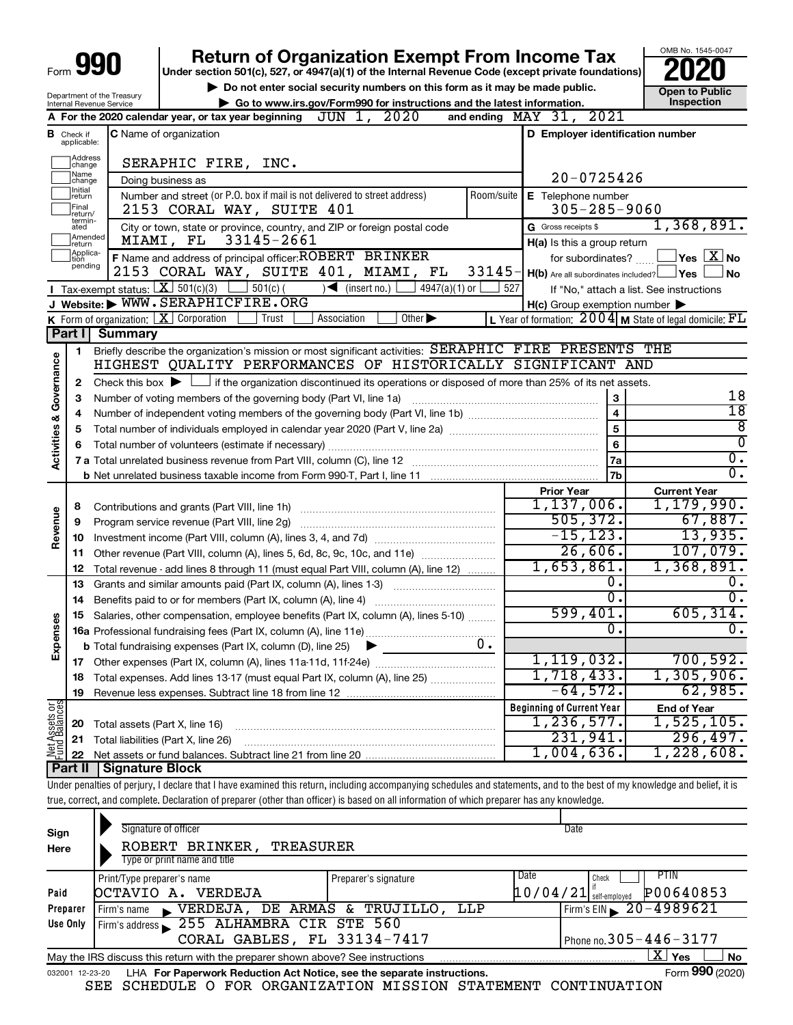|      | п |
|------|---|
| Form |   |

Department of the Treasury

## **Return of Organization Exempt From Income Tax**

**Under section 501(c), 527, or 4947(a)(1) of the Internal Revenue Code (except private foundations)**

**10 Do not enter social security numbers on this form as it may be made public. Open to Public | Go to www.irs.gov/Form990 for instructions and the latest information. Inspection**

OMB No. 1545-0047

|                         |                               | Internal Revenue Service<br>$\blacktriangleright$ Go to www.irs.gov/Form990 for instructions and the latest information.                                                   |            |                                                     | <b>Inspection</b>                                                   |
|-------------------------|-------------------------------|----------------------------------------------------------------------------------------------------------------------------------------------------------------------------|------------|-----------------------------------------------------|---------------------------------------------------------------------|
|                         |                               | JUN 1, 2020<br>A For the 2020 calendar year, or tax year beginning                                                                                                         |            | and ending MAY 31, 2021                             |                                                                     |
|                         | <b>B</b> Check if applicable: | <b>C</b> Name of organization                                                                                                                                              |            | D Employer identification number                    |                                                                     |
|                         |                               |                                                                                                                                                                            |            |                                                     |                                                                     |
|                         | ]Address<br>]change           | SERAPHIC FIRE, INC.                                                                                                                                                        |            |                                                     |                                                                     |
|                         | Name<br> change               | Doing business as                                                                                                                                                          |            | $20 - 0725426$                                      |                                                                     |
|                         | ]Initial<br>]return           | Number and street (or P.O. box if mail is not delivered to street address)                                                                                                 | Room/suite | E Telephone number                                  |                                                                     |
|                         | Final<br>return/<br>termin-   | 2153 CORAL WAY, SUITE 401                                                                                                                                                  |            | $305 - 285 - 9060$                                  |                                                                     |
|                         | ated                          | City or town, state or province, country, and ZIP or foreign postal code                                                                                                   |            | G Gross receipts \$                                 | 1,368,891.                                                          |
|                         | Amended<br>Ireturn            | 33145-2661<br>MIAMI, FL                                                                                                                                                    |            | H(a) Is this a group return                         |                                                                     |
|                         | Applica-<br>Ition<br>pending  | F Name and address of principal officer: ROBERT BRINKER                                                                                                                    |            | for subordinates?                                   | $\sqrt{\mathsf{Yes}\mathord{\;\mathbb{X}}\mathord{\;\mathsf{No}}}$  |
|                         |                               | 2153 CORAL WAY, SUITE 401, MIAMI, FL                                                                                                                                       | $33145-$   | $H(b)$ Are all subordinates included? $\Box$ Yes    | ⊿No                                                                 |
|                         |                               | <b>I</b> Tax-exempt status: $X \ 501(c)(3)$ $1 \ 501(c)$<br>$\sqrt{\bullet}$ (insert no.) [<br>$4947(a)(1)$ or                                                             | 527        |                                                     | If "No," attach a list. See instructions                            |
|                         |                               | J Website: WWW.SERAPHICFIRE.ORG                                                                                                                                            |            | $H(c)$ Group exemption number $\blacktriangleright$ |                                                                     |
|                         |                               | Other $\blacktriangleright$<br><b>K</b> Form of organization: $\boxed{\mathbf{X}}$ Corporation<br>Trust<br>Association                                                     |            |                                                     | L Year of formation: $2004 \text{ m}$ State of legal domicile: $FL$ |
|                         | Part I                        | <b>Summary</b>                                                                                                                                                             |            |                                                     |                                                                     |
|                         | 1.                            | Briefly describe the organization's mission or most significant activities: SERAPHIC FIRE PRESENTS THE                                                                     |            |                                                     |                                                                     |
|                         |                               | HIGHEST QUALITY PERFORMANCES OF HISTORICALLY SIGNIFICANT AND                                                                                                               |            |                                                     |                                                                     |
| Activities & Governance | 2                             | Check this box $\blacktriangleright$ $\Box$ if the organization discontinued its operations or disposed of more than 25% of its net assets.                                |            |                                                     | 18                                                                  |
|                         | 3                             | Number of voting members of the governing body (Part VI, line 1a)                                                                                                          |            | 3                                                   | $\overline{18}$                                                     |
|                         | 4                             |                                                                                                                                                                            |            | $\overline{4}$                                      | $\overline{8}$                                                      |
|                         | 5                             |                                                                                                                                                                            |            | 5                                                   | $\overline{0}$                                                      |
|                         | 6                             |                                                                                                                                                                            |            | 6                                                   | $\overline{0}$ .                                                    |
|                         |                               |                                                                                                                                                                            |            | 7a                                                  | $\overline{0}$ .                                                    |
|                         |                               |                                                                                                                                                                            |            | 7b                                                  |                                                                     |
|                         |                               |                                                                                                                                                                            |            | <b>Prior Year</b><br>1,137,006.                     | <b>Current Year</b><br>1,179,990.                                   |
|                         | 8                             | Contributions and grants (Part VIII, line 1h)                                                                                                                              |            | 505, 372.                                           | 67,887.                                                             |
| Revenue                 | 9                             | Program service revenue (Part VIII, line 2g)                                                                                                                               |            | $-15, 123.$                                         | 13,935.                                                             |
|                         | 10                            |                                                                                                                                                                            |            | 26,606.                                             | 107,079.                                                            |
|                         | 11                            | Other revenue (Part VIII, column (A), lines 5, 6d, 8c, 9c, 10c, and 11e)                                                                                                   |            | 1,653,861.                                          | 1,368,891.                                                          |
|                         | 12                            | Total revenue - add lines 8 through 11 (must equal Part VIII, column (A), line 12)                                                                                         |            | 0.                                                  | 0.                                                                  |
|                         | 13                            | Grants and similar amounts paid (Part IX, column (A), lines 1-3)                                                                                                           |            | $\overline{0}$ .                                    | о.                                                                  |
|                         | 14                            | Benefits paid to or for members (Part IX, column (A), line 4)                                                                                                              |            | 599,401.                                            | 605, 314.                                                           |
| Expenses                | 15                            | Salaries, other compensation, employee benefits (Part IX, column (A), lines 5-10)                                                                                          |            | 0.                                                  | 0.                                                                  |
|                         |                               |                                                                                                                                                                            | $0$ .      |                                                     |                                                                     |
|                         |                               | <b>b</b> Total fundraising expenses (Part IX, column (D), line 25)                                                                                                         |            | 1, 119, 032.                                        | 700, 592.                                                           |
|                         |                               |                                                                                                                                                                            |            | 1,718,433.                                          | 1,305,906.                                                          |
|                         | 19                            | 18 Total expenses. Add lines 13-17 (must equal Part IX, column (A), line 25)                                                                                               |            | $-64,572$ .                                         | 62,985.                                                             |
|                         |                               |                                                                                                                                                                            |            | <b>Beginning of Current Year</b>                    | <b>End of Year</b>                                                  |
|                         |                               |                                                                                                                                                                            |            | 1, 236, 577.                                        | 1,525,105.                                                          |
|                         | 20<br>21                      | Total assets (Part X, line 16)<br>Total liabilities (Part X, line 26)                                                                                                      |            | 231,941.                                            | 296,497.                                                            |
| Net Assets or           | 22                            |                                                                                                                                                                            |            | 1,004,636.                                          | 1,228,608.                                                          |
|                         | Part II                       | <b>Signature Block</b>                                                                                                                                                     |            |                                                     |                                                                     |
|                         |                               | Under penalties of perjury, I declare that I have examined this return, including accompanying schedules and statements, and to the best of my knowledge and belief, it is |            |                                                     |                                                                     |
|                         |                               |                                                                                                                                                                            |            |                                                     |                                                                     |

true, correct, and complete. Declaration of preparer (other than officer) is based on all information of which preparer has any knowledge.

| Sign<br>Here                                                                                              | Signature of officer<br>ROBERT BRINKER,<br>TREASURER<br>Type or print name and title                         |                      | Date                                                            |  |  |  |  |  |
|-----------------------------------------------------------------------------------------------------------|--------------------------------------------------------------------------------------------------------------|----------------------|-----------------------------------------------------------------|--|--|--|--|--|
| Paid                                                                                                      | Print/Type preparer's name<br>OCTAVIO A.<br>VERDEJA                                                          | Preparer's signature | Date<br>PTIN<br>Check<br>P00640853<br>10/04/21<br>self-emploved |  |  |  |  |  |
| Preparer                                                                                                  | VERDEJA, DE ARMAS &<br>Firm's name                                                                           | TRUJILLO, LLP        | Firm's EIN $\, 20 - 4989621$                                    |  |  |  |  |  |
| Use Only                                                                                                  | Firm's address 255 ALHAMBRA CIR STE 560                                                                      |                      |                                                                 |  |  |  |  |  |
|                                                                                                           | CORAL GABLES, FL 33134-7417                                                                                  |                      | Phone no. $305 - 446 - 3177$                                    |  |  |  |  |  |
| X.<br>Yes<br><b>No</b><br>May the IRS discuss this return with the preparer shown above? See instructions |                                                                                                              |                      |                                                                 |  |  |  |  |  |
|                                                                                                           | Form 990 (2020)<br>LHA For Paperwork Reduction Act Notice, see the separate instructions.<br>032001 12-23-20 |                      |                                                                 |  |  |  |  |  |

SEE SCHEDULE O FOR ORGANIZATION MISSION STATEMENT CONTINUATION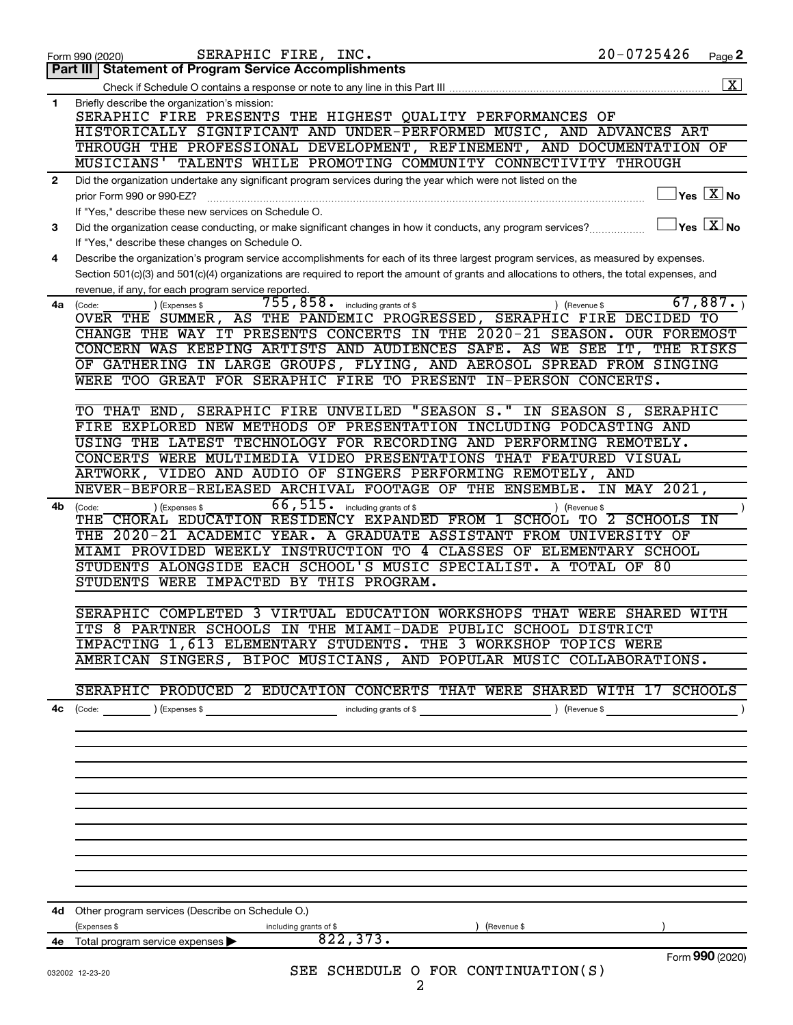|              | SERAPHIC FIRE, INC.<br>Form 990 (2020)                                                                                                                | $20 - 0725426$ | Page 2                       |
|--------------|-------------------------------------------------------------------------------------------------------------------------------------------------------|----------------|------------------------------|
|              | Part III   Statement of Program Service Accomplishments                                                                                               |                |                              |
|              |                                                                                                                                                       |                | $\overline{\text{X}}$        |
| $\mathbf 1$  | Briefly describe the organization's mission:<br>SERAPHIC FIRE PRESENTS THE HIGHEST QUALITY PERFORMANCES OF                                            |                |                              |
|              | HISTORICALLY SIGNIFICANT AND UNDER-PERFORMED MUSIC, AND ADVANCES ART                                                                                  |                |                              |
|              | THROUGH THE PROFESSIONAL DEVELOPMENT, REFINEMENT, AND DOCUMENTATION OF                                                                                |                |                              |
|              | MUSICIANS' TALENTS WHILE PROMOTING COMMUNITY CONNECTIVITY THROUGH                                                                                     |                |                              |
| $\mathbf{2}$ | Did the organization undertake any significant program services during the year which were not listed on the                                          |                |                              |
|              | prior Form 990 or 990-EZ?                                                                                                                             |                | $Y$ es $\boxed{\text{X}}$ No |
|              | If "Yes," describe these new services on Schedule O.                                                                                                  |                |                              |
| 3            | Did the organization cease conducting, or make significant changes in how it conducts, any program services?                                          |                | $Yes$ $X$ No                 |
|              | If "Yes," describe these changes on Schedule O.                                                                                                       |                |                              |
| 4            | Describe the organization's program service accomplishments for each of its three largest program services, as measured by expenses.                  |                |                              |
|              | Section 501(c)(3) and 501(c)(4) organizations are required to report the amount of grants and allocations to others, the total expenses, and          |                |                              |
|              | revenue, if any, for each program service reported.                                                                                                   |                |                              |
| 4a           | 755,858.<br>including grants of \$<br>) (Expenses \$<br>) (Revenue \$<br>(Code:                                                                       |                | 67,887.                      |
|              | OVER THE SUMMER, AS THE PANDEMIC PROGRESSED, SERAPHIC FIRE DECIDED TO                                                                                 |                |                              |
|              | CHANGE THE WAY IT PRESENTS CONCERTS IN THE 2020-21 SEASON. OUR FOREMOST                                                                               |                |                              |
|              | CONCERN WAS KEEPING ARTISTS AND AUDIENCES SAFE. AS WE SEE IT, THE RISKS                                                                               |                |                              |
|              | OF GATHERING IN LARGE GROUPS, FLYING, AND AEROSOL SPREAD FROM SINGING                                                                                 |                |                              |
|              | WERE TOO GREAT FOR SERAPHIC FIRE TO PRESENT IN-PERSON CONCERTS.                                                                                       |                |                              |
|              |                                                                                                                                                       |                |                              |
|              | TO THAT END, SERAPHIC FIRE UNVEILED "SEASON S." IN SEASON S, SERAPHIC                                                                                 |                |                              |
|              | FIRE EXPLORED NEW METHODS OF PRESENTATION INCLUDING PODCASTING AND                                                                                    |                |                              |
|              | USING THE LATEST TECHNOLOGY FOR RECORDING AND PERFORMING REMOTELY.                                                                                    |                |                              |
|              | CONCERTS WERE MULTIMEDIA VIDEO PRESENTATIONS THAT FEATURED VISUAL                                                                                     |                |                              |
|              | ARTWORK, VIDEO AND AUDIO OF SINGERS PERFORMING REMOTELY, AND                                                                                          |                |                              |
|              | NEVER-BEFORE-RELEASED ARCHIVAL FOOTAGE OF THE ENSEMBLE.                                                                                               | IN MAY 2021,   |                              |
| 4b           | 66,515.<br>including grants of \$<br>(Expenses \$<br>(Code:<br>) (Revenue \$<br>THE CHORAL EDUCATION RESIDENCY EXPANDED FROM 1 SCHOOL TO 2 SCHOOLS IN |                |                              |
|              | THE 2020-21 ACADEMIC YEAR. A GRADUATE ASSISTANT FROM UNIVERSITY OF                                                                                    |                |                              |
|              | MIAMI PROVIDED WEEKLY INSTRUCTION TO 4 CLASSES OF ELEMENTARY SCHOOL                                                                                   |                |                              |
|              | STUDENTS ALONGSIDE EACH SCHOOL'S MUSIC SPECIALIST. A TOTAL OF 80                                                                                      |                |                              |
|              | STUDENTS WERE IMPACTED BY THIS PROGRAM.                                                                                                               |                |                              |
|              |                                                                                                                                                       |                |                              |
|              | SERAPHIC COMPLETED 3 VIRTUAL EDUCATION WORKSHOPS THAT WERE                                                                                            | SHARED WITH    |                              |
|              | ITS 8 PARTNER SCHOOLS IN THE MIAMI-DADE PUBLIC SCHOOL DISTRICT                                                                                        |                |                              |
|              | IMPACTING 1,613 ELEMENTARY STUDENTS. THE 3 WORKSHOP TOPICS WERE                                                                                       |                |                              |
|              | AMERICAN SINGERS, BIPOC MUSICIANS, AND POPULAR MUSIC COLLABORATIONS.                                                                                  |                |                              |
|              |                                                                                                                                                       |                |                              |
|              | SERAPHIC PRODUCED 2 EDUCATION CONCERTS THAT WERE SHARED WITH 17 SCHOOLS                                                                               |                |                              |
| 4c           | (Code: ) (Expenses \$ contracts of \$ code: ) (Revenue \$ code: ) (Revenue \$ code: )                                                                 |                |                              |
|              |                                                                                                                                                       |                |                              |
|              |                                                                                                                                                       |                |                              |
|              |                                                                                                                                                       |                |                              |
|              |                                                                                                                                                       |                |                              |
|              |                                                                                                                                                       |                |                              |
|              |                                                                                                                                                       |                |                              |
|              |                                                                                                                                                       |                |                              |
|              |                                                                                                                                                       |                |                              |
|              |                                                                                                                                                       |                |                              |
|              |                                                                                                                                                       |                |                              |
|              |                                                                                                                                                       |                |                              |
|              | 4d Other program services (Describe on Schedule O.)                                                                                                   |                |                              |
|              | (Expenses \$<br>) (Revenue \$<br>including grants of \$                                                                                               |                |                              |
|              | 822, 373.<br>4e Total program service expenses                                                                                                        |                |                              |
|              |                                                                                                                                                       |                | Form 990 (2020)              |
|              | SEE SCHEDULE O FOR CONTINUATION(S)<br>032002 12-23-20                                                                                                 |                |                              |
|              | 2                                                                                                                                                     |                |                              |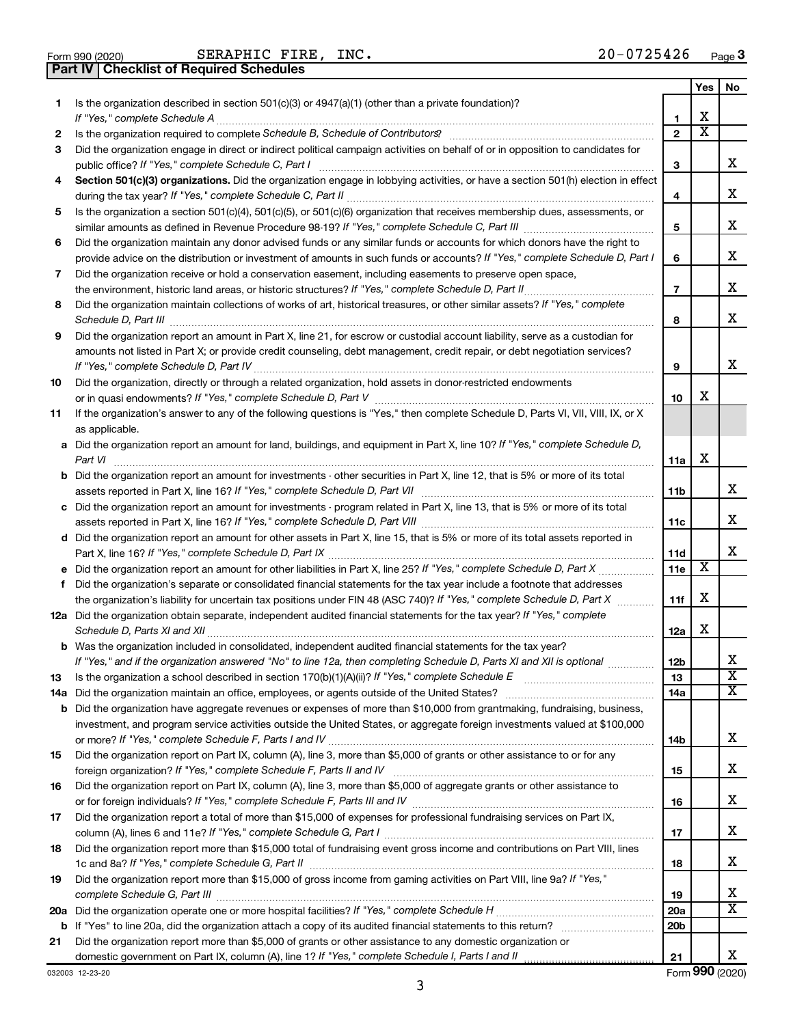|  | Form 990 (2020) |
|--|-----------------|

Form 990 (2020) Page SERAPHIC FIRE, INC. 20-0725426

**Part IV Checklist of Required Schedules**

|    |                                                                                                                                                      |                 | Yes | No                      |
|----|------------------------------------------------------------------------------------------------------------------------------------------------------|-----------------|-----|-------------------------|
| 1  | Is the organization described in section $501(c)(3)$ or $4947(a)(1)$ (other than a private foundation)?<br>If "Yes," complete Schedule A             | 1               | x   |                         |
| 2  |                                                                                                                                                      | $\mathbf{2}$    | х   |                         |
| 3  | Did the organization engage in direct or indirect political campaign activities on behalf of or in opposition to candidates for                      |                 |     |                         |
|    | public office? If "Yes," complete Schedule C, Part I                                                                                                 | з               |     | х                       |
| 4  | Section 501(c)(3) organizations. Did the organization engage in lobbying activities, or have a section 501(h) election in effect                     |                 |     |                         |
|    | during the tax year? If "Yes," complete Schedule C, Part II                                                                                          | 4               |     | х                       |
| 5  | Is the organization a section 501(c)(4), 501(c)(5), or 501(c)(6) organization that receives membership dues, assessments, or                         |                 |     |                         |
|    |                                                                                                                                                      | 5               |     | x                       |
| 6  | Did the organization maintain any donor advised funds or any similar funds or accounts for which donors have the right to                            |                 |     |                         |
|    | provide advice on the distribution or investment of amounts in such funds or accounts? If "Yes," complete Schedule D, Part I                         | 6               |     | х                       |
| 7  | Did the organization receive or hold a conservation easement, including easements to preserve open space,                                            |                 |     |                         |
|    | the environment, historic land areas, or historic structures? If "Yes," complete Schedule D, Part II                                                 | $\overline{7}$  |     | x.                      |
| 8  | Did the organization maintain collections of works of art, historical treasures, or other similar assets? If "Yes," complete<br>Schedule D, Part III | 8               |     | x                       |
| 9  | Did the organization report an amount in Part X, line 21, for escrow or custodial account liability, serve as a custodian for                        |                 |     |                         |
|    | amounts not listed in Part X; or provide credit counseling, debt management, credit repair, or debt negotiation services?                            |                 |     |                         |
|    |                                                                                                                                                      | 9               |     | х                       |
| 10 | Did the organization, directly or through a related organization, hold assets in donor-restricted endowments                                         |                 |     |                         |
|    |                                                                                                                                                      | 10              | х   |                         |
| 11 | If the organization's answer to any of the following questions is "Yes," then complete Schedule D, Parts VI, VII, VIII, IX, or X                     |                 |     |                         |
|    | as applicable.                                                                                                                                       |                 |     |                         |
|    | a Did the organization report an amount for land, buildings, and equipment in Part X, line 10? If "Yes," complete Schedule D,                        |                 |     |                         |
|    | Part VI                                                                                                                                              | 11a             | х   |                         |
|    | <b>b</b> Did the organization report an amount for investments - other securities in Part X, line 12, that is 5% or more of its total                |                 |     | x.                      |
|    | c Did the organization report an amount for investments - program related in Part X, line 13, that is 5% or more of its total                        | 11b             |     |                         |
|    |                                                                                                                                                      | 11c             |     | х                       |
|    | d Did the organization report an amount for other assets in Part X, line 15, that is 5% or more of its total assets reported in                      |                 |     |                         |
|    |                                                                                                                                                      | 11d             |     | х                       |
|    | e Did the organization report an amount for other liabilities in Part X, line 25? If "Yes," complete Schedule D, Part X                              | 11e             | X   |                         |
| f. | Did the organization's separate or consolidated financial statements for the tax year include a footnote that addresses                              |                 |     |                         |
|    | the organization's liability for uncertain tax positions under FIN 48 (ASC 740)? If "Yes," complete Schedule D, Part X                               | 11f             | х   |                         |
|    | 12a Did the organization obtain separate, independent audited financial statements for the tax year? If "Yes," complete                              |                 |     |                         |
|    | Schedule D, Parts XI and XII                                                                                                                         | 12a             | х   |                         |
|    | <b>b</b> Was the organization included in consolidated, independent audited financial statements for the tax year?                                   |                 |     |                         |
|    | If "Yes," and if the organization answered "No" to line 12a, then completing Schedule D, Parts XI and XII is optional                                | 12 <sub>b</sub> |     | х                       |
| 13 |                                                                                                                                                      | 13              |     | $\overline{\texttt{x}}$ |
|    | 14a Did the organization maintain an office, employees, or agents outside of the United States?                                                      | 14a             |     | x                       |
|    | <b>b</b> Did the organization have aggregate revenues or expenses of more than \$10,000 from grantmaking, fundraising, business,                     |                 |     |                         |
|    | investment, and program service activities outside the United States, or aggregate foreign investments valued at \$100,000                           |                 |     | x                       |
|    | Did the organization report on Part IX, column (A), line 3, more than \$5,000 of grants or other assistance to or for any                            | 14b             |     |                         |
| 15 |                                                                                                                                                      | 15              |     | X.                      |
| 16 | Did the organization report on Part IX, column (A), line 3, more than \$5,000 of aggregate grants or other assistance to                             |                 |     |                         |
|    |                                                                                                                                                      | 16              |     | X.                      |
| 17 | Did the organization report a total of more than \$15,000 of expenses for professional fundraising services on Part IX,                              |                 |     |                         |
|    |                                                                                                                                                      | 17              |     | х                       |
| 18 | Did the organization report more than \$15,000 total of fundraising event gross income and contributions on Part VIII, lines                         |                 |     |                         |
|    |                                                                                                                                                      | 18              |     | X.                      |
| 19 | Did the organization report more than \$15,000 of gross income from gaming activities on Part VIII, line 9a? If "Yes,"                               |                 |     |                         |
|    |                                                                                                                                                      | 19              |     | х                       |
|    |                                                                                                                                                      | 20a             |     | x                       |
|    |                                                                                                                                                      | 20 <sub>b</sub> |     |                         |
| 21 | Did the organization report more than \$5,000 of grants or other assistance to any domestic organization or                                          |                 |     |                         |
|    |                                                                                                                                                      | 21              |     | x                       |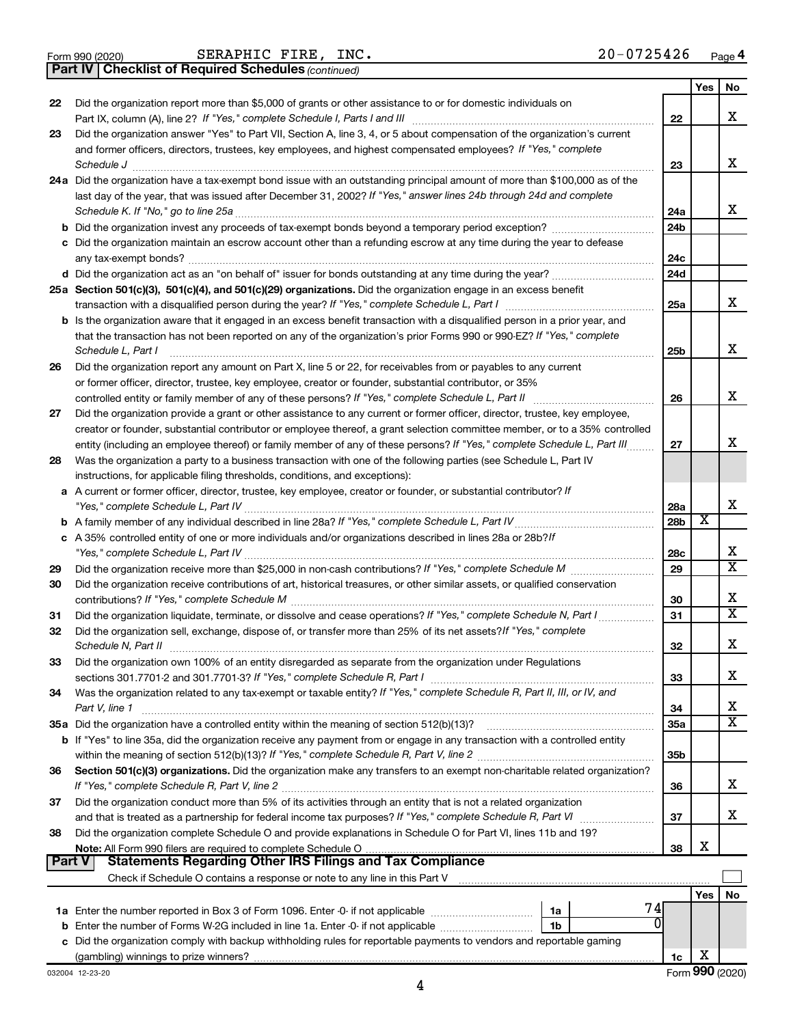|  | Form 990 (2020) |  |
|--|-----------------|--|
|  |                 |  |

Form 990 (2020)  $SERAPHIC$   $FIRE$ ,  $INC$ .  $20-0725426$   $Page$ 

*(continued)* **Part IV Checklist of Required Schedules**

| Did the organization report more than \$5,000 of grants or other assistance to or for domestic individuals on<br>22<br>x<br>Part IX, column (A), line 2? If "Yes," complete Schedule I, Parts I and III<br>22<br>Did the organization answer "Yes" to Part VII, Section A, line 3, 4, or 5 about compensation of the organization's current<br>23<br>and former officers, directors, trustees, key employees, and highest compensated employees? If "Yes," complete<br>x<br>Schedule J<br>23<br>24a Did the organization have a tax-exempt bond issue with an outstanding principal amount of more than \$100,000 as of the<br>last day of the year, that was issued after December 31, 2002? If "Yes," answer lines 24b through 24d and complete<br>x<br>Schedule K. If "No," go to line 25a<br>24a<br>24b<br>c Did the organization maintain an escrow account other than a refunding escrow at any time during the year to defease<br>24c<br>any tax-exempt bonds?<br>d Did the organization act as an "on behalf of" issuer for bonds outstanding at any time during the year?<br>24d<br>25a Section 501(c)(3), 501(c)(4), and 501(c)(29) organizations. Did the organization engage in an excess benefit<br>x<br>25a<br>b Is the organization aware that it engaged in an excess benefit transaction with a disqualified person in a prior year, and<br>that the transaction has not been reported on any of the organization's prior Forms 990 or 990-EZ? If "Yes," complete<br>x<br>Schedule L, Part I<br>25b<br>Did the organization report any amount on Part X, line 5 or 22, for receivables from or payables to any current<br>26<br>or former officer, director, trustee, key employee, creator or founder, substantial contributor, or 35%<br>x<br>controlled entity or family member of any of these persons? If "Yes," complete Schedule L, Part II<br>26<br>Did the organization provide a grant or other assistance to any current or former officer, director, trustee, key employee,<br>27<br>creator or founder, substantial contributor or employee thereof, a grant selection committee member, or to a 35% controlled<br>x<br>entity (including an employee thereof) or family member of any of these persons? If "Yes," complete Schedule L, Part III<br>27<br>Was the organization a party to a business transaction with one of the following parties (see Schedule L, Part IV<br>28<br>instructions, for applicable filing thresholds, conditions, and exceptions):<br>a A current or former officer, director, trustee, key employee, creator or founder, or substantial contributor? If<br>x<br>28a<br>х<br>28 <sub>b</sub><br>c A 35% controlled entity of one or more individuals and/or organizations described in lines 28a or 28b?/f<br>x<br>28c<br>$\overline{\mathtt{x}}$<br>29<br>29<br>Did the organization receive contributions of art, historical treasures, or other similar assets, or qualified conservation<br>30<br>х<br>contributions? If "Yes," complete Schedule M<br>30<br>$\overline{\mathtt{x}}$<br>31<br>31<br>Did the organization sell, exchange, dispose of, or transfer more than 25% of its net assets? If "Yes," complete<br>32<br>x<br>Schedule N, Part II<br>32<br>Did the organization own 100% of an entity disregarded as separate from the organization under Regulations<br>33<br>х<br>33<br>Was the organization related to any tax-exempt or taxable entity? If "Yes," complete Schedule R, Part II, III, or IV, and<br>34<br>х<br>Part V, line 1<br>34<br>$\overline{\mathbf{X}}$<br>35a Did the organization have a controlled entity within the meaning of section 512(b)(13)?<br>35a<br>b If "Yes" to line 35a, did the organization receive any payment from or engage in any transaction with a controlled entity<br>35b<br>Section 501(c)(3) organizations. Did the organization make any transfers to an exempt non-charitable related organization?<br>36<br>x<br>36 |  | Yes | No |
|----------------------------------------------------------------------------------------------------------------------------------------------------------------------------------------------------------------------------------------------------------------------------------------------------------------------------------------------------------------------------------------------------------------------------------------------------------------------------------------------------------------------------------------------------------------------------------------------------------------------------------------------------------------------------------------------------------------------------------------------------------------------------------------------------------------------------------------------------------------------------------------------------------------------------------------------------------------------------------------------------------------------------------------------------------------------------------------------------------------------------------------------------------------------------------------------------------------------------------------------------------------------------------------------------------------------------------------------------------------------------------------------------------------------------------------------------------------------------------------------------------------------------------------------------------------------------------------------------------------------------------------------------------------------------------------------------------------------------------------------------------------------------------------------------------------------------------------------------------------------------------------------------------------------------------------------------------------------------------------------------------------------------------------------------------------------------------------------------------------------------------------------------------------------------------------------------------------------------------------------------------------------------------------------------------------------------------------------------------------------------------------------------------------------------------------------------------------------------------------------------------------------------------------------------------------------------------------------------------------------------------------------------------------------------------------------------------------------------------------------------------------------------------------------------------------------------------------------------------------------------------------------------------------------------------------------------------------------------------------------------------------------------------------------------------------------------------------------------------------------------------------------------------------------------------------------------------------------------------------------------------------------------------------------------------------------------------------------------------------------------------------------------------------------------------------------------------------------------------------------------------------------------------------------------------------------------------------------------------------------------------------------------------------------------------------------------------------------------------------------------------------------------------------------------------------------------------------------------------------------------------------------------------------------------------------------------|--|-----|----|
|                                                                                                                                                                                                                                                                                                                                                                                                                                                                                                                                                                                                                                                                                                                                                                                                                                                                                                                                                                                                                                                                                                                                                                                                                                                                                                                                                                                                                                                                                                                                                                                                                                                                                                                                                                                                                                                                                                                                                                                                                                                                                                                                                                                                                                                                                                                                                                                                                                                                                                                                                                                                                                                                                                                                                                                                                                                                                                                                                                                                                                                                                                                                                                                                                                                                                                                                                                                                                                                                                                                                                                                                                                                                                                                                                                                                                                                                                                                                                    |  |     |    |
|                                                                                                                                                                                                                                                                                                                                                                                                                                                                                                                                                                                                                                                                                                                                                                                                                                                                                                                                                                                                                                                                                                                                                                                                                                                                                                                                                                                                                                                                                                                                                                                                                                                                                                                                                                                                                                                                                                                                                                                                                                                                                                                                                                                                                                                                                                                                                                                                                                                                                                                                                                                                                                                                                                                                                                                                                                                                                                                                                                                                                                                                                                                                                                                                                                                                                                                                                                                                                                                                                                                                                                                                                                                                                                                                                                                                                                                                                                                                                    |  |     |    |
|                                                                                                                                                                                                                                                                                                                                                                                                                                                                                                                                                                                                                                                                                                                                                                                                                                                                                                                                                                                                                                                                                                                                                                                                                                                                                                                                                                                                                                                                                                                                                                                                                                                                                                                                                                                                                                                                                                                                                                                                                                                                                                                                                                                                                                                                                                                                                                                                                                                                                                                                                                                                                                                                                                                                                                                                                                                                                                                                                                                                                                                                                                                                                                                                                                                                                                                                                                                                                                                                                                                                                                                                                                                                                                                                                                                                                                                                                                                                                    |  |     |    |
|                                                                                                                                                                                                                                                                                                                                                                                                                                                                                                                                                                                                                                                                                                                                                                                                                                                                                                                                                                                                                                                                                                                                                                                                                                                                                                                                                                                                                                                                                                                                                                                                                                                                                                                                                                                                                                                                                                                                                                                                                                                                                                                                                                                                                                                                                                                                                                                                                                                                                                                                                                                                                                                                                                                                                                                                                                                                                                                                                                                                                                                                                                                                                                                                                                                                                                                                                                                                                                                                                                                                                                                                                                                                                                                                                                                                                                                                                                                                                    |  |     |    |
|                                                                                                                                                                                                                                                                                                                                                                                                                                                                                                                                                                                                                                                                                                                                                                                                                                                                                                                                                                                                                                                                                                                                                                                                                                                                                                                                                                                                                                                                                                                                                                                                                                                                                                                                                                                                                                                                                                                                                                                                                                                                                                                                                                                                                                                                                                                                                                                                                                                                                                                                                                                                                                                                                                                                                                                                                                                                                                                                                                                                                                                                                                                                                                                                                                                                                                                                                                                                                                                                                                                                                                                                                                                                                                                                                                                                                                                                                                                                                    |  |     |    |
|                                                                                                                                                                                                                                                                                                                                                                                                                                                                                                                                                                                                                                                                                                                                                                                                                                                                                                                                                                                                                                                                                                                                                                                                                                                                                                                                                                                                                                                                                                                                                                                                                                                                                                                                                                                                                                                                                                                                                                                                                                                                                                                                                                                                                                                                                                                                                                                                                                                                                                                                                                                                                                                                                                                                                                                                                                                                                                                                                                                                                                                                                                                                                                                                                                                                                                                                                                                                                                                                                                                                                                                                                                                                                                                                                                                                                                                                                                                                                    |  |     |    |
|                                                                                                                                                                                                                                                                                                                                                                                                                                                                                                                                                                                                                                                                                                                                                                                                                                                                                                                                                                                                                                                                                                                                                                                                                                                                                                                                                                                                                                                                                                                                                                                                                                                                                                                                                                                                                                                                                                                                                                                                                                                                                                                                                                                                                                                                                                                                                                                                                                                                                                                                                                                                                                                                                                                                                                                                                                                                                                                                                                                                                                                                                                                                                                                                                                                                                                                                                                                                                                                                                                                                                                                                                                                                                                                                                                                                                                                                                                                                                    |  |     |    |
|                                                                                                                                                                                                                                                                                                                                                                                                                                                                                                                                                                                                                                                                                                                                                                                                                                                                                                                                                                                                                                                                                                                                                                                                                                                                                                                                                                                                                                                                                                                                                                                                                                                                                                                                                                                                                                                                                                                                                                                                                                                                                                                                                                                                                                                                                                                                                                                                                                                                                                                                                                                                                                                                                                                                                                                                                                                                                                                                                                                                                                                                                                                                                                                                                                                                                                                                                                                                                                                                                                                                                                                                                                                                                                                                                                                                                                                                                                                                                    |  |     |    |
|                                                                                                                                                                                                                                                                                                                                                                                                                                                                                                                                                                                                                                                                                                                                                                                                                                                                                                                                                                                                                                                                                                                                                                                                                                                                                                                                                                                                                                                                                                                                                                                                                                                                                                                                                                                                                                                                                                                                                                                                                                                                                                                                                                                                                                                                                                                                                                                                                                                                                                                                                                                                                                                                                                                                                                                                                                                                                                                                                                                                                                                                                                                                                                                                                                                                                                                                                                                                                                                                                                                                                                                                                                                                                                                                                                                                                                                                                                                                                    |  |     |    |
|                                                                                                                                                                                                                                                                                                                                                                                                                                                                                                                                                                                                                                                                                                                                                                                                                                                                                                                                                                                                                                                                                                                                                                                                                                                                                                                                                                                                                                                                                                                                                                                                                                                                                                                                                                                                                                                                                                                                                                                                                                                                                                                                                                                                                                                                                                                                                                                                                                                                                                                                                                                                                                                                                                                                                                                                                                                                                                                                                                                                                                                                                                                                                                                                                                                                                                                                                                                                                                                                                                                                                                                                                                                                                                                                                                                                                                                                                                                                                    |  |     |    |
|                                                                                                                                                                                                                                                                                                                                                                                                                                                                                                                                                                                                                                                                                                                                                                                                                                                                                                                                                                                                                                                                                                                                                                                                                                                                                                                                                                                                                                                                                                                                                                                                                                                                                                                                                                                                                                                                                                                                                                                                                                                                                                                                                                                                                                                                                                                                                                                                                                                                                                                                                                                                                                                                                                                                                                                                                                                                                                                                                                                                                                                                                                                                                                                                                                                                                                                                                                                                                                                                                                                                                                                                                                                                                                                                                                                                                                                                                                                                                    |  |     |    |
|                                                                                                                                                                                                                                                                                                                                                                                                                                                                                                                                                                                                                                                                                                                                                                                                                                                                                                                                                                                                                                                                                                                                                                                                                                                                                                                                                                                                                                                                                                                                                                                                                                                                                                                                                                                                                                                                                                                                                                                                                                                                                                                                                                                                                                                                                                                                                                                                                                                                                                                                                                                                                                                                                                                                                                                                                                                                                                                                                                                                                                                                                                                                                                                                                                                                                                                                                                                                                                                                                                                                                                                                                                                                                                                                                                                                                                                                                                                                                    |  |     |    |
|                                                                                                                                                                                                                                                                                                                                                                                                                                                                                                                                                                                                                                                                                                                                                                                                                                                                                                                                                                                                                                                                                                                                                                                                                                                                                                                                                                                                                                                                                                                                                                                                                                                                                                                                                                                                                                                                                                                                                                                                                                                                                                                                                                                                                                                                                                                                                                                                                                                                                                                                                                                                                                                                                                                                                                                                                                                                                                                                                                                                                                                                                                                                                                                                                                                                                                                                                                                                                                                                                                                                                                                                                                                                                                                                                                                                                                                                                                                                                    |  |     |    |
|                                                                                                                                                                                                                                                                                                                                                                                                                                                                                                                                                                                                                                                                                                                                                                                                                                                                                                                                                                                                                                                                                                                                                                                                                                                                                                                                                                                                                                                                                                                                                                                                                                                                                                                                                                                                                                                                                                                                                                                                                                                                                                                                                                                                                                                                                                                                                                                                                                                                                                                                                                                                                                                                                                                                                                                                                                                                                                                                                                                                                                                                                                                                                                                                                                                                                                                                                                                                                                                                                                                                                                                                                                                                                                                                                                                                                                                                                                                                                    |  |     |    |
|                                                                                                                                                                                                                                                                                                                                                                                                                                                                                                                                                                                                                                                                                                                                                                                                                                                                                                                                                                                                                                                                                                                                                                                                                                                                                                                                                                                                                                                                                                                                                                                                                                                                                                                                                                                                                                                                                                                                                                                                                                                                                                                                                                                                                                                                                                                                                                                                                                                                                                                                                                                                                                                                                                                                                                                                                                                                                                                                                                                                                                                                                                                                                                                                                                                                                                                                                                                                                                                                                                                                                                                                                                                                                                                                                                                                                                                                                                                                                    |  |     |    |
|                                                                                                                                                                                                                                                                                                                                                                                                                                                                                                                                                                                                                                                                                                                                                                                                                                                                                                                                                                                                                                                                                                                                                                                                                                                                                                                                                                                                                                                                                                                                                                                                                                                                                                                                                                                                                                                                                                                                                                                                                                                                                                                                                                                                                                                                                                                                                                                                                                                                                                                                                                                                                                                                                                                                                                                                                                                                                                                                                                                                                                                                                                                                                                                                                                                                                                                                                                                                                                                                                                                                                                                                                                                                                                                                                                                                                                                                                                                                                    |  |     |    |
|                                                                                                                                                                                                                                                                                                                                                                                                                                                                                                                                                                                                                                                                                                                                                                                                                                                                                                                                                                                                                                                                                                                                                                                                                                                                                                                                                                                                                                                                                                                                                                                                                                                                                                                                                                                                                                                                                                                                                                                                                                                                                                                                                                                                                                                                                                                                                                                                                                                                                                                                                                                                                                                                                                                                                                                                                                                                                                                                                                                                                                                                                                                                                                                                                                                                                                                                                                                                                                                                                                                                                                                                                                                                                                                                                                                                                                                                                                                                                    |  |     |    |
|                                                                                                                                                                                                                                                                                                                                                                                                                                                                                                                                                                                                                                                                                                                                                                                                                                                                                                                                                                                                                                                                                                                                                                                                                                                                                                                                                                                                                                                                                                                                                                                                                                                                                                                                                                                                                                                                                                                                                                                                                                                                                                                                                                                                                                                                                                                                                                                                                                                                                                                                                                                                                                                                                                                                                                                                                                                                                                                                                                                                                                                                                                                                                                                                                                                                                                                                                                                                                                                                                                                                                                                                                                                                                                                                                                                                                                                                                                                                                    |  |     |    |
|                                                                                                                                                                                                                                                                                                                                                                                                                                                                                                                                                                                                                                                                                                                                                                                                                                                                                                                                                                                                                                                                                                                                                                                                                                                                                                                                                                                                                                                                                                                                                                                                                                                                                                                                                                                                                                                                                                                                                                                                                                                                                                                                                                                                                                                                                                                                                                                                                                                                                                                                                                                                                                                                                                                                                                                                                                                                                                                                                                                                                                                                                                                                                                                                                                                                                                                                                                                                                                                                                                                                                                                                                                                                                                                                                                                                                                                                                                                                                    |  |     |    |
|                                                                                                                                                                                                                                                                                                                                                                                                                                                                                                                                                                                                                                                                                                                                                                                                                                                                                                                                                                                                                                                                                                                                                                                                                                                                                                                                                                                                                                                                                                                                                                                                                                                                                                                                                                                                                                                                                                                                                                                                                                                                                                                                                                                                                                                                                                                                                                                                                                                                                                                                                                                                                                                                                                                                                                                                                                                                                                                                                                                                                                                                                                                                                                                                                                                                                                                                                                                                                                                                                                                                                                                                                                                                                                                                                                                                                                                                                                                                                    |  |     |    |
|                                                                                                                                                                                                                                                                                                                                                                                                                                                                                                                                                                                                                                                                                                                                                                                                                                                                                                                                                                                                                                                                                                                                                                                                                                                                                                                                                                                                                                                                                                                                                                                                                                                                                                                                                                                                                                                                                                                                                                                                                                                                                                                                                                                                                                                                                                                                                                                                                                                                                                                                                                                                                                                                                                                                                                                                                                                                                                                                                                                                                                                                                                                                                                                                                                                                                                                                                                                                                                                                                                                                                                                                                                                                                                                                                                                                                                                                                                                                                    |  |     |    |
|                                                                                                                                                                                                                                                                                                                                                                                                                                                                                                                                                                                                                                                                                                                                                                                                                                                                                                                                                                                                                                                                                                                                                                                                                                                                                                                                                                                                                                                                                                                                                                                                                                                                                                                                                                                                                                                                                                                                                                                                                                                                                                                                                                                                                                                                                                                                                                                                                                                                                                                                                                                                                                                                                                                                                                                                                                                                                                                                                                                                                                                                                                                                                                                                                                                                                                                                                                                                                                                                                                                                                                                                                                                                                                                                                                                                                                                                                                                                                    |  |     |    |
|                                                                                                                                                                                                                                                                                                                                                                                                                                                                                                                                                                                                                                                                                                                                                                                                                                                                                                                                                                                                                                                                                                                                                                                                                                                                                                                                                                                                                                                                                                                                                                                                                                                                                                                                                                                                                                                                                                                                                                                                                                                                                                                                                                                                                                                                                                                                                                                                                                                                                                                                                                                                                                                                                                                                                                                                                                                                                                                                                                                                                                                                                                                                                                                                                                                                                                                                                                                                                                                                                                                                                                                                                                                                                                                                                                                                                                                                                                                                                    |  |     |    |
|                                                                                                                                                                                                                                                                                                                                                                                                                                                                                                                                                                                                                                                                                                                                                                                                                                                                                                                                                                                                                                                                                                                                                                                                                                                                                                                                                                                                                                                                                                                                                                                                                                                                                                                                                                                                                                                                                                                                                                                                                                                                                                                                                                                                                                                                                                                                                                                                                                                                                                                                                                                                                                                                                                                                                                                                                                                                                                                                                                                                                                                                                                                                                                                                                                                                                                                                                                                                                                                                                                                                                                                                                                                                                                                                                                                                                                                                                                                                                    |  |     |    |
|                                                                                                                                                                                                                                                                                                                                                                                                                                                                                                                                                                                                                                                                                                                                                                                                                                                                                                                                                                                                                                                                                                                                                                                                                                                                                                                                                                                                                                                                                                                                                                                                                                                                                                                                                                                                                                                                                                                                                                                                                                                                                                                                                                                                                                                                                                                                                                                                                                                                                                                                                                                                                                                                                                                                                                                                                                                                                                                                                                                                                                                                                                                                                                                                                                                                                                                                                                                                                                                                                                                                                                                                                                                                                                                                                                                                                                                                                                                                                    |  |     |    |
|                                                                                                                                                                                                                                                                                                                                                                                                                                                                                                                                                                                                                                                                                                                                                                                                                                                                                                                                                                                                                                                                                                                                                                                                                                                                                                                                                                                                                                                                                                                                                                                                                                                                                                                                                                                                                                                                                                                                                                                                                                                                                                                                                                                                                                                                                                                                                                                                                                                                                                                                                                                                                                                                                                                                                                                                                                                                                                                                                                                                                                                                                                                                                                                                                                                                                                                                                                                                                                                                                                                                                                                                                                                                                                                                                                                                                                                                                                                                                    |  |     |    |
|                                                                                                                                                                                                                                                                                                                                                                                                                                                                                                                                                                                                                                                                                                                                                                                                                                                                                                                                                                                                                                                                                                                                                                                                                                                                                                                                                                                                                                                                                                                                                                                                                                                                                                                                                                                                                                                                                                                                                                                                                                                                                                                                                                                                                                                                                                                                                                                                                                                                                                                                                                                                                                                                                                                                                                                                                                                                                                                                                                                                                                                                                                                                                                                                                                                                                                                                                                                                                                                                                                                                                                                                                                                                                                                                                                                                                                                                                                                                                    |  |     |    |
|                                                                                                                                                                                                                                                                                                                                                                                                                                                                                                                                                                                                                                                                                                                                                                                                                                                                                                                                                                                                                                                                                                                                                                                                                                                                                                                                                                                                                                                                                                                                                                                                                                                                                                                                                                                                                                                                                                                                                                                                                                                                                                                                                                                                                                                                                                                                                                                                                                                                                                                                                                                                                                                                                                                                                                                                                                                                                                                                                                                                                                                                                                                                                                                                                                                                                                                                                                                                                                                                                                                                                                                                                                                                                                                                                                                                                                                                                                                                                    |  |     |    |
|                                                                                                                                                                                                                                                                                                                                                                                                                                                                                                                                                                                                                                                                                                                                                                                                                                                                                                                                                                                                                                                                                                                                                                                                                                                                                                                                                                                                                                                                                                                                                                                                                                                                                                                                                                                                                                                                                                                                                                                                                                                                                                                                                                                                                                                                                                                                                                                                                                                                                                                                                                                                                                                                                                                                                                                                                                                                                                                                                                                                                                                                                                                                                                                                                                                                                                                                                                                                                                                                                                                                                                                                                                                                                                                                                                                                                                                                                                                                                    |  |     |    |
|                                                                                                                                                                                                                                                                                                                                                                                                                                                                                                                                                                                                                                                                                                                                                                                                                                                                                                                                                                                                                                                                                                                                                                                                                                                                                                                                                                                                                                                                                                                                                                                                                                                                                                                                                                                                                                                                                                                                                                                                                                                                                                                                                                                                                                                                                                                                                                                                                                                                                                                                                                                                                                                                                                                                                                                                                                                                                                                                                                                                                                                                                                                                                                                                                                                                                                                                                                                                                                                                                                                                                                                                                                                                                                                                                                                                                                                                                                                                                    |  |     |    |
|                                                                                                                                                                                                                                                                                                                                                                                                                                                                                                                                                                                                                                                                                                                                                                                                                                                                                                                                                                                                                                                                                                                                                                                                                                                                                                                                                                                                                                                                                                                                                                                                                                                                                                                                                                                                                                                                                                                                                                                                                                                                                                                                                                                                                                                                                                                                                                                                                                                                                                                                                                                                                                                                                                                                                                                                                                                                                                                                                                                                                                                                                                                                                                                                                                                                                                                                                                                                                                                                                                                                                                                                                                                                                                                                                                                                                                                                                                                                                    |  |     |    |
|                                                                                                                                                                                                                                                                                                                                                                                                                                                                                                                                                                                                                                                                                                                                                                                                                                                                                                                                                                                                                                                                                                                                                                                                                                                                                                                                                                                                                                                                                                                                                                                                                                                                                                                                                                                                                                                                                                                                                                                                                                                                                                                                                                                                                                                                                                                                                                                                                                                                                                                                                                                                                                                                                                                                                                                                                                                                                                                                                                                                                                                                                                                                                                                                                                                                                                                                                                                                                                                                                                                                                                                                                                                                                                                                                                                                                                                                                                                                                    |  |     |    |
|                                                                                                                                                                                                                                                                                                                                                                                                                                                                                                                                                                                                                                                                                                                                                                                                                                                                                                                                                                                                                                                                                                                                                                                                                                                                                                                                                                                                                                                                                                                                                                                                                                                                                                                                                                                                                                                                                                                                                                                                                                                                                                                                                                                                                                                                                                                                                                                                                                                                                                                                                                                                                                                                                                                                                                                                                                                                                                                                                                                                                                                                                                                                                                                                                                                                                                                                                                                                                                                                                                                                                                                                                                                                                                                                                                                                                                                                                                                                                    |  |     |    |
|                                                                                                                                                                                                                                                                                                                                                                                                                                                                                                                                                                                                                                                                                                                                                                                                                                                                                                                                                                                                                                                                                                                                                                                                                                                                                                                                                                                                                                                                                                                                                                                                                                                                                                                                                                                                                                                                                                                                                                                                                                                                                                                                                                                                                                                                                                                                                                                                                                                                                                                                                                                                                                                                                                                                                                                                                                                                                                                                                                                                                                                                                                                                                                                                                                                                                                                                                                                                                                                                                                                                                                                                                                                                                                                                                                                                                                                                                                                                                    |  |     |    |
|                                                                                                                                                                                                                                                                                                                                                                                                                                                                                                                                                                                                                                                                                                                                                                                                                                                                                                                                                                                                                                                                                                                                                                                                                                                                                                                                                                                                                                                                                                                                                                                                                                                                                                                                                                                                                                                                                                                                                                                                                                                                                                                                                                                                                                                                                                                                                                                                                                                                                                                                                                                                                                                                                                                                                                                                                                                                                                                                                                                                                                                                                                                                                                                                                                                                                                                                                                                                                                                                                                                                                                                                                                                                                                                                                                                                                                                                                                                                                    |  |     |    |
|                                                                                                                                                                                                                                                                                                                                                                                                                                                                                                                                                                                                                                                                                                                                                                                                                                                                                                                                                                                                                                                                                                                                                                                                                                                                                                                                                                                                                                                                                                                                                                                                                                                                                                                                                                                                                                                                                                                                                                                                                                                                                                                                                                                                                                                                                                                                                                                                                                                                                                                                                                                                                                                                                                                                                                                                                                                                                                                                                                                                                                                                                                                                                                                                                                                                                                                                                                                                                                                                                                                                                                                                                                                                                                                                                                                                                                                                                                                                                    |  |     |    |
|                                                                                                                                                                                                                                                                                                                                                                                                                                                                                                                                                                                                                                                                                                                                                                                                                                                                                                                                                                                                                                                                                                                                                                                                                                                                                                                                                                                                                                                                                                                                                                                                                                                                                                                                                                                                                                                                                                                                                                                                                                                                                                                                                                                                                                                                                                                                                                                                                                                                                                                                                                                                                                                                                                                                                                                                                                                                                                                                                                                                                                                                                                                                                                                                                                                                                                                                                                                                                                                                                                                                                                                                                                                                                                                                                                                                                                                                                                                                                    |  |     |    |
|                                                                                                                                                                                                                                                                                                                                                                                                                                                                                                                                                                                                                                                                                                                                                                                                                                                                                                                                                                                                                                                                                                                                                                                                                                                                                                                                                                                                                                                                                                                                                                                                                                                                                                                                                                                                                                                                                                                                                                                                                                                                                                                                                                                                                                                                                                                                                                                                                                                                                                                                                                                                                                                                                                                                                                                                                                                                                                                                                                                                                                                                                                                                                                                                                                                                                                                                                                                                                                                                                                                                                                                                                                                                                                                                                                                                                                                                                                                                                    |  |     |    |
|                                                                                                                                                                                                                                                                                                                                                                                                                                                                                                                                                                                                                                                                                                                                                                                                                                                                                                                                                                                                                                                                                                                                                                                                                                                                                                                                                                                                                                                                                                                                                                                                                                                                                                                                                                                                                                                                                                                                                                                                                                                                                                                                                                                                                                                                                                                                                                                                                                                                                                                                                                                                                                                                                                                                                                                                                                                                                                                                                                                                                                                                                                                                                                                                                                                                                                                                                                                                                                                                                                                                                                                                                                                                                                                                                                                                                                                                                                                                                    |  |     |    |
|                                                                                                                                                                                                                                                                                                                                                                                                                                                                                                                                                                                                                                                                                                                                                                                                                                                                                                                                                                                                                                                                                                                                                                                                                                                                                                                                                                                                                                                                                                                                                                                                                                                                                                                                                                                                                                                                                                                                                                                                                                                                                                                                                                                                                                                                                                                                                                                                                                                                                                                                                                                                                                                                                                                                                                                                                                                                                                                                                                                                                                                                                                                                                                                                                                                                                                                                                                                                                                                                                                                                                                                                                                                                                                                                                                                                                                                                                                                                                    |  |     |    |
|                                                                                                                                                                                                                                                                                                                                                                                                                                                                                                                                                                                                                                                                                                                                                                                                                                                                                                                                                                                                                                                                                                                                                                                                                                                                                                                                                                                                                                                                                                                                                                                                                                                                                                                                                                                                                                                                                                                                                                                                                                                                                                                                                                                                                                                                                                                                                                                                                                                                                                                                                                                                                                                                                                                                                                                                                                                                                                                                                                                                                                                                                                                                                                                                                                                                                                                                                                                                                                                                                                                                                                                                                                                                                                                                                                                                                                                                                                                                                    |  |     |    |
|                                                                                                                                                                                                                                                                                                                                                                                                                                                                                                                                                                                                                                                                                                                                                                                                                                                                                                                                                                                                                                                                                                                                                                                                                                                                                                                                                                                                                                                                                                                                                                                                                                                                                                                                                                                                                                                                                                                                                                                                                                                                                                                                                                                                                                                                                                                                                                                                                                                                                                                                                                                                                                                                                                                                                                                                                                                                                                                                                                                                                                                                                                                                                                                                                                                                                                                                                                                                                                                                                                                                                                                                                                                                                                                                                                                                                                                                                                                                                    |  |     |    |
|                                                                                                                                                                                                                                                                                                                                                                                                                                                                                                                                                                                                                                                                                                                                                                                                                                                                                                                                                                                                                                                                                                                                                                                                                                                                                                                                                                                                                                                                                                                                                                                                                                                                                                                                                                                                                                                                                                                                                                                                                                                                                                                                                                                                                                                                                                                                                                                                                                                                                                                                                                                                                                                                                                                                                                                                                                                                                                                                                                                                                                                                                                                                                                                                                                                                                                                                                                                                                                                                                                                                                                                                                                                                                                                                                                                                                                                                                                                                                    |  |     |    |
|                                                                                                                                                                                                                                                                                                                                                                                                                                                                                                                                                                                                                                                                                                                                                                                                                                                                                                                                                                                                                                                                                                                                                                                                                                                                                                                                                                                                                                                                                                                                                                                                                                                                                                                                                                                                                                                                                                                                                                                                                                                                                                                                                                                                                                                                                                                                                                                                                                                                                                                                                                                                                                                                                                                                                                                                                                                                                                                                                                                                                                                                                                                                                                                                                                                                                                                                                                                                                                                                                                                                                                                                                                                                                                                                                                                                                                                                                                                                                    |  |     |    |
| Did the organization conduct more than 5% of its activities through an entity that is not a related organization<br>37                                                                                                                                                                                                                                                                                                                                                                                                                                                                                                                                                                                                                                                                                                                                                                                                                                                                                                                                                                                                                                                                                                                                                                                                                                                                                                                                                                                                                                                                                                                                                                                                                                                                                                                                                                                                                                                                                                                                                                                                                                                                                                                                                                                                                                                                                                                                                                                                                                                                                                                                                                                                                                                                                                                                                                                                                                                                                                                                                                                                                                                                                                                                                                                                                                                                                                                                                                                                                                                                                                                                                                                                                                                                                                                                                                                                                             |  |     |    |
| x<br>37                                                                                                                                                                                                                                                                                                                                                                                                                                                                                                                                                                                                                                                                                                                                                                                                                                                                                                                                                                                                                                                                                                                                                                                                                                                                                                                                                                                                                                                                                                                                                                                                                                                                                                                                                                                                                                                                                                                                                                                                                                                                                                                                                                                                                                                                                                                                                                                                                                                                                                                                                                                                                                                                                                                                                                                                                                                                                                                                                                                                                                                                                                                                                                                                                                                                                                                                                                                                                                                                                                                                                                                                                                                                                                                                                                                                                                                                                                                                            |  |     |    |
| Did the organization complete Schedule O and provide explanations in Schedule O for Part VI, lines 11b and 19?<br>38                                                                                                                                                                                                                                                                                                                                                                                                                                                                                                                                                                                                                                                                                                                                                                                                                                                                                                                                                                                                                                                                                                                                                                                                                                                                                                                                                                                                                                                                                                                                                                                                                                                                                                                                                                                                                                                                                                                                                                                                                                                                                                                                                                                                                                                                                                                                                                                                                                                                                                                                                                                                                                                                                                                                                                                                                                                                                                                                                                                                                                                                                                                                                                                                                                                                                                                                                                                                                                                                                                                                                                                                                                                                                                                                                                                                                               |  |     |    |
| х<br>38                                                                                                                                                                                                                                                                                                                                                                                                                                                                                                                                                                                                                                                                                                                                                                                                                                                                                                                                                                                                                                                                                                                                                                                                                                                                                                                                                                                                                                                                                                                                                                                                                                                                                                                                                                                                                                                                                                                                                                                                                                                                                                                                                                                                                                                                                                                                                                                                                                                                                                                                                                                                                                                                                                                                                                                                                                                                                                                                                                                                                                                                                                                                                                                                                                                                                                                                                                                                                                                                                                                                                                                                                                                                                                                                                                                                                                                                                                                                            |  |     |    |
| <b>Statements Regarding Other IRS Filings and Tax Compliance</b><br><b>Part V</b>                                                                                                                                                                                                                                                                                                                                                                                                                                                                                                                                                                                                                                                                                                                                                                                                                                                                                                                                                                                                                                                                                                                                                                                                                                                                                                                                                                                                                                                                                                                                                                                                                                                                                                                                                                                                                                                                                                                                                                                                                                                                                                                                                                                                                                                                                                                                                                                                                                                                                                                                                                                                                                                                                                                                                                                                                                                                                                                                                                                                                                                                                                                                                                                                                                                                                                                                                                                                                                                                                                                                                                                                                                                                                                                                                                                                                                                                  |  |     |    |
| Check if Schedule O contains a response or note to any line in this Part V [11] [12] Check if Schedule O contains a response or note to any line in this Part V                                                                                                                                                                                                                                                                                                                                                                                                                                                                                                                                                                                                                                                                                                                                                                                                                                                                                                                                                                                                                                                                                                                                                                                                                                                                                                                                                                                                                                                                                                                                                                                                                                                                                                                                                                                                                                                                                                                                                                                                                                                                                                                                                                                                                                                                                                                                                                                                                                                                                                                                                                                                                                                                                                                                                                                                                                                                                                                                                                                                                                                                                                                                                                                                                                                                                                                                                                                                                                                                                                                                                                                                                                                                                                                                                                                    |  |     |    |
| No<br>Yes                                                                                                                                                                                                                                                                                                                                                                                                                                                                                                                                                                                                                                                                                                                                                                                                                                                                                                                                                                                                                                                                                                                                                                                                                                                                                                                                                                                                                                                                                                                                                                                                                                                                                                                                                                                                                                                                                                                                                                                                                                                                                                                                                                                                                                                                                                                                                                                                                                                                                                                                                                                                                                                                                                                                                                                                                                                                                                                                                                                                                                                                                                                                                                                                                                                                                                                                                                                                                                                                                                                                                                                                                                                                                                                                                                                                                                                                                                                                          |  |     |    |
| 74<br>1a                                                                                                                                                                                                                                                                                                                                                                                                                                                                                                                                                                                                                                                                                                                                                                                                                                                                                                                                                                                                                                                                                                                                                                                                                                                                                                                                                                                                                                                                                                                                                                                                                                                                                                                                                                                                                                                                                                                                                                                                                                                                                                                                                                                                                                                                                                                                                                                                                                                                                                                                                                                                                                                                                                                                                                                                                                                                                                                                                                                                                                                                                                                                                                                                                                                                                                                                                                                                                                                                                                                                                                                                                                                                                                                                                                                                                                                                                                                                           |  |     |    |
| 0<br>1 <sub>b</sub>                                                                                                                                                                                                                                                                                                                                                                                                                                                                                                                                                                                                                                                                                                                                                                                                                                                                                                                                                                                                                                                                                                                                                                                                                                                                                                                                                                                                                                                                                                                                                                                                                                                                                                                                                                                                                                                                                                                                                                                                                                                                                                                                                                                                                                                                                                                                                                                                                                                                                                                                                                                                                                                                                                                                                                                                                                                                                                                                                                                                                                                                                                                                                                                                                                                                                                                                                                                                                                                                                                                                                                                                                                                                                                                                                                                                                                                                                                                                |  |     |    |
| c Did the organization comply with backup withholding rules for reportable payments to vendors and reportable gaming                                                                                                                                                                                                                                                                                                                                                                                                                                                                                                                                                                                                                                                                                                                                                                                                                                                                                                                                                                                                                                                                                                                                                                                                                                                                                                                                                                                                                                                                                                                                                                                                                                                                                                                                                                                                                                                                                                                                                                                                                                                                                                                                                                                                                                                                                                                                                                                                                                                                                                                                                                                                                                                                                                                                                                                                                                                                                                                                                                                                                                                                                                                                                                                                                                                                                                                                                                                                                                                                                                                                                                                                                                                                                                                                                                                                                               |  |     |    |
| x<br>1c                                                                                                                                                                                                                                                                                                                                                                                                                                                                                                                                                                                                                                                                                                                                                                                                                                                                                                                                                                                                                                                                                                                                                                                                                                                                                                                                                                                                                                                                                                                                                                                                                                                                                                                                                                                                                                                                                                                                                                                                                                                                                                                                                                                                                                                                                                                                                                                                                                                                                                                                                                                                                                                                                                                                                                                                                                                                                                                                                                                                                                                                                                                                                                                                                                                                                                                                                                                                                                                                                                                                                                                                                                                                                                                                                                                                                                                                                                                                            |  |     |    |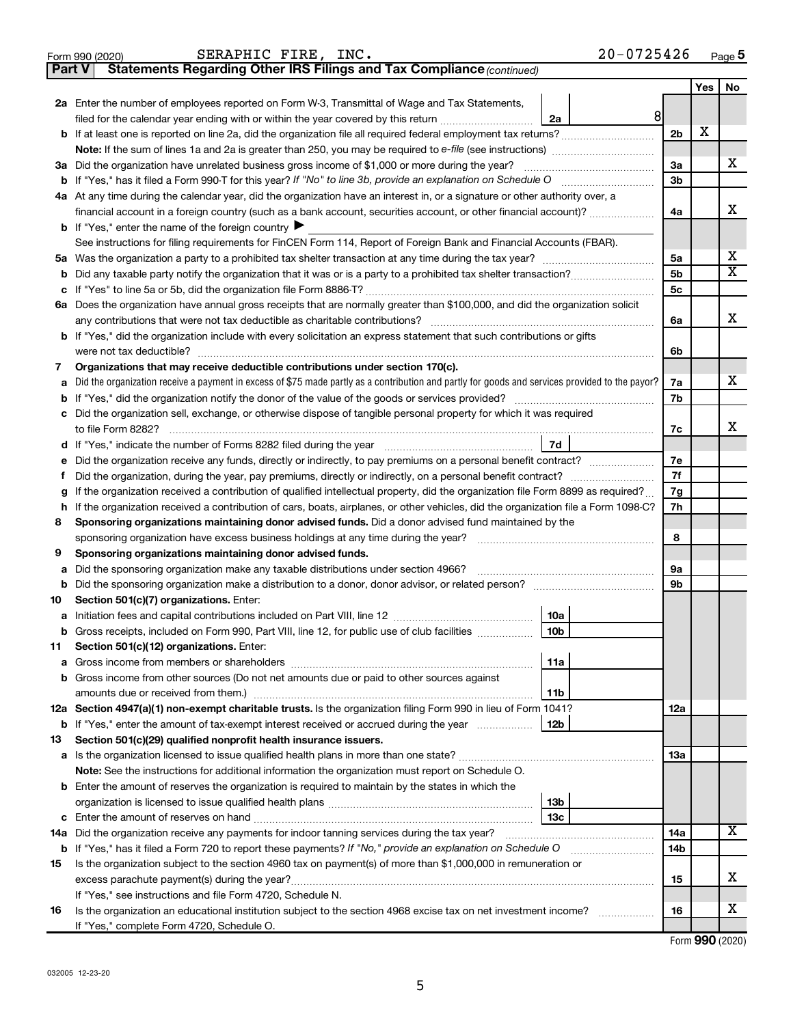|        | $20 - 0725426$<br>SERAPHIC FIRE, INC.<br>Form 990 (2020)                                                                                        |                |            | Page 5                  |
|--------|-------------------------------------------------------------------------------------------------------------------------------------------------|----------------|------------|-------------------------|
| Part V | Statements Regarding Other IRS Filings and Tax Compliance (continued)                                                                           |                |            |                         |
|        |                                                                                                                                                 |                | <b>Yes</b> | No.                     |
|        | 2a Enter the number of employees reported on Form W-3, Transmittal of Wage and Tax Statements,                                                  |                |            |                         |
|        | 8<br>filed for the calendar year ending with or within the year covered by this return <i>[[[[[[[[[[[[[]]]</i> ]]<br>2a                         |                |            |                         |
|        |                                                                                                                                                 | 2 <sub>b</sub> | X          |                         |
|        | Note: If the sum of lines 1a and 2a is greater than 250, you may be required to e-file (see instructions) <i>marroummann</i>                    |                |            |                         |
|        | 3a Did the organization have unrelated business gross income of \$1,000 or more during the year?                                                | За             |            | x                       |
|        |                                                                                                                                                 | 3b             |            |                         |
|        | 4a At any time during the calendar year, did the organization have an interest in, or a signature or other authority over, a                    |                |            |                         |
|        | financial account in a foreign country (such as a bank account, securities account, or other financial account)?                                | 4a             |            | x                       |
|        | <b>b</b> If "Yes," enter the name of the foreign country $\blacktriangleright$                                                                  |                |            |                         |
|        | See instructions for filing requirements for FinCEN Form 114, Report of Foreign Bank and Financial Accounts (FBAR).                             |                |            |                         |
|        |                                                                                                                                                 | 5a             |            | х                       |
|        |                                                                                                                                                 | 5b             |            | $\overline{\textbf{X}}$ |
| с      |                                                                                                                                                 | 5c             |            |                         |
|        | 6a Does the organization have annual gross receipts that are normally greater than \$100,000, and did the organization solicit                  |                |            |                         |
|        |                                                                                                                                                 | 6a             |            | x                       |
|        | <b>b</b> If "Yes," did the organization include with every solicitation an express statement that such contributions or gifts                   |                |            |                         |
|        |                                                                                                                                                 | 6b             |            |                         |
| 7      | Organizations that may receive deductible contributions under section 170(c).                                                                   |                |            |                         |
| а      | Did the organization receive a payment in excess of \$75 made partly as a contribution and partly for goods and services provided to the payor? | 7a             |            | x                       |
| b      |                                                                                                                                                 | 7b             |            |                         |
| с      | Did the organization sell, exchange, or otherwise dispose of tangible personal property for which it was required                               |                |            |                         |
|        |                                                                                                                                                 | 7c             |            | x                       |
|        | 7d                                                                                                                                              |                |            |                         |
| е      | Did the organization receive any funds, directly or indirectly, to pay premiums on a personal benefit contract?                                 | 7e             |            |                         |
| f      | Did the organization, during the year, pay premiums, directly or indirectly, on a personal benefit contract?                                    | 7f             |            |                         |
| g      | If the organization received a contribution of qualified intellectual property, did the organization file Form 8899 as required?                | 7g             |            |                         |
| h      | If the organization received a contribution of cars, boats, airplanes, or other vehicles, did the organization file a Form 1098-C?              | 7h             |            |                         |
| 8      | Sponsoring organizations maintaining donor advised funds. Did a donor advised fund maintained by the                                            | 8              |            |                         |
|        | sponsoring organization have excess business holdings at any time during the year?                                                              |                |            |                         |
| 9      | Sponsoring organizations maintaining donor advised funds.<br>Did the sponsoring organization make any taxable distributions under section 4966? | 9a             |            |                         |
| а<br>b |                                                                                                                                                 | 9b             |            |                         |
| 10     | Section 501(c)(7) organizations. Enter:                                                                                                         |                |            |                         |
|        | 10a                                                                                                                                             |                |            |                         |
|        | b Gross receipts, included on Form 990, Part VIII, line 12, for public use of club facilities<br>10 <sub>b</sub>                                |                |            |                         |
| 11     | Section 501(c)(12) organizations. Enter:                                                                                                        |                |            |                         |
| а      | 11a                                                                                                                                             |                |            |                         |
| b      | Gross income from other sources (Do not net amounts due or paid to other sources against                                                        |                |            |                         |
|        | 11b                                                                                                                                             |                |            |                         |
|        | 12a Section 4947(a)(1) non-exempt charitable trusts. Is the organization filing Form 990 in lieu of Form 1041?                                  | 12a            |            |                         |
|        | <b>b</b> If "Yes," enter the amount of tax-exempt interest received or accrued during the year<br>12b                                           |                |            |                         |
| 13     | Section 501(c)(29) qualified nonprofit health insurance issuers.                                                                                |                |            |                         |
|        |                                                                                                                                                 | 13a            |            |                         |
|        | Note: See the instructions for additional information the organization must report on Schedule O.                                               |                |            |                         |
|        | <b>b</b> Enter the amount of reserves the organization is required to maintain by the states in which the                                       |                |            |                         |
|        | 13 <sub>b</sub>                                                                                                                                 |                |            |                         |
|        | 13с                                                                                                                                             |                |            |                         |
| 14a    | Did the organization receive any payments for indoor tanning services during the tax year?                                                      | 14a            |            | х                       |
|        |                                                                                                                                                 | 14b            |            |                         |
| 15     | Is the organization subject to the section 4960 tax on payment(s) of more than \$1,000,000 in remuneration or                                   |                |            |                         |
|        |                                                                                                                                                 | 15             |            | х                       |
|        | If "Yes," see instructions and file Form 4720, Schedule N.                                                                                      |                |            |                         |
| 16     | Is the organization an educational institution subject to the section 4968 excise tax on net investment income?                                 | 16             |            | х                       |
|        | If "Yes," complete Form 4720, Schedule O.                                                                                                       |                |            |                         |

|  |  | Form 990 (2020) |
|--|--|-----------------|
|--|--|-----------------|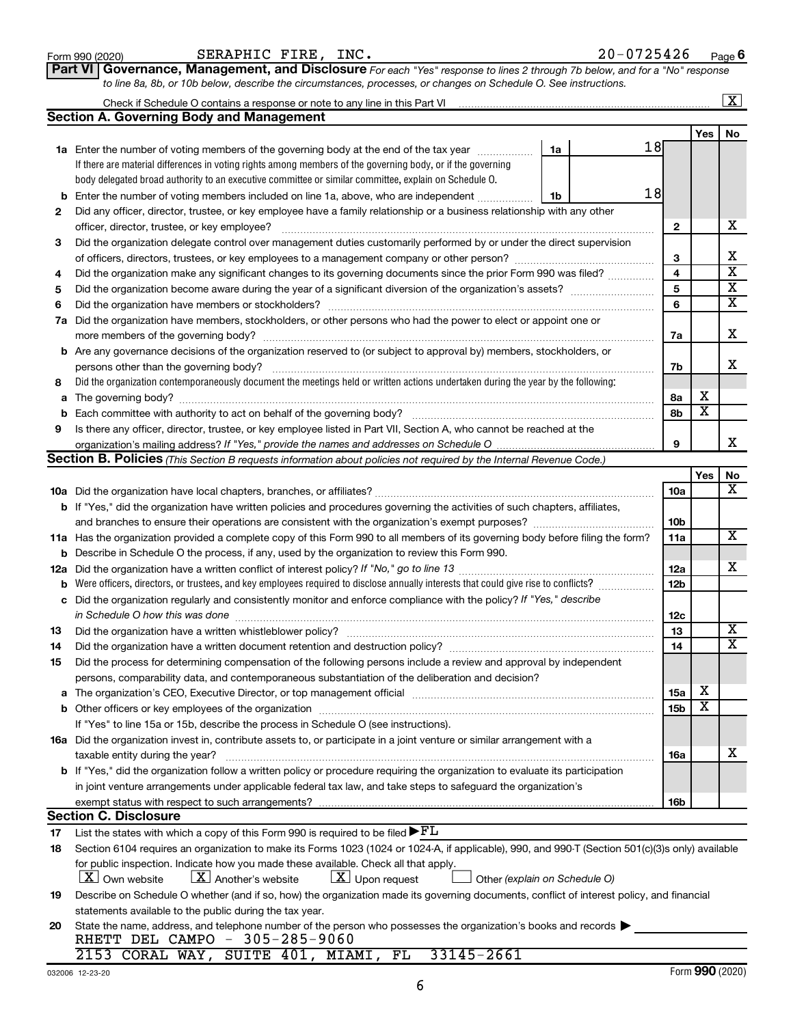#### **1a** Enter the number of voting members of the governing body at the end of the tax year *www.www.* **b** Enter the number of voting members included on line 1a, above, who are independent *controllering* If there are material differences in voting rights among members of the governing body, or if the governing body delegated broad authority to an executive committee or similar committee, explain on Schedule O.

Check if Schedule O contains a response or note to any line in this Part VI

| 4  | Did the organization make any significant changes to its governing documents since the prior Form 990 was filed?                                                                                                               | 4               |                 | x                       |
|----|--------------------------------------------------------------------------------------------------------------------------------------------------------------------------------------------------------------------------------|-----------------|-----------------|-------------------------|
| 5  | Did the organization become aware during the year of a significant diversion of the organization's assets?                                                                                                                     | 5               |                 | $\overline{\text{x}}$   |
| 6  |                                                                                                                                                                                                                                | 6               |                 | $\overline{\mathbf{x}}$ |
| 7a | Did the organization have members, stockholders, or other persons who had the power to elect or appoint one or                                                                                                                 |                 |                 |                         |
|    |                                                                                                                                                                                                                                | 7a              |                 | Х                       |
|    | <b>b</b> Are any governance decisions of the organization reserved to (or subject to approval by) members, stockholders, or                                                                                                    |                 |                 |                         |
|    |                                                                                                                                                                                                                                | 7b              |                 | х                       |
| 8  | Did the organization contemporaneously document the meetings held or written actions undertaken during the year by the following:                                                                                              |                 |                 |                         |
| a  |                                                                                                                                                                                                                                | 8a              | х               |                         |
| b  | Each committee with authority to act on behalf of the governing body?                                                                                                                                                          | 8b              | X               |                         |
| 9  | Is there any officer, director, trustee, or key employee listed in Part VII, Section A, who cannot be reached at the                                                                                                           |                 |                 |                         |
|    |                                                                                                                                                                                                                                | 9               |                 | x                       |
|    | <b>Section B. Policies</b> (This Section B requests information about policies not required by the Internal Revenue Code.)                                                                                                     |                 |                 |                         |
|    |                                                                                                                                                                                                                                |                 | Yes             | No                      |
|    |                                                                                                                                                                                                                                | <b>10a</b>      |                 | X                       |
|    | b If "Yes," did the organization have written policies and procedures governing the activities of such chapters, affiliates,                                                                                                   |                 |                 |                         |
|    |                                                                                                                                                                                                                                | 10 <sub>b</sub> |                 |                         |
|    | 11a Has the organization provided a complete copy of this Form 990 to all members of its governing body before filing the form?                                                                                                | 11a             |                 | X                       |
|    |                                                                                                                                                                                                                                |                 |                 |                         |
|    | <b>b</b> Describe in Schedule O the process, if any, used by the organization to review this Form 990.                                                                                                                         |                 |                 | х                       |
|    |                                                                                                                                                                                                                                | 12a<br>12b      |                 |                         |
| b  | Did the organization regularly and consistently monitor and enforce compliance with the policy? If "Yes," describe                                                                                                             |                 |                 |                         |
| c  |                                                                                                                                                                                                                                |                 |                 |                         |
|    | in Schedule O how this was done manufactured and contained and contained and contained and contained and conta                                                                                                                 | 12c             |                 | X                       |
| 13 |                                                                                                                                                                                                                                | 13              |                 | X                       |
| 14 | Did the organization have a written document retention and destruction policy? [11] manufaction manufaction in                                                                                                                 | 14              |                 |                         |
| 15 | Did the process for determining compensation of the following persons include a review and approval by independent                                                                                                             |                 |                 |                         |
|    | persons, comparability data, and contemporaneous substantiation of the deliberation and decision?                                                                                                                              |                 |                 |                         |
|    | a The organization's CEO, Executive Director, or top management official manufactured content content of the organization's CEO, Executive Director, or top management official manufactured content of the state of the state | 15a             | х               |                         |
|    |                                                                                                                                                                                                                                | 15b             | х               |                         |
|    | If "Yes" to line 15a or 15b, describe the process in Schedule O (see instructions).                                                                                                                                            |                 |                 |                         |
|    | 16a Did the organization invest in, contribute assets to, or participate in a joint venture or similar arrangement with a                                                                                                      |                 |                 |                         |
|    | taxable entity during the year?                                                                                                                                                                                                | 16a             |                 | x                       |
|    | b If "Yes," did the organization follow a written policy or procedure requiring the organization to evaluate its participation                                                                                                 |                 |                 |                         |
|    | in joint venture arrangements under applicable federal tax law, and take steps to safeguard the organization's                                                                                                                 |                 |                 |                         |
|    |                                                                                                                                                                                                                                | 16b             |                 |                         |
|    | <b>Section C. Disclosure</b>                                                                                                                                                                                                   |                 |                 |                         |
| 17 | List the states with which a copy of this Form 990 is required to be filed $\blacktriangleright$ FL                                                                                                                            |                 |                 |                         |
| 18 | Section 6104 requires an organization to make its Forms 1023 (1024 or 1024-A, if applicable), 990, and 990-T (Section 501(c)(3)s only) available                                                                               |                 |                 |                         |
|    | for public inspection. Indicate how you made these available. Check all that apply.                                                                                                                                            |                 |                 |                         |
|    | $X$ Another's website<br>$\lfloor x \rfloor$ Upon request<br><b>X</b> Own website<br>Other (explain on Schedule O)                                                                                                             |                 |                 |                         |
| 19 | Describe on Schedule O whether (and if so, how) the organization made its governing documents, conflict of interest policy, and financial                                                                                      |                 |                 |                         |
|    | statements available to the public during the tax year.                                                                                                                                                                        |                 |                 |                         |
| 20 | State the name, address, and telephone number of the person who possesses the organization's books and records                                                                                                                 |                 |                 |                         |
|    | RHETT DEL CAMPO - 305-285-9060                                                                                                                                                                                                 |                 |                 |                         |
|    | SUITE 401, MIAMI,<br>FL<br>33145-2661<br>2153 CORAL WAY,                                                                                                                                                                       |                 |                 |                         |
|    | 032006 12-23-20                                                                                                                                                                                                                |                 | Form 990 (2020) |                         |
|    | 6                                                                                                                                                                                                                              |                 |                 |                         |

**Part VI** Governance, Management, and Disclosure For each "Yes" response to lines 2 through 7b below, and for a "No" response

*to line 8a, 8b, or 10b below, describe the circumstances, processes, or changes on Schedule O. See instructions.*

Did any officer, director, trustee, or key employee have a family relationship or a business relationship with any other

officer, director, trustee, or key employee? ~~~~~~~~~~~~~~~~~~~~~~~~~~~~~~~~~~~~~~~~ Did the organization delegate control over management duties customarily performed by or under the direct supervision of officers, directors, trustees, or key employees to a management company or other person?  $\ldots$  $\ldots$  $\ldots$  $\ldots$  $\ldots$ 

#### Form 990 (2020)  $SERAPHIC$   $FIRE$ ,  $INC$ .  $20-0725426$   $Page$

**Section A. Governing Body and Management**

**2**

**3**

18

18

**2**

**3**

**1a**

**1b**

 $\boxed{\text{X}}$ 

X

X  $\overline{\textbf{x}}$  $\overline{\textbf{x}}$  $\overline{\textbf{x}}$ 

**Yes No**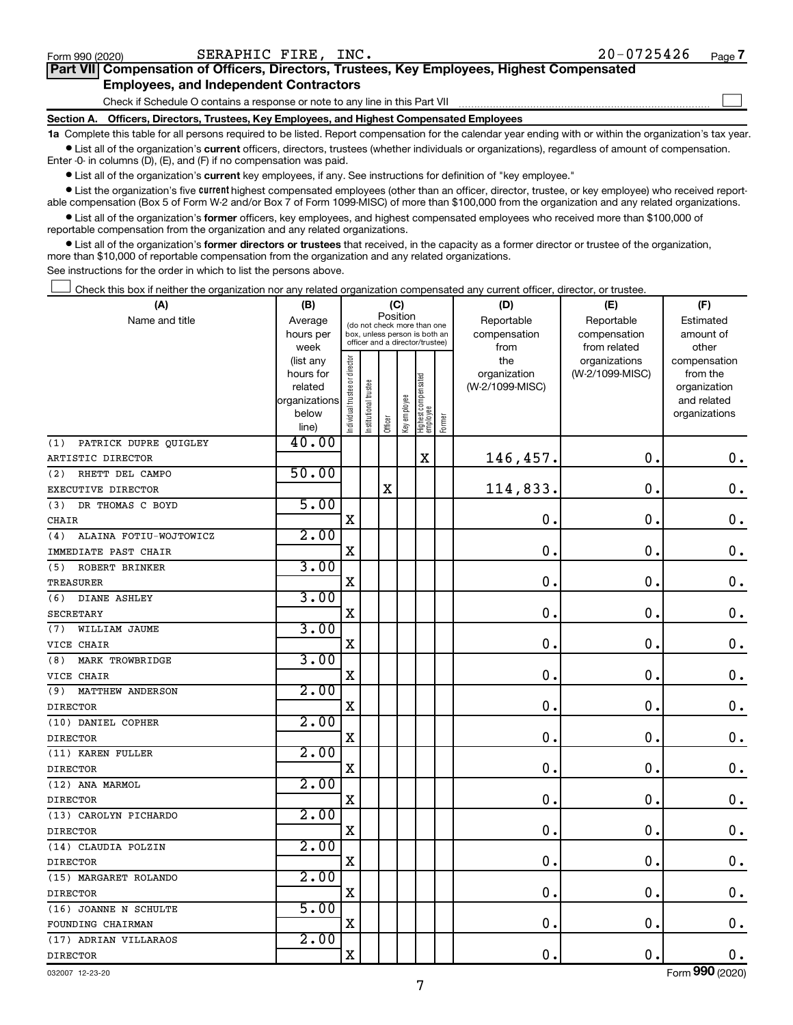$\Box$ 

| Part VII Compensation of Officers, Directors, Trustees, Key Employees, Highest Compensated |  |  |
|--------------------------------------------------------------------------------------------|--|--|
| <b>Employees, and Independent Contractors</b>                                              |  |  |

Check if Schedule O contains a response or note to any line in this Part VII

**Section A. Officers, Directors, Trustees, Key Employees, and Highest Compensated Employees**

**1a**  Complete this table for all persons required to be listed. Report compensation for the calendar year ending with or within the organization's tax year.  $\bullet$  List all of the organization's current officers, directors, trustees (whether individuals or organizations), regardless of amount of compensation.

Enter -0- in columns (D), (E), and (F) if no compensation was paid.

**•** List all of the organization's current key employees, if any. See instructions for definition of "key employee."

• List the organization's five *current* highest compensated employees (other than an officer, director, trustee, or key employee) who received reportable compensation (Box 5 of Form W-2 and/or Box 7 of Form 1099-MISC) of more than \$100,000 from the organization and any related organizations.

 $\bullet$  List all of the organization's former officers, key employees, and highest compensated employees who received more than \$100,000 of reportable compensation from the organization and any related organizations.

**•** List all of the organization's former directors or trustees that received, in the capacity as a former director or trustee of the organization, more than \$10,000 of reportable compensation from the organization and any related organizations.

See instructions for the order in which to list the persons above.

Check this box if neither the organization nor any related organization compensated any current officer, director, or trustee.  $\Box$ 

| (A)                            | (B)                    |                               |                                                                  | (C)      |              |                                   |        | (D)                             | (E)             | (F)                      |
|--------------------------------|------------------------|-------------------------------|------------------------------------------------------------------|----------|--------------|-----------------------------------|--------|---------------------------------|-----------------|--------------------------|
| Name and title                 | Average                |                               | (do not check more than one                                      | Position |              |                                   |        | Reportable                      | Reportable      | Estimated                |
|                                | hours per              |                               | box, unless person is both an<br>officer and a director/trustee) |          |              |                                   |        | compensation                    | compensation    | amount of                |
|                                | week                   |                               |                                                                  |          |              |                                   |        | from                            | from related    | other                    |
|                                | (list any<br>hours for |                               |                                                                  |          |              |                                   |        | the                             | organizations   | compensation<br>from the |
|                                | related                |                               |                                                                  |          |              |                                   |        | organization<br>(W-2/1099-MISC) | (W-2/1099-MISC) | organization             |
|                                | organizations          |                               |                                                                  |          |              |                                   |        |                                 |                 | and related              |
|                                | below                  | ndividual trustee or director |                                                                  |          |              |                                   |        |                                 |                 | organizations            |
|                                | line)                  |                               | Institutional trustee                                            | Officer  | Key employee | Highest compensated<br>  employee | Former |                                 |                 |                          |
| PATRICK DUPRE QUIGLEY<br>(1)   | 40.00                  |                               |                                                                  |          |              |                                   |        |                                 |                 |                          |
| ARTISTIC DIRECTOR              |                        |                               |                                                                  |          |              | $\mathbf X$                       |        | 146,457.                        | $\mathbf 0$ .   | $\mathbf 0$ .            |
| RHETT DEL CAMPO<br>(2)         | 50.00                  |                               |                                                                  |          |              |                                   |        |                                 |                 |                          |
| EXECUTIVE DIRECTOR             |                        |                               |                                                                  | X        |              |                                   |        | 114,833.                        | $\mathbf 0$     | $\mathbf 0$ .            |
| DR THOMAS C BOYD<br>(3)        | 5.00                   |                               |                                                                  |          |              |                                   |        |                                 |                 |                          |
| <b>CHAIR</b>                   |                        | $\mathbf X$                   |                                                                  |          |              |                                   |        | $\mathbf 0$                     | $\mathbf 0$     | $\mathbf 0$ .            |
| ALAINA FOTIU-WOJTOWICZ<br>(4)  | 2.00                   |                               |                                                                  |          |              |                                   |        |                                 |                 |                          |
| IMMEDIATE PAST CHAIR           |                        | $\mathbf X$                   |                                                                  |          |              |                                   |        | $\mathbf 0$                     | $\mathbf 0$     | $\mathbf 0$ .            |
| ROBERT BRINKER<br>(5)          | 3.00                   |                               |                                                                  |          |              |                                   |        |                                 |                 |                          |
| TREASURER                      |                        | $\mathbf X$                   |                                                                  |          |              |                                   |        | $\mathbf 0$                     | $\mathbf 0$ .   | $\mathbf 0$ .            |
| DIANE ASHLEY<br>(6)            | 3.00                   |                               |                                                                  |          |              |                                   |        |                                 |                 |                          |
| <b>SECRETARY</b>               |                        | $\mathbf X$                   |                                                                  |          |              |                                   |        | $\mathbf 0$ .                   | 0.              | $\mathbf 0$ .            |
| WILLIAM JAUME<br>(7)           | 3.00                   |                               |                                                                  |          |              |                                   |        |                                 |                 |                          |
| VICE CHAIR                     |                        | $\mathbf X$                   |                                                                  |          |              |                                   |        | $\mathbf 0$                     | $\mathbf 0$     | $\mathbf 0$ .            |
| MARK TROWBRIDGE<br>(8)         | 3.00                   |                               |                                                                  |          |              |                                   |        |                                 |                 |                          |
| VICE CHAIR                     |                        | $\mathbf X$                   |                                                                  |          |              |                                   |        | $\mathbf 0$ .                   | 0.              | $\mathbf 0$ .            |
| <b>MATTHEW ANDERSON</b><br>(9) | 2.00                   |                               |                                                                  |          |              |                                   |        |                                 |                 |                          |
| <b>DIRECTOR</b>                |                        | $\mathbf X$                   |                                                                  |          |              |                                   |        | $\mathbf 0$ .                   | $\mathbf 0$ .   | $\mathbf 0$ .            |
| (10) DANIEL COPHER             | 2.00                   |                               |                                                                  |          |              |                                   |        |                                 |                 |                          |
| <b>DIRECTOR</b>                |                        | X                             |                                                                  |          |              |                                   |        | 0.                              | $\mathbf 0$ .   | $\mathbf 0$ .            |
| (11) KAREN FULLER              | 2.00                   |                               |                                                                  |          |              |                                   |        |                                 |                 |                          |
| <b>DIRECTOR</b>                |                        | X                             |                                                                  |          |              |                                   |        | $\mathbf 0$ .                   | $\mathbf 0$ .   | $\mathbf 0$ .            |
| (12) ANA MARMOL                | 2.00                   |                               |                                                                  |          |              |                                   |        |                                 |                 |                          |
| <b>DIRECTOR</b>                |                        | X                             |                                                                  |          |              |                                   |        | $\mathbf 0$ .                   | $\mathbf 0$ .   | $\mathbf 0$ .            |
| (13) CAROLYN PICHARDO          | 2.00                   |                               |                                                                  |          |              |                                   |        |                                 |                 |                          |
| <b>DIRECTOR</b>                |                        | $\mathbf X$                   |                                                                  |          |              |                                   |        | 0.                              | $\mathbf 0$ .   | $\mathbf 0$ .            |
| (14) CLAUDIA POLZIN            | 2.00                   |                               |                                                                  |          |              |                                   |        |                                 |                 |                          |
| <b>DIRECTOR</b>                |                        | $\rm X$                       |                                                                  |          |              |                                   |        | 0.                              | $\mathbf 0$ .   | $\mathbf 0$ .            |
| (15) MARGARET ROLANDO          | 2.00                   |                               |                                                                  |          |              |                                   |        |                                 |                 |                          |
| <b>DIRECTOR</b>                |                        | $\mathbf X$                   |                                                                  |          |              |                                   |        | 0.                              | $\mathbf 0$ .   | $\mathbf 0$ .            |
| (16) JOANNE N SCHULTE          | 5.00                   |                               |                                                                  |          |              |                                   |        |                                 |                 |                          |
| FOUNDING CHAIRMAN              |                        | $\rm X$                       |                                                                  |          |              |                                   |        | 0.                              | $\mathbf 0$ .   | $\mathbf 0$ .            |
| (17) ADRIAN VILLARAOS          | 2.00                   |                               |                                                                  |          |              |                                   |        |                                 |                 |                          |
| <b>DIRECTOR</b>                |                        | $\rm X$                       |                                                                  |          |              |                                   |        | 0.                              | $\mathbf 0$ .   | 0.                       |

032007 12-23-20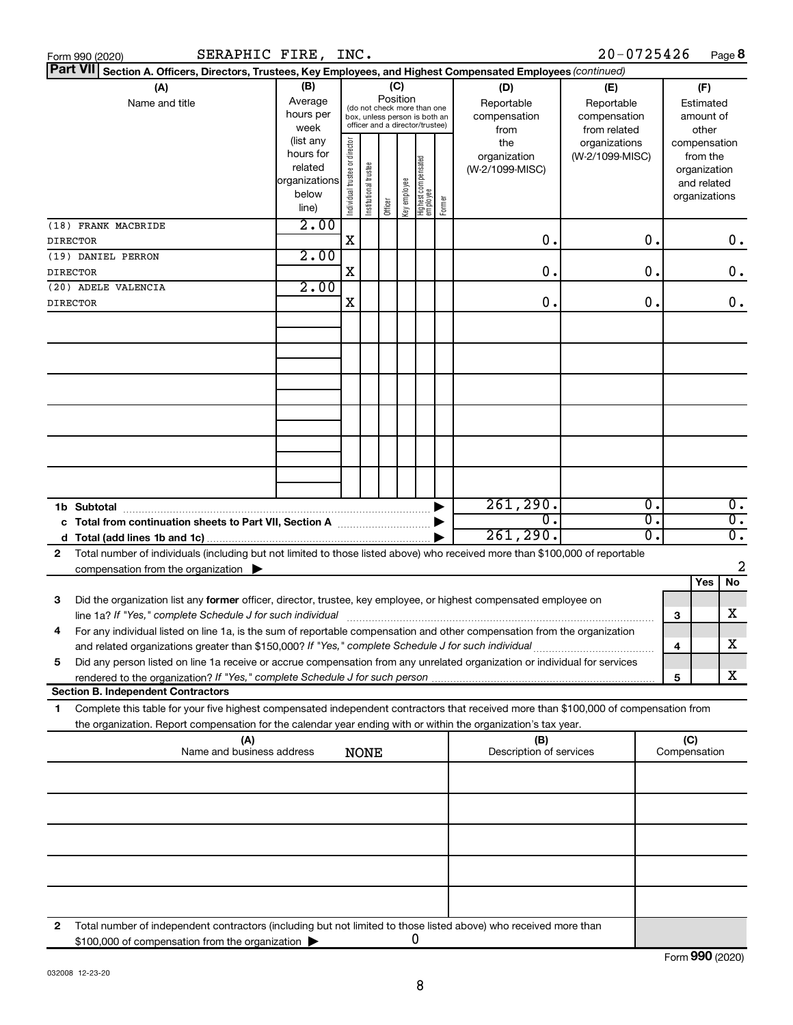|              | Part VII Section A. Officers, Directors, Trustees, Key Employees, and Highest Compensated Employees (continued)                                                                                           |                                                                      |                                |                                                                                                 |         |                 |                                   |        |                                           |                                                   |                  |              |                                                                          |                  |
|--------------|-----------------------------------------------------------------------------------------------------------------------------------------------------------------------------------------------------------|----------------------------------------------------------------------|--------------------------------|-------------------------------------------------------------------------------------------------|---------|-----------------|-----------------------------------|--------|-------------------------------------------|---------------------------------------------------|------------------|--------------|--------------------------------------------------------------------------|------------------|
|              | (A)<br>Name and title                                                                                                                                                                                     | (B)<br>Average<br>hours per<br>week                                  |                                | (do not check more than one<br>box, unless person is both an<br>officer and a director/trustee) |         | (C)<br>Position |                                   |        | (D)<br>Reportable<br>compensation<br>from | (E)<br>Reportable<br>compensation<br>from related |                  |              | (F)<br>Estimated<br>amount of<br>other                                   |                  |
|              |                                                                                                                                                                                                           | (list any<br>hours for<br>related<br>organizations<br>below<br>line) | Individual trustee or director | Institutional trustee                                                                           | Officer | Key employee    | Highest compensated<br>  employee | Former | the<br>organization<br>(W-2/1099-MISC)    | organizations<br>(W-2/1099-MISC)                  |                  |              | compensation<br>from the<br>organization<br>and related<br>organizations |                  |
|              | (18) FRANK MACBRIDE                                                                                                                                                                                       | 2.00                                                                 | $\mathbf X$                    |                                                                                                 |         |                 |                                   |        | 0.                                        |                                                   | 0.               |              |                                                                          |                  |
|              | <b>DIRECTOR</b><br>(19) DANIEL PERRON                                                                                                                                                                     | 2.00                                                                 |                                |                                                                                                 |         |                 |                                   |        |                                           |                                                   |                  |              |                                                                          | 0.               |
|              | <b>DIRECTOR</b>                                                                                                                                                                                           |                                                                      | x                              |                                                                                                 |         |                 |                                   |        | 0.                                        |                                                   | $\mathbf 0$ .    |              |                                                                          | 0.               |
|              | (20) ADELE VALENCIA                                                                                                                                                                                       | 2.00                                                                 |                                |                                                                                                 |         |                 |                                   |        |                                           |                                                   |                  |              |                                                                          |                  |
|              | <b>DIRECTOR</b>                                                                                                                                                                                           |                                                                      | X                              |                                                                                                 |         |                 |                                   |        | 0.                                        |                                                   | $\mathbf 0$ .    |              |                                                                          | 0.               |
|              |                                                                                                                                                                                                           |                                                                      |                                |                                                                                                 |         |                 |                                   |        |                                           |                                                   |                  |              |                                                                          |                  |
|              |                                                                                                                                                                                                           |                                                                      |                                |                                                                                                 |         |                 |                                   |        |                                           |                                                   |                  |              |                                                                          |                  |
|              |                                                                                                                                                                                                           |                                                                      |                                |                                                                                                 |         |                 |                                   |        |                                           |                                                   |                  |              |                                                                          |                  |
|              |                                                                                                                                                                                                           |                                                                      |                                |                                                                                                 |         |                 |                                   |        |                                           |                                                   |                  |              |                                                                          |                  |
|              |                                                                                                                                                                                                           |                                                                      |                                |                                                                                                 |         |                 |                                   |        | 261, 290.                                 |                                                   | $\overline{0}$ . |              |                                                                          | $\overline{0}$ . |
|              | Total from continuation sheets to Part VII, Section A manufactured:                                                                                                                                       |                                                                      |                                |                                                                                                 |         |                 |                                   |        | О.                                        |                                                   | О.               |              |                                                                          | $\overline{0}$ . |
| d            |                                                                                                                                                                                                           |                                                                      |                                |                                                                                                 |         |                 |                                   |        | 261, 290.                                 |                                                   | $\Omega$ .       |              |                                                                          | $\overline{0}$ . |
| $\mathbf{2}$ | Total number of individuals (including but not limited to those listed above) who received more than \$100,000 of reportable<br>compensation from the organization $\blacktriangleright$                  |                                                                      |                                |                                                                                                 |         |                 |                                   |        |                                           |                                                   |                  |              |                                                                          | $\overline{2}$   |
|              |                                                                                                                                                                                                           |                                                                      |                                |                                                                                                 |         |                 |                                   |        |                                           |                                                   |                  |              | <b>Yes</b>                                                               | No               |
| 3            | Did the organization list any former officer, director, trustee, key employee, or highest compensated employee on<br>line 1a? If "Yes," complete Schedule J for such individual                           |                                                                      |                                |                                                                                                 |         |                 |                                   |        |                                           |                                                   |                  | З            |                                                                          | x                |
| 4            | For any individual listed on line 1a, is the sum of reportable compensation and other compensation from the organization                                                                                  |                                                                      |                                |                                                                                                 |         |                 |                                   |        |                                           |                                                   |                  |              |                                                                          |                  |
|              |                                                                                                                                                                                                           |                                                                      |                                |                                                                                                 |         |                 |                                   |        |                                           |                                                   |                  | 4            |                                                                          | X                |
| 5            | Did any person listed on line 1a receive or accrue compensation from any unrelated organization or individual for services<br>rendered to the organization? If "Yes," complete Schedule J for such person |                                                                      |                                |                                                                                                 |         |                 |                                   |        |                                           |                                                   |                  | 5            |                                                                          | x                |
|              | <b>Section B. Independent Contractors</b>                                                                                                                                                                 |                                                                      |                                |                                                                                                 |         |                 |                                   |        |                                           |                                                   |                  |              |                                                                          |                  |
| 1.           | Complete this table for your five highest compensated independent contractors that received more than \$100,000 of compensation from                                                                      |                                                                      |                                |                                                                                                 |         |                 |                                   |        |                                           |                                                   |                  |              |                                                                          |                  |
|              | the organization. Report compensation for the calendar year ending with or within the organization's tax year.<br>(A)                                                                                     |                                                                      |                                |                                                                                                 |         |                 |                                   |        | (B)                                       |                                                   |                  | (C)          |                                                                          |                  |
|              | Name and business address<br>Description of services<br><b>NONE</b>                                                                                                                                       |                                                                      |                                |                                                                                                 |         |                 |                                   |        |                                           |                                                   |                  | Compensation |                                                                          |                  |
|              |                                                                                                                                                                                                           |                                                                      |                                |                                                                                                 |         |                 |                                   |        |                                           |                                                   |                  |              |                                                                          |                  |
|              |                                                                                                                                                                                                           |                                                                      |                                |                                                                                                 |         |                 |                                   |        |                                           |                                                   |                  |              |                                                                          |                  |
|              |                                                                                                                                                                                                           |                                                                      |                                |                                                                                                 |         |                 |                                   |        |                                           |                                                   |                  |              |                                                                          |                  |
|              |                                                                                                                                                                                                           |                                                                      |                                |                                                                                                 |         |                 |                                   |        |                                           |                                                   |                  |              |                                                                          |                  |
|              |                                                                                                                                                                                                           |                                                                      |                                |                                                                                                 |         |                 |                                   |        |                                           |                                                   |                  |              |                                                                          |                  |
| 2            | Total number of independent contractors (including but not limited to those listed above) who received more than<br>\$100,000 of compensation from the organization                                       |                                                                      |                                |                                                                                                 |         |                 | 0                                 |        |                                           |                                                   |                  |              |                                                                          |                  |

Form 990 (2020) Page

SERAPHIC FIRE, INC. 20-0725426

**8**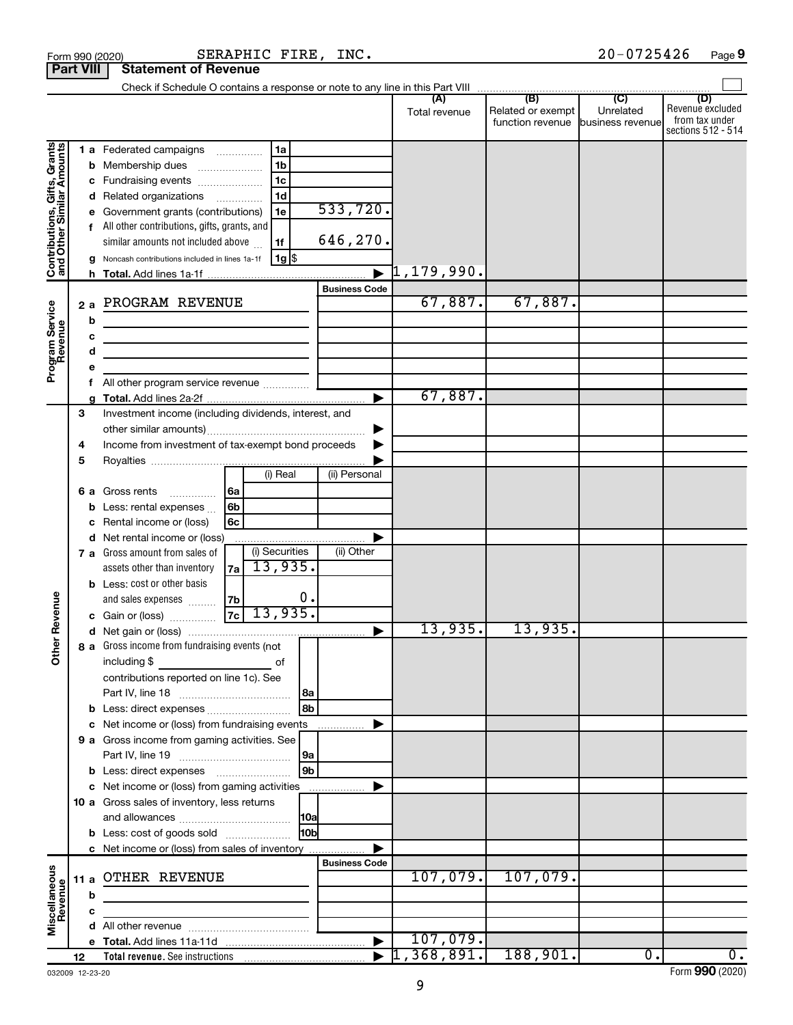|                                                           | <b>Part VIII</b> | <b>Statement of Revenue</b>                                                                                                                                                                                                                                                                                                                                                                      |                      |                                  |                                       |                               |                                                                 |
|-----------------------------------------------------------|------------------|--------------------------------------------------------------------------------------------------------------------------------------------------------------------------------------------------------------------------------------------------------------------------------------------------------------------------------------------------------------------------------------------------|----------------------|----------------------------------|---------------------------------------|-------------------------------|-----------------------------------------------------------------|
|                                                           |                  |                                                                                                                                                                                                                                                                                                                                                                                                  |                      |                                  |                                       |                               |                                                                 |
|                                                           |                  |                                                                                                                                                                                                                                                                                                                                                                                                  |                      | Total revenue                    | Related or exempt<br>function revenue | Unrelated<br>business revenue | (D)<br>Revenue excluded<br>from tax under<br>sections 512 - 514 |
| Contributions, Gifts, Grants<br>and Other Similar Amounts | b<br>с<br>a      | 1a<br><b>1 a</b> Federated campaigns<br>.<br>1 <sub>b</sub><br>Membership dues<br>1 <sub>c</sub><br>Fundraising events<br>1 <sub>d</sub><br>d Related organizations<br>$\overline{\phantom{a}}$<br>1e<br>Government grants (contributions)<br>All other contributions, gifts, grants, and<br>similar amounts not included above<br>1f<br>1g  \$<br>Noncash contributions included in lines 1a-1f | 533,720.<br>646,270. | $\blacktriangleright$ 1,179,990. |                                       |                               |                                                                 |
|                                                           | 2a<br>b          | PROGRAM REVENUE                                                                                                                                                                                                                                                                                                                                                                                  | <b>Business Code</b> | 67,887.                          | 67,887.                               |                               |                                                                 |
| Program Service<br>Revenue                                | d                | <u> 1989 - Johann Barbara, martin a bhann an t-Alban an t-Alban an t-Alban an t-Alban an t-Alban an t-Alban an t-Alban an t-Alban an t-Alban an t-Alban an t-Alban an t-Alban an t-Alban an t-Alban an t-Alban an t-Alban an t-A</u><br>the control of the control of the control of the control of the control of                                                                               |                      |                                  |                                       |                               |                                                                 |
|                                                           |                  |                                                                                                                                                                                                                                                                                                                                                                                                  |                      | 67,887.                          |                                       |                               |                                                                 |
|                                                           | 3<br>4<br>5      | Investment income (including dividends, interest, and<br>Income from investment of tax-exempt bond proceeds                                                                                                                                                                                                                                                                                      |                      |                                  |                                       |                               |                                                                 |
|                                                           | 6а<br>b          | (i) Real<br>Gross rents<br> 6a<br>.<br>6b<br>Less: rental expenses<br>6c<br>Rental income or (loss)                                                                                                                                                                                                                                                                                              | (ii) Personal        |                                  |                                       |                               |                                                                 |
|                                                           |                  | d Net rental income or (loss)<br>(i) Securities<br>7 a Gross amount from sales of<br>13,935.<br>assets other than inventory<br>7a<br><b>b</b> Less: cost or other basis<br>0.<br>7b<br>and sales expenses                                                                                                                                                                                        | (ii) Other           |                                  |                                       |                               |                                                                 |
| Revenue<br>৯<br>š                                         |                  | 13,935.<br> 7c <br>c Gain or (loss)<br>8 a Gross income from fundraising events (not                                                                                                                                                                                                                                                                                                             |                      | 13,935.                          | 13,935.                               |                               |                                                                 |
|                                                           |                  | including \$<br>оf<br>contributions reported on line 1c). See<br> 8a<br>8b<br><b>b</b> Less: direct expenses                                                                                                                                                                                                                                                                                     |                      |                                  |                                       |                               |                                                                 |
|                                                           |                  | c Net income or (loss) from fundraising events<br>9 a Gross income from gaming activities. See<br> 9a<br>9 <sub>b</sub><br><b>b</b> Less: direct expenses <b>manually</b>                                                                                                                                                                                                                        | .                    |                                  |                                       |                               |                                                                 |
|                                                           |                  | c Net income or (loss) from gaming activities<br>10 a Gross sales of inventory, less returns<br> 10a<br>10bl<br><b>b</b> Less: cost of goods sold                                                                                                                                                                                                                                                |                      |                                  |                                       |                               |                                                                 |
|                                                           | b                | c Net income or (loss) from sales of inventory<br>11 a OTHER REVENUE                                                                                                                                                                                                                                                                                                                             | <b>Business Code</b> | 107,079.                         | 107,079.                              |                               |                                                                 |
| Miscellaneous<br>Revenue                                  |                  |                                                                                                                                                                                                                                                                                                                                                                                                  |                      | 107,079.                         |                                       |                               |                                                                 |
|                                                           | 12               |                                                                                                                                                                                                                                                                                                                                                                                                  |                      | ,368,891.                        | 188,901.                              | $\overline{0}$ .              | $\overline{0}$ .                                                |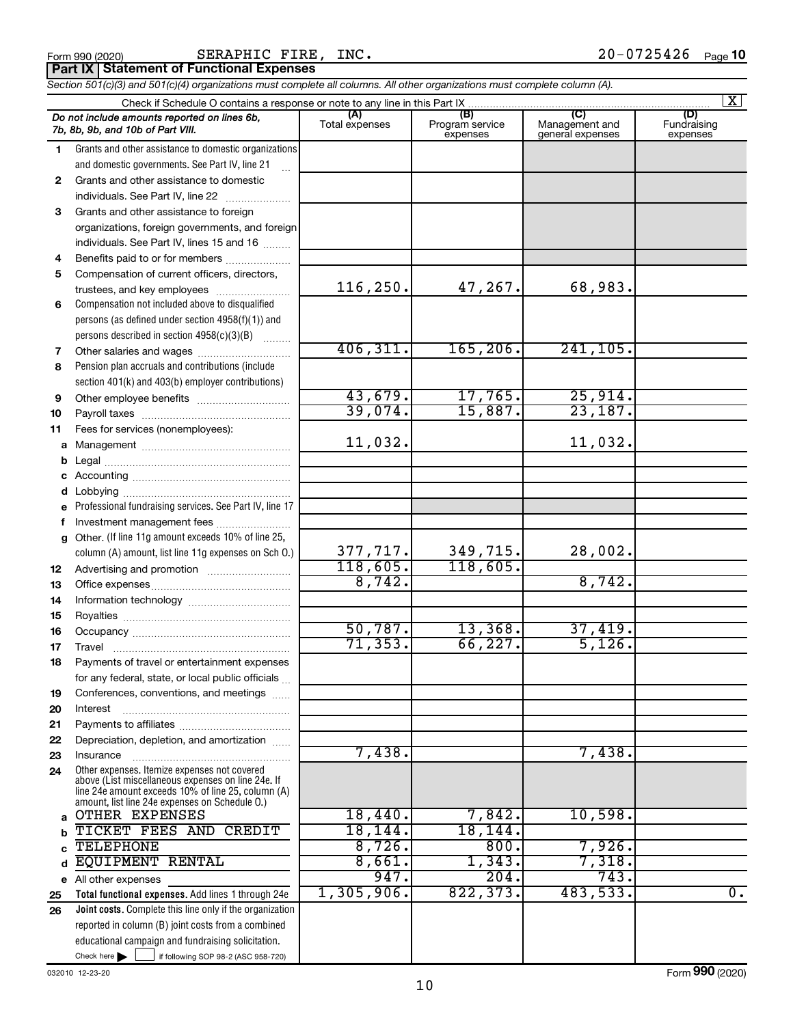# Check here if following SOP 98-2 (ASC 958-720) Add lines 1 through 24e ……………………… ………………………… ~~~~~~~~~~~~~~~ ……………………………… ………………………………… . . . . . . Form (2020) **990** 377,717. 349,715. 28,002. 118,605. 118,605. 8,742. 8,742. 50,787. 13,368. 37,419. 71,353. 66,227. 5,126. 7,438. 7,438. 947. 204. 743. 1,305,906. 822,373. 483,533. 0. 10

SERAPHIC FIRE, INC.

Form 990 (2020) Page

|              | Section 501(c)(3) and 501(c)(4) organizations must complete all columns. All other organizations must complete column (A).                                                                                 |                       |                                    |                                           |                                |
|--------------|------------------------------------------------------------------------------------------------------------------------------------------------------------------------------------------------------------|-----------------------|------------------------------------|-------------------------------------------|--------------------------------|
|              | Check if Schedule O contains a response or note to any line in this Part IX.                                                                                                                               |                       |                                    |                                           | $\mathbf{X}$                   |
|              | Do not include amounts reported on lines 6b,<br>7b, 8b, 9b, and 10b of Part VIII.                                                                                                                          | (A)<br>Total expenses | (B)<br>Program service<br>expenses | (C)<br>Management and<br>general expenses | (D)<br>Fundraising<br>expenses |
| 1            | Grants and other assistance to domestic organizations                                                                                                                                                      |                       |                                    |                                           |                                |
|              | and domestic governments. See Part IV, line 21                                                                                                                                                             |                       |                                    |                                           |                                |
| $\mathbf{2}$ | Grants and other assistance to domestic                                                                                                                                                                    |                       |                                    |                                           |                                |
|              | individuals. See Part IV, line 22                                                                                                                                                                          |                       |                                    |                                           |                                |
| 3            | Grants and other assistance to foreign                                                                                                                                                                     |                       |                                    |                                           |                                |
|              | organizations, foreign governments, and foreign<br>individuals. See Part IV, lines 15 and 16                                                                                                               |                       |                                    |                                           |                                |
| 4            | Benefits paid to or for members                                                                                                                                                                            |                       |                                    |                                           |                                |
| 5            | Compensation of current officers, directors,                                                                                                                                                               |                       |                                    |                                           |                                |
|              | trustees, and key employees                                                                                                                                                                                | 116, 250.             | 47,267.                            | 68,983.                                   |                                |
| 6            | Compensation not included above to disqualified                                                                                                                                                            |                       |                                    |                                           |                                |
|              | persons (as defined under section 4958(f)(1)) and                                                                                                                                                          |                       |                                    |                                           |                                |
|              | persons described in section 4958(c)(3)(B)                                                                                                                                                                 |                       |                                    |                                           |                                |
| 7            |                                                                                                                                                                                                            | 406, 311.             | 165, 206.                          | 241, 105.                                 |                                |
| 8            | Pension plan accruals and contributions (include                                                                                                                                                           |                       |                                    |                                           |                                |
|              | section 401(k) and 403(b) employer contributions)                                                                                                                                                          |                       |                                    |                                           |                                |
| 9            |                                                                                                                                                                                                            | 43,679.               | 17,765.                            | 25,914.                                   |                                |
| 10           |                                                                                                                                                                                                            | 39,074.               | 15,887.                            | 23,187.                                   |                                |
| 11           | Fees for services (nonemployees):                                                                                                                                                                          |                       |                                    |                                           |                                |
| a            |                                                                                                                                                                                                            | 11,032.               |                                    | 11,032.                                   |                                |
| b            |                                                                                                                                                                                                            |                       |                                    |                                           |                                |
| с            |                                                                                                                                                                                                            |                       |                                    |                                           |                                |
| d            |                                                                                                                                                                                                            |                       |                                    |                                           |                                |
| е            | Professional fundraising services. See Part IV, line 17                                                                                                                                                    |                       |                                    |                                           |                                |
| f            | Investment management fees                                                                                                                                                                                 |                       |                                    |                                           |                                |
| g            | Other. (If line 11g amount exceeds 10% of line 25,                                                                                                                                                         | 377,717.              | 349,715.                           | 28,002.                                   |                                |
|              | column (A) amount, list line 11g expenses on Sch O.)                                                                                                                                                       | 118,605.              | 118,605.                           |                                           |                                |
| 12           |                                                                                                                                                                                                            | 8,742.                |                                    | 8,742.                                    |                                |
| 13           |                                                                                                                                                                                                            |                       |                                    |                                           |                                |
| 14<br>15     |                                                                                                                                                                                                            |                       |                                    |                                           |                                |
| 16           |                                                                                                                                                                                                            | 50,787.               | 13,368.                            | 37,419.                                   |                                |
| 17           |                                                                                                                                                                                                            | 71, 353.              | 66, 227.                           | 5,126.                                    |                                |
| 18           | Payments of travel or entertainment expenses                                                                                                                                                               |                       |                                    |                                           |                                |
|              | for any federal, state, or local public officials                                                                                                                                                          |                       |                                    |                                           |                                |
| 19           | Conferences, conventions, and meetings                                                                                                                                                                     |                       |                                    |                                           |                                |
| 20           | Interest                                                                                                                                                                                                   |                       |                                    |                                           |                                |
| 21           |                                                                                                                                                                                                            |                       |                                    |                                           |                                |
| 22           | Depreciation, depletion, and amortization                                                                                                                                                                  |                       |                                    |                                           |                                |
| 23           | Insurance                                                                                                                                                                                                  | 7,438.                |                                    | 7,438.                                    |                                |
| 24           | Other expenses. Itemize expenses not covered<br>above (List miscellaneous expenses on line 24e. If<br>line 24e amount exceeds 10% of line 25, column (A)<br>amount, list line 24e expenses on Schedule O.) |                       |                                    |                                           |                                |
| a            | OTHER EXPENSES                                                                                                                                                                                             | 18,440.               | 7,842.                             | 10,598.                                   |                                |
| b            | TICKET FEES AND CREDIT                                                                                                                                                                                     | 18, 144.              | 18, 144.                           |                                           |                                |
| C            | <b>TELEPHONE</b>                                                                                                                                                                                           | 8,726.                | 800.                               | 7,926.                                    |                                |
| d            | <b>EQUIPMENT RENTAL</b>                                                                                                                                                                                    | 8,661.                | 1,343.                             | 7,318.                                    |                                |
| е            | All other expenses                                                                                                                                                                                         | 947.                  | 204.                               | 743.                                      |                                |
| 25           | Total functional expenses. Add lines 1 through 24e                                                                                                                                                         | 1,305,906.            | 822, 373.                          | 483,533.                                  | $\overline{0}$ .               |
| 26           | Joint costs. Complete this line only if the organization                                                                                                                                                   |                       |                                    |                                           |                                |
|              | reported in column (B) joint costs from a combined<br>educational campaign and fundraising solicitation.                                                                                                   |                       |                                    |                                           |                                |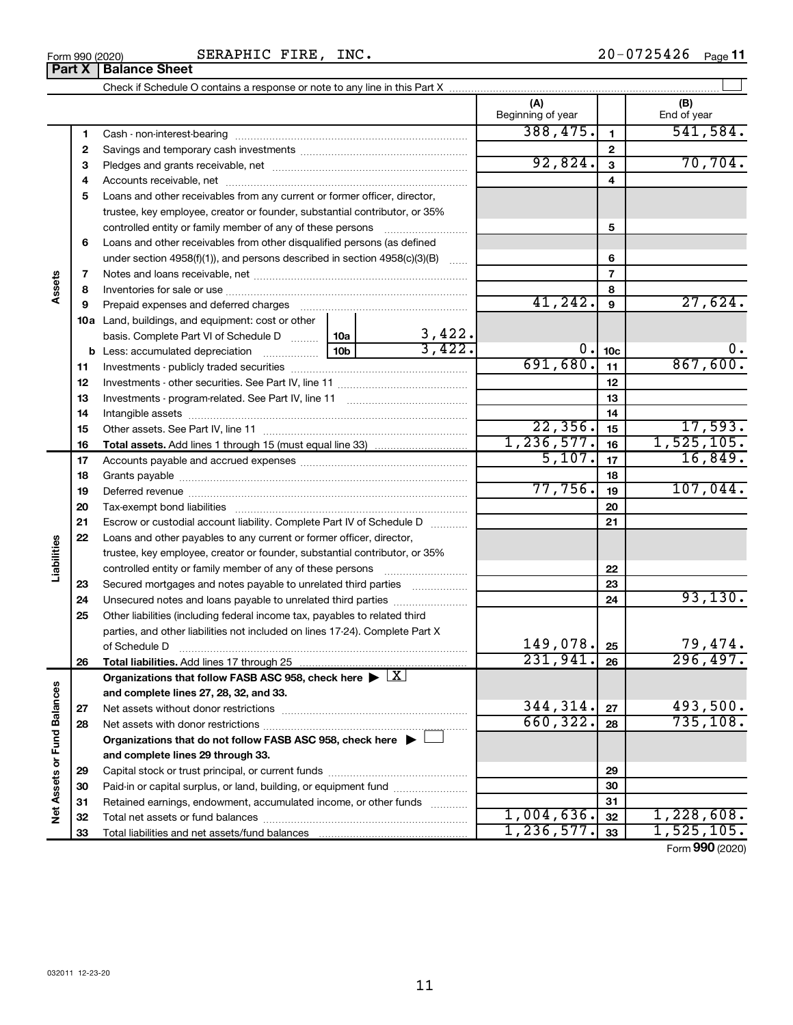$\perp$ 

**(A) (B) 1 2 3** Pledges and grants receivable, net ~~~~~~~~~~~~~~~~~~~~~ **4** Accounts receivable, net ~~~~~~~~~~~~~~~~~~~~~~~~~~ **5 6 7 8 9 1 2 3 4 5 6 7 8 9 a** Check if Schedule O contains a response or note to any line in this Part X Beginning of year | End of year Cash - non-interest-bearing ~~~~~~~~~~~~~~~~~~~~~~~~~ Savings and temporary cash investments ~~~~~~~~~~~~~~~~~~ Loans and other receivables from any current or former officer, director, trustee, key employee, creator or founder, substantial contributor, or 35% controlled entity or family member of any of these persons ~~~~~~~~~ Loans and other receivables from other disqualified persons (as defined under section 4958(f)(1)), and persons described in section 4958(c)(3)(B)  $\quad \ldots \ldots$ Notes and loans receivable, net Inventories for sale or use Prepaid expenses and deferred charges ~~~~~~~~~~~~~~~~~~~~~~~ ~~~~~~~~~~~~~~~~~~~~~~~~~~ ~~~~~~~~~~~~~~~~~~ Land, buildings, and equipment: cost or other **Part X** | Balance Sheet  $388,475.$  1 541,584. 92,824. 70,704.

| controlled entity or family member of any of these persons<br>5<br>Loans and other receivables from other disqualified persons (as defined<br>6<br>6<br>under section $4958(f)(1)$ , and persons described in section $4958(c)(3)(B)$<br>$\sim$<br>$\overline{7}$<br>7<br>Assets<br>8<br>8<br>41, 242.<br>27,624.<br>9<br>9<br>Prepaid expenses and deferred charges<br><b>10a</b> Land, buildings, and equipment: cost or other<br>3,422.<br>basis. Complete Part VI of Schedule D    10a  <br>3,422.<br>$0$ .<br>0.<br>10 <sub>c</sub><br>867,600.<br>691,680.<br>11<br>11<br>12<br>12<br>13<br>13<br>14<br>14<br>22, 356.<br>17,593.<br>15<br>15<br>1, 236, 577.<br>1,525,105.<br>16<br>16<br>5,107.<br>16,849.<br>17<br>17<br>18<br>18<br>77,756.<br>107,044.<br>19<br>19<br>20<br>20<br>21<br>21<br>Escrow or custodial account liability. Complete Part IV of Schedule D<br>22<br>Loans and other payables to any current or former officer, director,<br>Liabilities<br>trustee, key employee, creator or founder, substantial contributor, or 35%<br>22<br>controlled entity or family member of any of these persons<br>23<br>Secured mortgages and notes payable to unrelated third parties<br>23<br>93,130.<br>24<br>24<br>25<br>Other liabilities (including federal income tax, payables to related third<br>parties, and other liabilities not included on lines 17-24). Complete Part X<br>149,078.<br>$\frac{79,474}{296,497}$ .<br>25<br>of Schedule D<br>231,941.<br>26<br>26<br>Organizations that follow FASB ASC 958, check here $\blacktriangleright \lfloor X \rfloor$<br>Net Assets or Fund Balances<br>and complete lines 27, 28, 32, and 33.<br>344, 314.<br>493,500.<br>27<br>27<br>660, 322.<br>735, 108.<br>28<br>28<br>Organizations that do not follow FASB ASC 958, check here $\blacktriangleright \sqsubset$<br>and complete lines 29 through 33.<br>29<br>29<br>30<br>Paid-in or capital surplus, or land, building, or equipment fund<br>30<br>Retained earnings, endowment, accumulated income, or other funds<br>31<br>31<br>1,004,636.<br>1,228,608.<br>32<br>32<br>1, 236, 577.<br>1,525,105.<br>33<br>33 |  | trustee, key employee, creator or founder, substantial contributor, or 35% |  |  |  |                             |
|---------------------------------------------------------------------------------------------------------------------------------------------------------------------------------------------------------------------------------------------------------------------------------------------------------------------------------------------------------------------------------------------------------------------------------------------------------------------------------------------------------------------------------------------------------------------------------------------------------------------------------------------------------------------------------------------------------------------------------------------------------------------------------------------------------------------------------------------------------------------------------------------------------------------------------------------------------------------------------------------------------------------------------------------------------------------------------------------------------------------------------------------------------------------------------------------------------------------------------------------------------------------------------------------------------------------------------------------------------------------------------------------------------------------------------------------------------------------------------------------------------------------------------------------------------------------------------------------------------------------------------------------------------------------------------------------------------------------------------------------------------------------------------------------------------------------------------------------------------------------------------------------------------------------------------------------------------------------------------------------------------------------------------------------------------------------------------------------------------------------------------------------------|--|----------------------------------------------------------------------------|--|--|--|-----------------------------|
|                                                                                                                                                                                                                                                                                                                                                                                                                                                                                                                                                                                                                                                                                                                                                                                                                                                                                                                                                                                                                                                                                                                                                                                                                                                                                                                                                                                                                                                                                                                                                                                                                                                                                                                                                                                                                                                                                                                                                                                                                                                                                                                                                   |  |                                                                            |  |  |  |                             |
|                                                                                                                                                                                                                                                                                                                                                                                                                                                                                                                                                                                                                                                                                                                                                                                                                                                                                                                                                                                                                                                                                                                                                                                                                                                                                                                                                                                                                                                                                                                                                                                                                                                                                                                                                                                                                                                                                                                                                                                                                                                                                                                                                   |  |                                                                            |  |  |  |                             |
|                                                                                                                                                                                                                                                                                                                                                                                                                                                                                                                                                                                                                                                                                                                                                                                                                                                                                                                                                                                                                                                                                                                                                                                                                                                                                                                                                                                                                                                                                                                                                                                                                                                                                                                                                                                                                                                                                                                                                                                                                                                                                                                                                   |  |                                                                            |  |  |  |                             |
|                                                                                                                                                                                                                                                                                                                                                                                                                                                                                                                                                                                                                                                                                                                                                                                                                                                                                                                                                                                                                                                                                                                                                                                                                                                                                                                                                                                                                                                                                                                                                                                                                                                                                                                                                                                                                                                                                                                                                                                                                                                                                                                                                   |  |                                                                            |  |  |  |                             |
|                                                                                                                                                                                                                                                                                                                                                                                                                                                                                                                                                                                                                                                                                                                                                                                                                                                                                                                                                                                                                                                                                                                                                                                                                                                                                                                                                                                                                                                                                                                                                                                                                                                                                                                                                                                                                                                                                                                                                                                                                                                                                                                                                   |  |                                                                            |  |  |  |                             |
|                                                                                                                                                                                                                                                                                                                                                                                                                                                                                                                                                                                                                                                                                                                                                                                                                                                                                                                                                                                                                                                                                                                                                                                                                                                                                                                                                                                                                                                                                                                                                                                                                                                                                                                                                                                                                                                                                                                                                                                                                                                                                                                                                   |  |                                                                            |  |  |  |                             |
|                                                                                                                                                                                                                                                                                                                                                                                                                                                                                                                                                                                                                                                                                                                                                                                                                                                                                                                                                                                                                                                                                                                                                                                                                                                                                                                                                                                                                                                                                                                                                                                                                                                                                                                                                                                                                                                                                                                                                                                                                                                                                                                                                   |  |                                                                            |  |  |  |                             |
|                                                                                                                                                                                                                                                                                                                                                                                                                                                                                                                                                                                                                                                                                                                                                                                                                                                                                                                                                                                                                                                                                                                                                                                                                                                                                                                                                                                                                                                                                                                                                                                                                                                                                                                                                                                                                                                                                                                                                                                                                                                                                                                                                   |  |                                                                            |  |  |  |                             |
|                                                                                                                                                                                                                                                                                                                                                                                                                                                                                                                                                                                                                                                                                                                                                                                                                                                                                                                                                                                                                                                                                                                                                                                                                                                                                                                                                                                                                                                                                                                                                                                                                                                                                                                                                                                                                                                                                                                                                                                                                                                                                                                                                   |  |                                                                            |  |  |  |                             |
|                                                                                                                                                                                                                                                                                                                                                                                                                                                                                                                                                                                                                                                                                                                                                                                                                                                                                                                                                                                                                                                                                                                                                                                                                                                                                                                                                                                                                                                                                                                                                                                                                                                                                                                                                                                                                                                                                                                                                                                                                                                                                                                                                   |  |                                                                            |  |  |  |                             |
|                                                                                                                                                                                                                                                                                                                                                                                                                                                                                                                                                                                                                                                                                                                                                                                                                                                                                                                                                                                                                                                                                                                                                                                                                                                                                                                                                                                                                                                                                                                                                                                                                                                                                                                                                                                                                                                                                                                                                                                                                                                                                                                                                   |  |                                                                            |  |  |  |                             |
|                                                                                                                                                                                                                                                                                                                                                                                                                                                                                                                                                                                                                                                                                                                                                                                                                                                                                                                                                                                                                                                                                                                                                                                                                                                                                                                                                                                                                                                                                                                                                                                                                                                                                                                                                                                                                                                                                                                                                                                                                                                                                                                                                   |  |                                                                            |  |  |  |                             |
|                                                                                                                                                                                                                                                                                                                                                                                                                                                                                                                                                                                                                                                                                                                                                                                                                                                                                                                                                                                                                                                                                                                                                                                                                                                                                                                                                                                                                                                                                                                                                                                                                                                                                                                                                                                                                                                                                                                                                                                                                                                                                                                                                   |  |                                                                            |  |  |  |                             |
|                                                                                                                                                                                                                                                                                                                                                                                                                                                                                                                                                                                                                                                                                                                                                                                                                                                                                                                                                                                                                                                                                                                                                                                                                                                                                                                                                                                                                                                                                                                                                                                                                                                                                                                                                                                                                                                                                                                                                                                                                                                                                                                                                   |  |                                                                            |  |  |  |                             |
|                                                                                                                                                                                                                                                                                                                                                                                                                                                                                                                                                                                                                                                                                                                                                                                                                                                                                                                                                                                                                                                                                                                                                                                                                                                                                                                                                                                                                                                                                                                                                                                                                                                                                                                                                                                                                                                                                                                                                                                                                                                                                                                                                   |  |                                                                            |  |  |  |                             |
|                                                                                                                                                                                                                                                                                                                                                                                                                                                                                                                                                                                                                                                                                                                                                                                                                                                                                                                                                                                                                                                                                                                                                                                                                                                                                                                                                                                                                                                                                                                                                                                                                                                                                                                                                                                                                                                                                                                                                                                                                                                                                                                                                   |  |                                                                            |  |  |  |                             |
|                                                                                                                                                                                                                                                                                                                                                                                                                                                                                                                                                                                                                                                                                                                                                                                                                                                                                                                                                                                                                                                                                                                                                                                                                                                                                                                                                                                                                                                                                                                                                                                                                                                                                                                                                                                                                                                                                                                                                                                                                                                                                                                                                   |  |                                                                            |  |  |  |                             |
|                                                                                                                                                                                                                                                                                                                                                                                                                                                                                                                                                                                                                                                                                                                                                                                                                                                                                                                                                                                                                                                                                                                                                                                                                                                                                                                                                                                                                                                                                                                                                                                                                                                                                                                                                                                                                                                                                                                                                                                                                                                                                                                                                   |  |                                                                            |  |  |  |                             |
|                                                                                                                                                                                                                                                                                                                                                                                                                                                                                                                                                                                                                                                                                                                                                                                                                                                                                                                                                                                                                                                                                                                                                                                                                                                                                                                                                                                                                                                                                                                                                                                                                                                                                                                                                                                                                                                                                                                                                                                                                                                                                                                                                   |  |                                                                            |  |  |  |                             |
|                                                                                                                                                                                                                                                                                                                                                                                                                                                                                                                                                                                                                                                                                                                                                                                                                                                                                                                                                                                                                                                                                                                                                                                                                                                                                                                                                                                                                                                                                                                                                                                                                                                                                                                                                                                                                                                                                                                                                                                                                                                                                                                                                   |  |                                                                            |  |  |  |                             |
|                                                                                                                                                                                                                                                                                                                                                                                                                                                                                                                                                                                                                                                                                                                                                                                                                                                                                                                                                                                                                                                                                                                                                                                                                                                                                                                                                                                                                                                                                                                                                                                                                                                                                                                                                                                                                                                                                                                                                                                                                                                                                                                                                   |  |                                                                            |  |  |  |                             |
|                                                                                                                                                                                                                                                                                                                                                                                                                                                                                                                                                                                                                                                                                                                                                                                                                                                                                                                                                                                                                                                                                                                                                                                                                                                                                                                                                                                                                                                                                                                                                                                                                                                                                                                                                                                                                                                                                                                                                                                                                                                                                                                                                   |  |                                                                            |  |  |  |                             |
|                                                                                                                                                                                                                                                                                                                                                                                                                                                                                                                                                                                                                                                                                                                                                                                                                                                                                                                                                                                                                                                                                                                                                                                                                                                                                                                                                                                                                                                                                                                                                                                                                                                                                                                                                                                                                                                                                                                                                                                                                                                                                                                                                   |  |                                                                            |  |  |  |                             |
|                                                                                                                                                                                                                                                                                                                                                                                                                                                                                                                                                                                                                                                                                                                                                                                                                                                                                                                                                                                                                                                                                                                                                                                                                                                                                                                                                                                                                                                                                                                                                                                                                                                                                                                                                                                                                                                                                                                                                                                                                                                                                                                                                   |  |                                                                            |  |  |  |                             |
|                                                                                                                                                                                                                                                                                                                                                                                                                                                                                                                                                                                                                                                                                                                                                                                                                                                                                                                                                                                                                                                                                                                                                                                                                                                                                                                                                                                                                                                                                                                                                                                                                                                                                                                                                                                                                                                                                                                                                                                                                                                                                                                                                   |  |                                                                            |  |  |  |                             |
|                                                                                                                                                                                                                                                                                                                                                                                                                                                                                                                                                                                                                                                                                                                                                                                                                                                                                                                                                                                                                                                                                                                                                                                                                                                                                                                                                                                                                                                                                                                                                                                                                                                                                                                                                                                                                                                                                                                                                                                                                                                                                                                                                   |  |                                                                            |  |  |  |                             |
|                                                                                                                                                                                                                                                                                                                                                                                                                                                                                                                                                                                                                                                                                                                                                                                                                                                                                                                                                                                                                                                                                                                                                                                                                                                                                                                                                                                                                                                                                                                                                                                                                                                                                                                                                                                                                                                                                                                                                                                                                                                                                                                                                   |  |                                                                            |  |  |  |                             |
|                                                                                                                                                                                                                                                                                                                                                                                                                                                                                                                                                                                                                                                                                                                                                                                                                                                                                                                                                                                                                                                                                                                                                                                                                                                                                                                                                                                                                                                                                                                                                                                                                                                                                                                                                                                                                                                                                                                                                                                                                                                                                                                                                   |  |                                                                            |  |  |  |                             |
|                                                                                                                                                                                                                                                                                                                                                                                                                                                                                                                                                                                                                                                                                                                                                                                                                                                                                                                                                                                                                                                                                                                                                                                                                                                                                                                                                                                                                                                                                                                                                                                                                                                                                                                                                                                                                                                                                                                                                                                                                                                                                                                                                   |  |                                                                            |  |  |  |                             |
|                                                                                                                                                                                                                                                                                                                                                                                                                                                                                                                                                                                                                                                                                                                                                                                                                                                                                                                                                                                                                                                                                                                                                                                                                                                                                                                                                                                                                                                                                                                                                                                                                                                                                                                                                                                                                                                                                                                                                                                                                                                                                                                                                   |  |                                                                            |  |  |  |                             |
|                                                                                                                                                                                                                                                                                                                                                                                                                                                                                                                                                                                                                                                                                                                                                                                                                                                                                                                                                                                                                                                                                                                                                                                                                                                                                                                                                                                                                                                                                                                                                                                                                                                                                                                                                                                                                                                                                                                                                                                                                                                                                                                                                   |  |                                                                            |  |  |  |                             |
|                                                                                                                                                                                                                                                                                                                                                                                                                                                                                                                                                                                                                                                                                                                                                                                                                                                                                                                                                                                                                                                                                                                                                                                                                                                                                                                                                                                                                                                                                                                                                                                                                                                                                                                                                                                                                                                                                                                                                                                                                                                                                                                                                   |  |                                                                            |  |  |  |                             |
|                                                                                                                                                                                                                                                                                                                                                                                                                                                                                                                                                                                                                                                                                                                                                                                                                                                                                                                                                                                                                                                                                                                                                                                                                                                                                                                                                                                                                                                                                                                                                                                                                                                                                                                                                                                                                                                                                                                                                                                                                                                                                                                                                   |  |                                                                            |  |  |  |                             |
|                                                                                                                                                                                                                                                                                                                                                                                                                                                                                                                                                                                                                                                                                                                                                                                                                                                                                                                                                                                                                                                                                                                                                                                                                                                                                                                                                                                                                                                                                                                                                                                                                                                                                                                                                                                                                                                                                                                                                                                                                                                                                                                                                   |  |                                                                            |  |  |  |                             |
|                                                                                                                                                                                                                                                                                                                                                                                                                                                                                                                                                                                                                                                                                                                                                                                                                                                                                                                                                                                                                                                                                                                                                                                                                                                                                                                                                                                                                                                                                                                                                                                                                                                                                                                                                                                                                                                                                                                                                                                                                                                                                                                                                   |  |                                                                            |  |  |  |                             |
|                                                                                                                                                                                                                                                                                                                                                                                                                                                                                                                                                                                                                                                                                                                                                                                                                                                                                                                                                                                                                                                                                                                                                                                                                                                                                                                                                                                                                                                                                                                                                                                                                                                                                                                                                                                                                                                                                                                                                                                                                                                                                                                                                   |  |                                                                            |  |  |  |                             |
|                                                                                                                                                                                                                                                                                                                                                                                                                                                                                                                                                                                                                                                                                                                                                                                                                                                                                                                                                                                                                                                                                                                                                                                                                                                                                                                                                                                                                                                                                                                                                                                                                                                                                                                                                                                                                                                                                                                                                                                                                                                                                                                                                   |  |                                                                            |  |  |  |                             |
|                                                                                                                                                                                                                                                                                                                                                                                                                                                                                                                                                                                                                                                                                                                                                                                                                                                                                                                                                                                                                                                                                                                                                                                                                                                                                                                                                                                                                                                                                                                                                                                                                                                                                                                                                                                                                                                                                                                                                                                                                                                                                                                                                   |  |                                                                            |  |  |  |                             |
|                                                                                                                                                                                                                                                                                                                                                                                                                                                                                                                                                                                                                                                                                                                                                                                                                                                                                                                                                                                                                                                                                                                                                                                                                                                                                                                                                                                                                                                                                                                                                                                                                                                                                                                                                                                                                                                                                                                                                                                                                                                                                                                                                   |  |                                                                            |  |  |  |                             |
|                                                                                                                                                                                                                                                                                                                                                                                                                                                                                                                                                                                                                                                                                                                                                                                                                                                                                                                                                                                                                                                                                                                                                                                                                                                                                                                                                                                                                                                                                                                                                                                                                                                                                                                                                                                                                                                                                                                                                                                                                                                                                                                                                   |  |                                                                            |  |  |  | $F_{\text{OCD}}$ 990 (2020) |

 $_{\rm Form}$  990 (2020) SERAPHIC FIRE , INC .  $10$  and  $20-0725426$   $_{\rm Page}$  11 SERAPHIC FIRE, INC.

Form (2020) **990**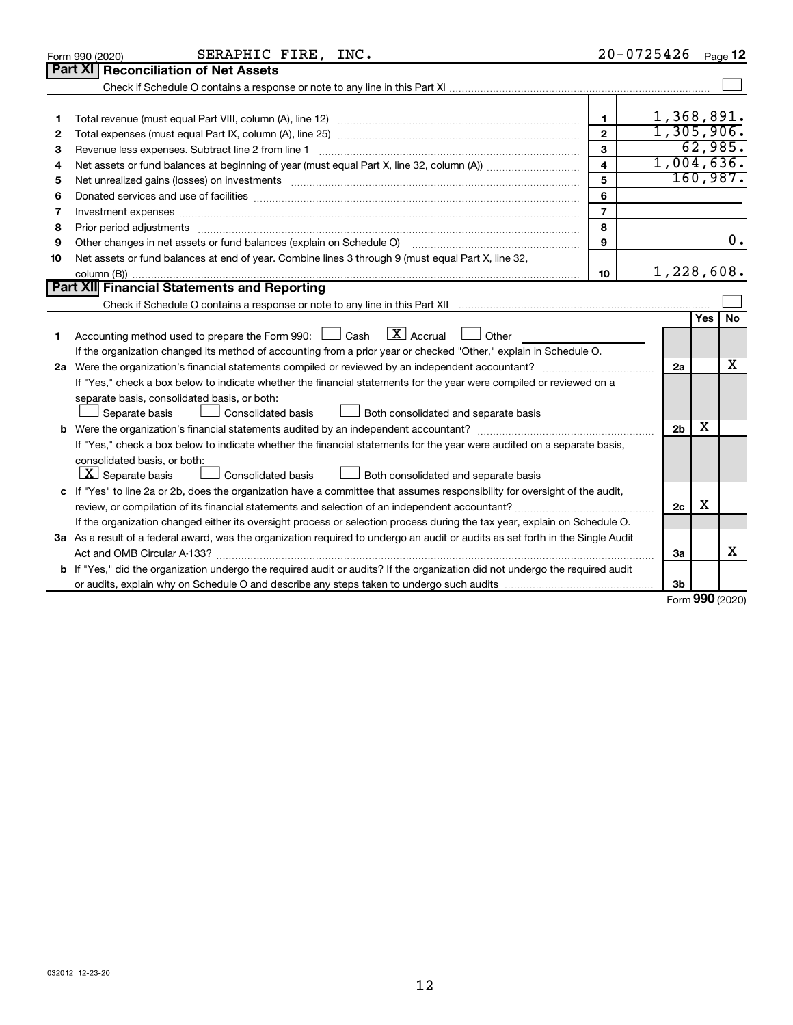|    | SERAPHIC FIRE, INC.<br>Form 990 (2020)                                                                                               | $20 - 0725426$          |                |              | Page 12          |
|----|--------------------------------------------------------------------------------------------------------------------------------------|-------------------------|----------------|--------------|------------------|
|    | <b>Part XI</b><br><b>Reconciliation of Net Assets</b>                                                                                |                         |                |              |                  |
|    |                                                                                                                                      |                         |                |              |                  |
|    |                                                                                                                                      |                         |                |              |                  |
| 1  |                                                                                                                                      | $\mathbf 1$             | 1,368,891.     |              |                  |
| 2  |                                                                                                                                      | $\mathbf{2}$            | 1,305,906.     |              |                  |
| 3  | Revenue less expenses. Subtract line 2 from line 1                                                                                   | 3                       |                |              | 62,985.          |
| 4  |                                                                                                                                      | $\overline{\mathbf{4}}$ | 1,004,636.     |              |                  |
| 5  |                                                                                                                                      | 5                       |                |              | 160,987.         |
| 6  |                                                                                                                                      | 6                       |                |              |                  |
| 7  | Investment expenses www.communication.com/www.communication.com/www.communication.com/www.com                                        | $\overline{7}$          |                |              |                  |
| 8  |                                                                                                                                      | 8                       |                |              |                  |
| 9  | Other changes in net assets or fund balances (explain on Schedule O)                                                                 | 9                       |                |              | $\overline{0}$ . |
| 10 | Net assets or fund balances at end of year. Combine lines 3 through 9 (must equal Part X, line 32,                                   |                         |                |              |                  |
|    |                                                                                                                                      | 10                      | 1,228,608.     |              |                  |
|    | <b>Part XII Financial Statements and Reporting</b>                                                                                   |                         |                |              |                  |
|    |                                                                                                                                      |                         |                |              |                  |
|    |                                                                                                                                      |                         |                | Yes          | <b>No</b>        |
| 1. | $\lfloor \mathbf{X} \rfloor$ Accrual<br>Accounting method used to prepare the Form 990: $\Box$ Cash<br>Other                         |                         |                |              |                  |
|    | If the organization changed its method of accounting from a prior year or checked "Other," explain in Schedule O.                    |                         |                |              |                  |
|    |                                                                                                                                      |                         | 2a             |              | x                |
|    | If "Yes," check a box below to indicate whether the financial statements for the year were compiled or reviewed on a                 |                         |                |              |                  |
|    | separate basis, consolidated basis, or both:                                                                                         |                         |                |              |                  |
|    | Separate basis<br>Consolidated basis<br>Both consolidated and separate basis                                                         |                         |                |              |                  |
|    |                                                                                                                                      |                         | 2 <sub>b</sub> | x            |                  |
|    | If "Yes," check a box below to indicate whether the financial statements for the year were audited on a separate basis,              |                         |                |              |                  |
|    | consolidated basis, or both:                                                                                                         |                         |                |              |                  |
|    | $ \mathbf{X} $ Separate basis<br><b>Consolidated basis</b><br>Both consolidated and separate basis                                   |                         |                |              |                  |
|    | c If "Yes" to line 2a or 2b, does the organization have a committee that assumes responsibility for oversight of the audit,          |                         |                |              |                  |
|    | review, or compilation of its financial statements and selection of an independent accountant?                                       |                         | 2c             | х            |                  |
|    | If the organization changed either its oversight process or selection process during the tax year, explain on Schedule O.            |                         |                |              |                  |
|    | 3a As a result of a federal award, was the organization required to undergo an audit or audits as set forth in the Single Audit      |                         |                |              |                  |
|    |                                                                                                                                      |                         | 3a             |              | x                |
|    | <b>b</b> If "Yes," did the organization undergo the required audit or audits? If the organization did not undergo the required audit |                         |                |              |                  |
|    |                                                                                                                                      |                         | Зb             | $000 \text{$ |                  |

Form (2020) **990**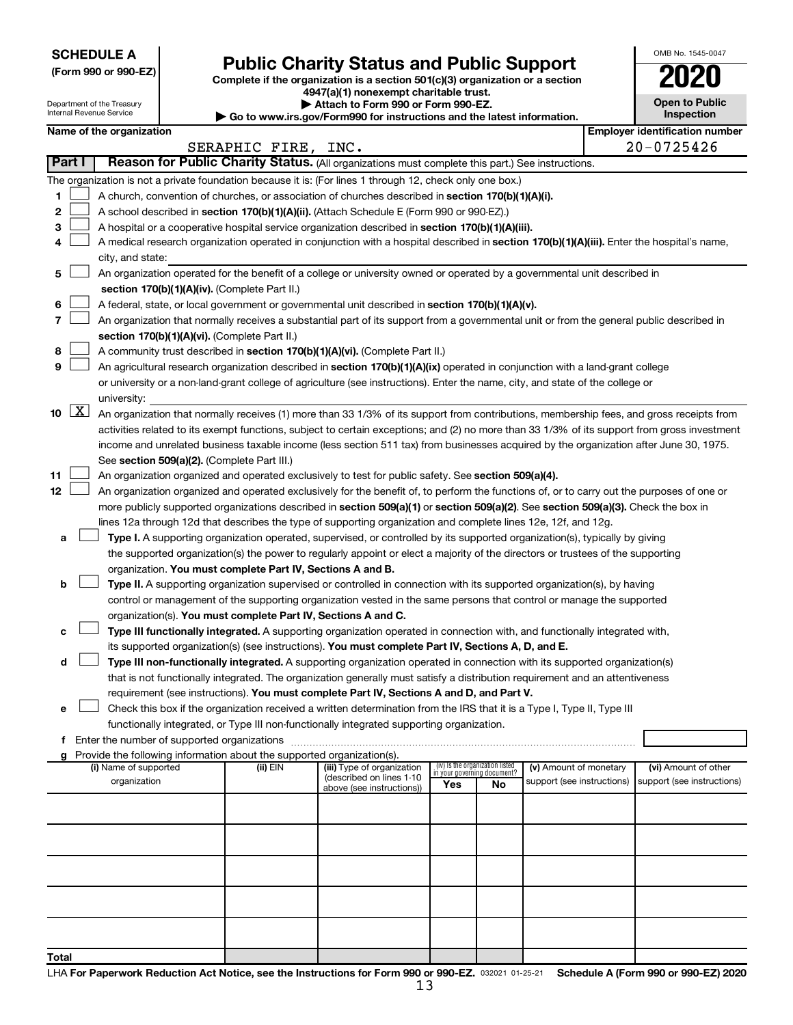**SCHEDULE A**

Department of the Treasury Internal Revenue Service

| (Form 990 or 990-EZ) |  |  |  |  |
|----------------------|--|--|--|--|
|----------------------|--|--|--|--|

# Form 990 or 990-EZ) **Public Charity Status and Public Support**<br>
Complete if the organization is a section 501(c)(3) organization or a section<br> **2020**

**4947(a)(1) nonexempt charitable trust. | Attach to Form 990 or Form 990-EZ.** 

**| Go to www.irs.gov/Form990 for instructions and the latest information.**

| <b>Open to Public</b><br>Inspection |
|-------------------------------------|
|                                     |

OMB No. 1545-0047

|  | Name of the organization |
|--|--------------------------|

|              |                    | Name of the organization                                                                                                                                                                                                                                        |                     |                                                                                     |                                                                       |    |                                                      |  | <b>Employer identification number</b>              |  |  |  |
|--------------|--------------------|-----------------------------------------------------------------------------------------------------------------------------------------------------------------------------------------------------------------------------------------------------------------|---------------------|-------------------------------------------------------------------------------------|-----------------------------------------------------------------------|----|------------------------------------------------------|--|----------------------------------------------------|--|--|--|
|              |                    |                                                                                                                                                                                                                                                                 | SERAPHIC FIRE, INC. |                                                                                     |                                                                       |    |                                                      |  | $20 - 0725426$                                     |  |  |  |
|              | Part I             | Reason for Public Charity Status. (All organizations must complete this part.) See instructions.                                                                                                                                                                |                     |                                                                                     |                                                                       |    |                                                      |  |                                                    |  |  |  |
|              |                    | The organization is not a private foundation because it is: (For lines 1 through 12, check only one box.)                                                                                                                                                       |                     |                                                                                     |                                                                       |    |                                                      |  |                                                    |  |  |  |
| 1            |                    | A church, convention of churches, or association of churches described in section 170(b)(1)(A)(i).                                                                                                                                                              |                     |                                                                                     |                                                                       |    |                                                      |  |                                                    |  |  |  |
| 2            |                    | A school described in section 170(b)(1)(A)(ii). (Attach Schedule E (Form 990 or 990-EZ).)                                                                                                                                                                       |                     |                                                                                     |                                                                       |    |                                                      |  |                                                    |  |  |  |
| 3            |                    | A hospital or a cooperative hospital service organization described in section 170(b)(1)(A)(iii).                                                                                                                                                               |                     |                                                                                     |                                                                       |    |                                                      |  |                                                    |  |  |  |
| 4            |                    | A medical research organization operated in conjunction with a hospital described in section 170(b)(1)(A)(iii). Enter the hospital's name,                                                                                                                      |                     |                                                                                     |                                                                       |    |                                                      |  |                                                    |  |  |  |
|              |                    | city, and state:                                                                                                                                                                                                                                                |                     |                                                                                     |                                                                       |    |                                                      |  |                                                    |  |  |  |
| 5            |                    | An organization operated for the benefit of a college or university owned or operated by a governmental unit described in<br>section 170(b)(1)(A)(iv). (Complete Part II.)                                                                                      |                     |                                                                                     |                                                                       |    |                                                      |  |                                                    |  |  |  |
| 6            |                    | A federal, state, or local government or governmental unit described in section 170(b)(1)(A)(v).                                                                                                                                                                |                     |                                                                                     |                                                                       |    |                                                      |  |                                                    |  |  |  |
| 7            |                    | An organization that normally receives a substantial part of its support from a governmental unit or from the general public described in                                                                                                                       |                     |                                                                                     |                                                                       |    |                                                      |  |                                                    |  |  |  |
|              |                    | section 170(b)(1)(A)(vi). (Complete Part II.)                                                                                                                                                                                                                   |                     |                                                                                     |                                                                       |    |                                                      |  |                                                    |  |  |  |
| 8            |                    | A community trust described in section 170(b)(1)(A)(vi). (Complete Part II.)                                                                                                                                                                                    |                     |                                                                                     |                                                                       |    |                                                      |  |                                                    |  |  |  |
| 9            |                    |                                                                                                                                                                                                                                                                 |                     |                                                                                     |                                                                       |    |                                                      |  |                                                    |  |  |  |
|              |                    | An agricultural research organization described in section 170(b)(1)(A)(ix) operated in conjunction with a land-grant college<br>or university or a non-land-grant college of agriculture (see instructions). Enter the name, city, and state of the college or |                     |                                                                                     |                                                                       |    |                                                      |  |                                                    |  |  |  |
|              |                    | university:                                                                                                                                                                                                                                                     |                     |                                                                                     |                                                                       |    |                                                      |  |                                                    |  |  |  |
| 10           | $\boxed{\text{X}}$ | An organization that normally receives (1) more than 33 1/3% of its support from contributions, membership fees, and gross receipts from                                                                                                                        |                     |                                                                                     |                                                                       |    |                                                      |  |                                                    |  |  |  |
|              |                    | activities related to its exempt functions, subject to certain exceptions; and (2) no more than 33 1/3% of its support from gross investment                                                                                                                    |                     |                                                                                     |                                                                       |    |                                                      |  |                                                    |  |  |  |
|              |                    | income and unrelated business taxable income (less section 511 tax) from businesses acquired by the organization after June 30, 1975.                                                                                                                           |                     |                                                                                     |                                                                       |    |                                                      |  |                                                    |  |  |  |
|              |                    | See section 509(a)(2). (Complete Part III.)                                                                                                                                                                                                                     |                     |                                                                                     |                                                                       |    |                                                      |  |                                                    |  |  |  |
| 11           |                    | An organization organized and operated exclusively to test for public safety. See section 509(a)(4).                                                                                                                                                            |                     |                                                                                     |                                                                       |    |                                                      |  |                                                    |  |  |  |
| 12           |                    | An organization organized and operated exclusively for the benefit of, to perform the functions of, or to carry out the purposes of one or                                                                                                                      |                     |                                                                                     |                                                                       |    |                                                      |  |                                                    |  |  |  |
|              |                    | more publicly supported organizations described in section 509(a)(1) or section 509(a)(2). See section 509(a)(3). Check the box in                                                                                                                              |                     |                                                                                     |                                                                       |    |                                                      |  |                                                    |  |  |  |
|              |                    | lines 12a through 12d that describes the type of supporting organization and complete lines 12e, 12f, and 12g.                                                                                                                                                  |                     |                                                                                     |                                                                       |    |                                                      |  |                                                    |  |  |  |
| а            |                    | Type I. A supporting organization operated, supervised, or controlled by its supported organization(s), typically by giving                                                                                                                                     |                     |                                                                                     |                                                                       |    |                                                      |  |                                                    |  |  |  |
|              |                    | the supported organization(s) the power to regularly appoint or elect a majority of the directors or trustees of the supporting                                                                                                                                 |                     |                                                                                     |                                                                       |    |                                                      |  |                                                    |  |  |  |
|              |                    | organization. You must complete Part IV, Sections A and B.                                                                                                                                                                                                      |                     |                                                                                     |                                                                       |    |                                                      |  |                                                    |  |  |  |
| b            |                    | Type II. A supporting organization supervised or controlled in connection with its supported organization(s), by having                                                                                                                                         |                     |                                                                                     |                                                                       |    |                                                      |  |                                                    |  |  |  |
|              |                    | control or management of the supporting organization vested in the same persons that control or manage the supported                                                                                                                                            |                     |                                                                                     |                                                                       |    |                                                      |  |                                                    |  |  |  |
|              |                    | organization(s). You must complete Part IV, Sections A and C.                                                                                                                                                                                                   |                     |                                                                                     |                                                                       |    |                                                      |  |                                                    |  |  |  |
| с            |                    | Type III functionally integrated. A supporting organization operated in connection with, and functionally integrated with,                                                                                                                                      |                     |                                                                                     |                                                                       |    |                                                      |  |                                                    |  |  |  |
|              |                    | its supported organization(s) (see instructions). You must complete Part IV, Sections A, D, and E.                                                                                                                                                              |                     |                                                                                     |                                                                       |    |                                                      |  |                                                    |  |  |  |
| d            |                    | Type III non-functionally integrated. A supporting organization operated in connection with its supported organization(s)                                                                                                                                       |                     |                                                                                     |                                                                       |    |                                                      |  |                                                    |  |  |  |
|              |                    | that is not functionally integrated. The organization generally must satisfy a distribution requirement and an attentiveness                                                                                                                                    |                     |                                                                                     |                                                                       |    |                                                      |  |                                                    |  |  |  |
|              |                    | requirement (see instructions). You must complete Part IV, Sections A and D, and Part V.                                                                                                                                                                        |                     |                                                                                     |                                                                       |    |                                                      |  |                                                    |  |  |  |
|              |                    | Check this box if the organization received a written determination from the IRS that it is a Type I, Type II, Type III                                                                                                                                         |                     |                                                                                     |                                                                       |    |                                                      |  |                                                    |  |  |  |
|              |                    | functionally integrated, or Type III non-functionally integrated supporting organization.                                                                                                                                                                       |                     |                                                                                     |                                                                       |    |                                                      |  |                                                    |  |  |  |
| f            |                    | Enter the number of supported organizations                                                                                                                                                                                                                     |                     |                                                                                     |                                                                       |    |                                                      |  |                                                    |  |  |  |
|              |                    | g Provide the following information about the supported organization(s).                                                                                                                                                                                        |                     |                                                                                     |                                                                       |    |                                                      |  |                                                    |  |  |  |
|              |                    | (i) Name of supported<br>organization                                                                                                                                                                                                                           | (ii) EIN            | (iii) Type of organization<br>(described on lines 1-10<br>above (see instructions)) | (iv) Is the organization listed<br>in your governing document?<br>Yes | No | (v) Amount of monetary<br>support (see instructions) |  | (vi) Amount of other<br>support (see instructions) |  |  |  |
|              |                    |                                                                                                                                                                                                                                                                 |                     |                                                                                     |                                                                       |    |                                                      |  |                                                    |  |  |  |
|              |                    |                                                                                                                                                                                                                                                                 |                     |                                                                                     |                                                                       |    |                                                      |  |                                                    |  |  |  |
|              |                    |                                                                                                                                                                                                                                                                 |                     |                                                                                     |                                                                       |    |                                                      |  |                                                    |  |  |  |
|              |                    |                                                                                                                                                                                                                                                                 |                     |                                                                                     |                                                                       |    |                                                      |  |                                                    |  |  |  |
|              |                    |                                                                                                                                                                                                                                                                 |                     |                                                                                     |                                                                       |    |                                                      |  |                                                    |  |  |  |
|              |                    |                                                                                                                                                                                                                                                                 |                     |                                                                                     |                                                                       |    |                                                      |  |                                                    |  |  |  |
|              |                    |                                                                                                                                                                                                                                                                 |                     |                                                                                     |                                                                       |    |                                                      |  |                                                    |  |  |  |
| <b>Total</b> |                    |                                                                                                                                                                                                                                                                 |                     |                                                                                     |                                                                       |    |                                                      |  |                                                    |  |  |  |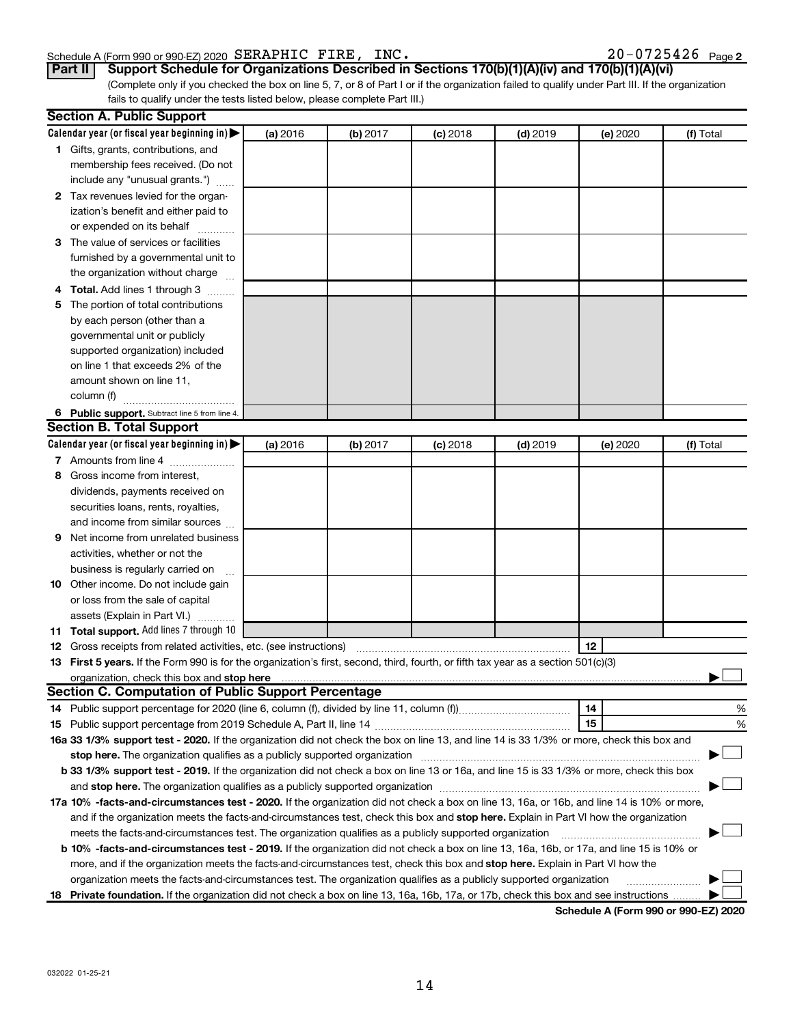#### Schedule A (Form 990 or 990-EZ) 2020  $\texttt{SERAPHIC}$   $\texttt{FIRE}$ ,  $\texttt{INC}$  .  $20-0725426$   $\texttt{Page}$

20-0725426 Page 2

#### **Part II Support Schedule for Organizations Described in Sections 170(b)(1)(A)(iv) and 170(b)(1)(A)(vi)**

(Complete only if you checked the box on line 5, 7, or 8 of Part I or if the organization failed to qualify under Part III. If the organization fails to qualify under the tests listed below, please complete Part III.)

|   | <b>Section A. Public Support</b>                                                                                                                                                                                                    |          |          |            |            |          |           |
|---|-------------------------------------------------------------------------------------------------------------------------------------------------------------------------------------------------------------------------------------|----------|----------|------------|------------|----------|-----------|
|   | Calendar year (or fiscal year beginning in)                                                                                                                                                                                         | (a) 2016 | (b) 2017 | $(c)$ 2018 | $(d)$ 2019 | (e) 2020 | (f) Total |
|   | 1 Gifts, grants, contributions, and                                                                                                                                                                                                 |          |          |            |            |          |           |
|   | membership fees received. (Do not                                                                                                                                                                                                   |          |          |            |            |          |           |
|   | include any "unusual grants.")                                                                                                                                                                                                      |          |          |            |            |          |           |
|   | 2 Tax revenues levied for the organ-                                                                                                                                                                                                |          |          |            |            |          |           |
|   | ization's benefit and either paid to                                                                                                                                                                                                |          |          |            |            |          |           |
|   | or expended on its behalf                                                                                                                                                                                                           |          |          |            |            |          |           |
|   | 3 The value of services or facilities                                                                                                                                                                                               |          |          |            |            |          |           |
|   | furnished by a governmental unit to                                                                                                                                                                                                 |          |          |            |            |          |           |
|   | the organization without charge                                                                                                                                                                                                     |          |          |            |            |          |           |
|   | 4 Total. Add lines 1 through 3                                                                                                                                                                                                      |          |          |            |            |          |           |
|   | 5 The portion of total contributions                                                                                                                                                                                                |          |          |            |            |          |           |
|   | by each person (other than a                                                                                                                                                                                                        |          |          |            |            |          |           |
|   | governmental unit or publicly                                                                                                                                                                                                       |          |          |            |            |          |           |
|   | supported organization) included                                                                                                                                                                                                    |          |          |            |            |          |           |
|   | on line 1 that exceeds 2% of the                                                                                                                                                                                                    |          |          |            |            |          |           |
|   | amount shown on line 11,                                                                                                                                                                                                            |          |          |            |            |          |           |
|   | column (f)                                                                                                                                                                                                                          |          |          |            |            |          |           |
|   | 6 Public support. Subtract line 5 from line 4.                                                                                                                                                                                      |          |          |            |            |          |           |
|   | <b>Section B. Total Support</b>                                                                                                                                                                                                     |          |          |            |            |          |           |
|   | Calendar year (or fiscal year beginning in)                                                                                                                                                                                         | (a) 2016 | (b) 2017 | $(c)$ 2018 | $(d)$ 2019 | (e) 2020 | (f) Total |
|   | 7 Amounts from line 4                                                                                                                                                                                                               |          |          |            |            |          |           |
| 8 | Gross income from interest,                                                                                                                                                                                                         |          |          |            |            |          |           |
|   | dividends, payments received on                                                                                                                                                                                                     |          |          |            |            |          |           |
|   | securities loans, rents, royalties,                                                                                                                                                                                                 |          |          |            |            |          |           |
|   | and income from similar sources                                                                                                                                                                                                     |          |          |            |            |          |           |
| 9 | Net income from unrelated business                                                                                                                                                                                                  |          |          |            |            |          |           |
|   | activities, whether or not the                                                                                                                                                                                                      |          |          |            |            |          |           |
|   | business is regularly carried on                                                                                                                                                                                                    |          |          |            |            |          |           |
|   | 10 Other income. Do not include gain                                                                                                                                                                                                |          |          |            |            |          |           |
|   | or loss from the sale of capital                                                                                                                                                                                                    |          |          |            |            |          |           |
|   | assets (Explain in Part VI.)                                                                                                                                                                                                        |          |          |            |            |          |           |
|   | 11 Total support. Add lines 7 through 10                                                                                                                                                                                            |          |          |            |            |          |           |
|   | <b>12</b> Gross receipts from related activities, etc. (see instructions)                                                                                                                                                           |          |          |            |            | 12       |           |
|   | 13 First 5 years. If the Form 990 is for the organization's first, second, third, fourth, or fifth tax year as a section 501(c)(3)                                                                                                  |          |          |            |            |          |           |
|   | organization, check this box and stop here <b>construction and construction</b> control and construction of the construction of the construction of the construction of the construction of the construction of the construction of |          |          |            |            |          |           |
|   | <b>Section C. Computation of Public Support Percentage</b>                                                                                                                                                                          |          |          |            |            |          |           |
|   |                                                                                                                                                                                                                                     |          |          |            |            | 14       | %         |
|   |                                                                                                                                                                                                                                     |          |          |            |            | 15       | %         |
|   | 16a 33 1/3% support test - 2020. If the organization did not check the box on line 13, and line 14 is 33 1/3% or more, check this box and                                                                                           |          |          |            |            |          |           |
|   |                                                                                                                                                                                                                                     |          |          |            |            |          |           |
|   | b 33 1/3% support test - 2019. If the organization did not check a box on line 13 or 16a, and line 15 is 33 1/3% or more, check this box                                                                                            |          |          |            |            |          |           |
|   |                                                                                                                                                                                                                                     |          |          |            |            |          |           |
|   | 17a 10% -facts-and-circumstances test - 2020. If the organization did not check a box on line 13, 16a, or 16b, and line 14 is 10% or more,                                                                                          |          |          |            |            |          |           |
|   | and if the organization meets the facts-and-circumstances test, check this box and stop here. Explain in Part VI how the organization                                                                                               |          |          |            |            |          |           |
|   | meets the facts-and-circumstances test. The organization qualifies as a publicly supported organization                                                                                                                             |          |          |            |            |          |           |
|   | <b>b 10% -facts-and-circumstances test - 2019.</b> If the organization did not check a box on line 13, 16a, 16b, or 17a, and line 15 is 10% or                                                                                      |          |          |            |            |          |           |
|   | more, and if the organization meets the facts-and-circumstances test, check this box and stop here. Explain in Part VI how the                                                                                                      |          |          |            |            |          |           |
|   | organization meets the facts-and-circumstances test. The organization qualifies as a publicly supported organization                                                                                                                |          |          |            |            |          |           |
|   | 18 Private foundation. If the organization did not check a box on line 13, 16a, 16b, 17a, or 17b, check this box and see instructions                                                                                               |          |          |            |            |          |           |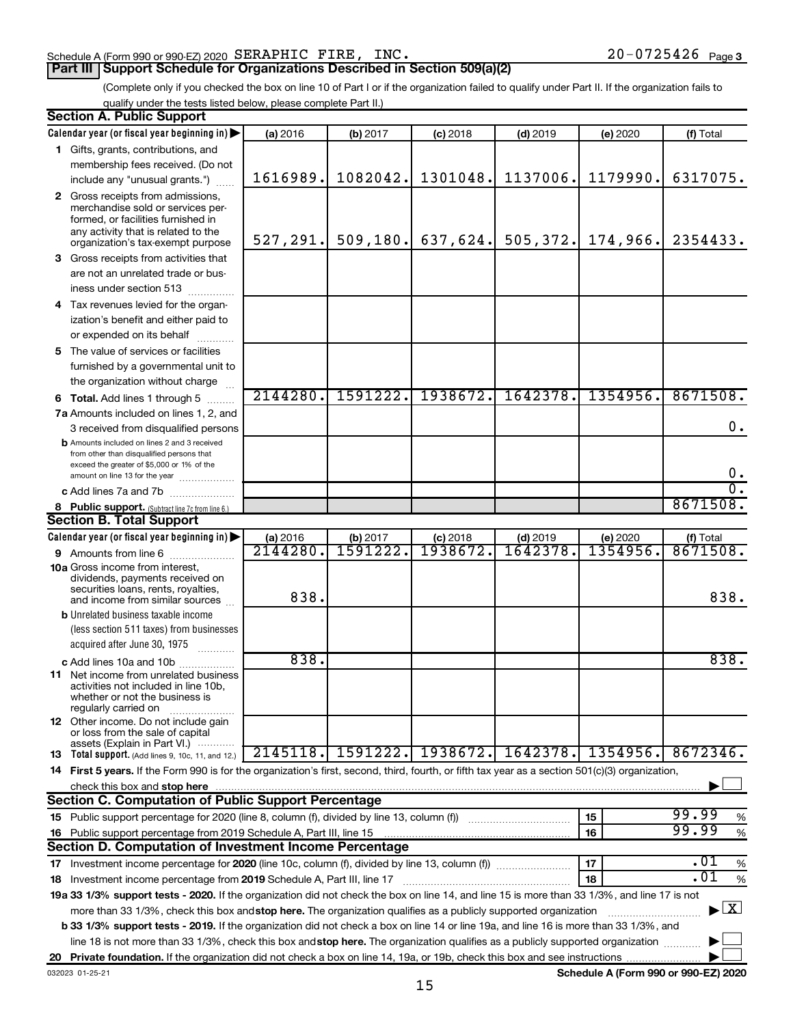#### Schedule A (Form 990 or 990-EZ) 2020  $\texttt{SERAPHIC}$   $\texttt{FIRE}$ ,  $\texttt{INC}$  .  $20-0725426$   $\texttt{Page}$

(Complete only if you checked the box on line 10 of Part I or if the organization failed to qualify under Part II. If the organization fails to qualify under the tests listed below, please complete Part II.)

| <b>Section A. Public Support</b>                                                                                                                                                                                                                                                                             |          |           |            |            |          |               |  |  |  |  |
|--------------------------------------------------------------------------------------------------------------------------------------------------------------------------------------------------------------------------------------------------------------------------------------------------------------|----------|-----------|------------|------------|----------|---------------|--|--|--|--|
| Calendar year (or fiscal year beginning in)                                                                                                                                                                                                                                                                  | (a) 2016 | (b) 2017  | $(c)$ 2018 | $(d)$ 2019 | (e) 2020 | (f) Total     |  |  |  |  |
| 1 Gifts, grants, contributions, and                                                                                                                                                                                                                                                                          |          |           |            |            |          |               |  |  |  |  |
| membership fees received. (Do not                                                                                                                                                                                                                                                                            |          |           |            |            |          |               |  |  |  |  |
| include any "unusual grants.")                                                                                                                                                                                                                                                                               | 1616989. | 1082042.  | 1301048.   | 1137006.   | 1179990. | 6317075.      |  |  |  |  |
| 2 Gross receipts from admissions,                                                                                                                                                                                                                                                                            |          |           |            |            |          |               |  |  |  |  |
| merchandise sold or services per-                                                                                                                                                                                                                                                                            |          |           |            |            |          |               |  |  |  |  |
| formed, or facilities furnished in                                                                                                                                                                                                                                                                           |          |           |            |            |          |               |  |  |  |  |
| any activity that is related to the<br>organization's tax-exempt purpose                                                                                                                                                                                                                                     | 527,291. | 509, 180. | 637,624.   | 505,372.   | 174,966. | 2354433.      |  |  |  |  |
| 3 Gross receipts from activities that                                                                                                                                                                                                                                                                        |          |           |            |            |          |               |  |  |  |  |
| are not an unrelated trade or bus-                                                                                                                                                                                                                                                                           |          |           |            |            |          |               |  |  |  |  |
|                                                                                                                                                                                                                                                                                                              |          |           |            |            |          |               |  |  |  |  |
| iness under section 513                                                                                                                                                                                                                                                                                      |          |           |            |            |          |               |  |  |  |  |
| 4 Tax revenues levied for the organ-                                                                                                                                                                                                                                                                         |          |           |            |            |          |               |  |  |  |  |
| ization's benefit and either paid to                                                                                                                                                                                                                                                                         |          |           |            |            |          |               |  |  |  |  |
| or expended on its behalf<br>.                                                                                                                                                                                                                                                                               |          |           |            |            |          |               |  |  |  |  |
| 5 The value of services or facilities                                                                                                                                                                                                                                                                        |          |           |            |            |          |               |  |  |  |  |
| furnished by a governmental unit to                                                                                                                                                                                                                                                                          |          |           |            |            |          |               |  |  |  |  |
| the organization without charge                                                                                                                                                                                                                                                                              |          |           |            |            |          |               |  |  |  |  |
| <b>6 Total.</b> Add lines 1 through 5                                                                                                                                                                                                                                                                        | 2144280. | 1591222.  | 1938672.   | 1642378.   | 1354956. | 8671508.      |  |  |  |  |
| 7a Amounts included on lines 1, 2, and                                                                                                                                                                                                                                                                       |          |           |            |            |          |               |  |  |  |  |
| 3 received from disqualified persons                                                                                                                                                                                                                                                                         |          |           |            |            |          | $0$ .         |  |  |  |  |
| <b>b</b> Amounts included on lines 2 and 3 received                                                                                                                                                                                                                                                          |          |           |            |            |          |               |  |  |  |  |
| from other than disqualified persons that<br>exceed the greater of \$5,000 or 1% of the                                                                                                                                                                                                                      |          |           |            |            |          |               |  |  |  |  |
| amount on line 13 for the year                                                                                                                                                                                                                                                                               |          |           |            |            |          | $0_{.}$       |  |  |  |  |
| c Add lines 7a and 7b                                                                                                                                                                                                                                                                                        |          |           |            |            |          | σ.            |  |  |  |  |
| 8 Public support. (Subtract line 7c from line 6.)                                                                                                                                                                                                                                                            |          |           |            |            |          | 8671508.      |  |  |  |  |
| <b>Section B. Total Support</b>                                                                                                                                                                                                                                                                              |          |           |            |            |          |               |  |  |  |  |
| Calendar year (or fiscal year beginning in)                                                                                                                                                                                                                                                                  | (a) 2016 | (b) 2017  | $(c)$ 2018 | $(d)$ 2019 | (e) 2020 | (f) Total     |  |  |  |  |
| <b>9</b> Amounts from line 6                                                                                                                                                                                                                                                                                 | 2144280  | 1591222   | 1938672    | 1642378    | 1354956. | 8671508.      |  |  |  |  |
| <b>10a</b> Gross income from interest,                                                                                                                                                                                                                                                                       |          |           |            |            |          |               |  |  |  |  |
| dividends, payments received on                                                                                                                                                                                                                                                                              |          |           |            |            |          |               |  |  |  |  |
| securities loans, rents, royalties,                                                                                                                                                                                                                                                                          | 838.     |           |            |            |          | 838.          |  |  |  |  |
| and income from similar sources                                                                                                                                                                                                                                                                              |          |           |            |            |          |               |  |  |  |  |
| <b>b</b> Unrelated business taxable income                                                                                                                                                                                                                                                                   |          |           |            |            |          |               |  |  |  |  |
| (less section 511 taxes) from businesses                                                                                                                                                                                                                                                                     |          |           |            |            |          |               |  |  |  |  |
| acquired after June 30, 1975                                                                                                                                                                                                                                                                                 |          |           |            |            |          |               |  |  |  |  |
| c Add lines 10a and 10b                                                                                                                                                                                                                                                                                      | 838.     |           |            |            |          | 838.          |  |  |  |  |
| <b>11</b> Net income from unrelated business<br>activities not included in line 10b,                                                                                                                                                                                                                         |          |           |            |            |          |               |  |  |  |  |
| whether or not the business is                                                                                                                                                                                                                                                                               |          |           |            |            |          |               |  |  |  |  |
| regularly carried on                                                                                                                                                                                                                                                                                         |          |           |            |            |          |               |  |  |  |  |
| 12 Other income. Do not include gain                                                                                                                                                                                                                                                                         |          |           |            |            |          |               |  |  |  |  |
| or loss from the sale of capital<br>assets (Explain in Part VI.)                                                                                                                                                                                                                                             |          |           |            |            |          |               |  |  |  |  |
| <b>13</b> Total support. (Add lines 9, 10c, 11, and 12.)                                                                                                                                                                                                                                                     | 2145118. | 1591222.  | 1938672.   | 1642378.   | 1354956. | 8672346.      |  |  |  |  |
| 14 First 5 years. If the Form 990 is for the organization's first, second, third, fourth, or fifth tax year as a section 501(c)(3) organization,                                                                                                                                                             |          |           |            |            |          |               |  |  |  |  |
| check this box and stop here                                                                                                                                                                                                                                                                                 |          |           |            |            |          |               |  |  |  |  |
| Section C. Computation of Public Support Percentage                                                                                                                                                                                                                                                          |          |           |            |            |          |               |  |  |  |  |
|                                                                                                                                                                                                                                                                                                              |          |           |            |            | 15       | 99.99<br>%    |  |  |  |  |
| 16 Public support percentage from 2019 Schedule A, Part III, line 15                                                                                                                                                                                                                                         |          |           |            |            | 16       | 99.99<br>$\%$ |  |  |  |  |
| Section D. Computation of Investment Income Percentage                                                                                                                                                                                                                                                       |          |           |            |            |          |               |  |  |  |  |
| 17 Investment income percentage for 2020 (line 10c, column (f), divided by line 13, column (f))                                                                                                                                                                                                              |          |           |            |            | 17       | .01<br>%      |  |  |  |  |
| 18 Investment income percentage from 2019 Schedule A, Part III, line 17                                                                                                                                                                                                                                      |          |           |            |            | 18       | .01<br>%      |  |  |  |  |
|                                                                                                                                                                                                                                                                                                              |          |           |            |            |          |               |  |  |  |  |
| 19a 33 1/3% support tests - 2020. If the organization did not check the box on line 14, and line 15 is more than 33 1/3%, and line 17 is not<br>$\blacktriangleright$ $\boxed{\text{X}}$<br>more than 33 1/3%, check this box and stop here. The organization qualifies as a publicly supported organization |          |           |            |            |          |               |  |  |  |  |
| b 33 1/3% support tests - 2019. If the organization did not check a box on line 14 or line 19a, and line 16 is more than 33 1/3%, and                                                                                                                                                                        |          |           |            |            |          |               |  |  |  |  |
| line 18 is not more than 33 1/3%, check this box and stop here. The organization qualifies as a publicly supported organization                                                                                                                                                                              |          |           |            |            |          |               |  |  |  |  |
|                                                                                                                                                                                                                                                                                                              |          |           |            |            |          |               |  |  |  |  |
|                                                                                                                                                                                                                                                                                                              |          |           |            |            |          |               |  |  |  |  |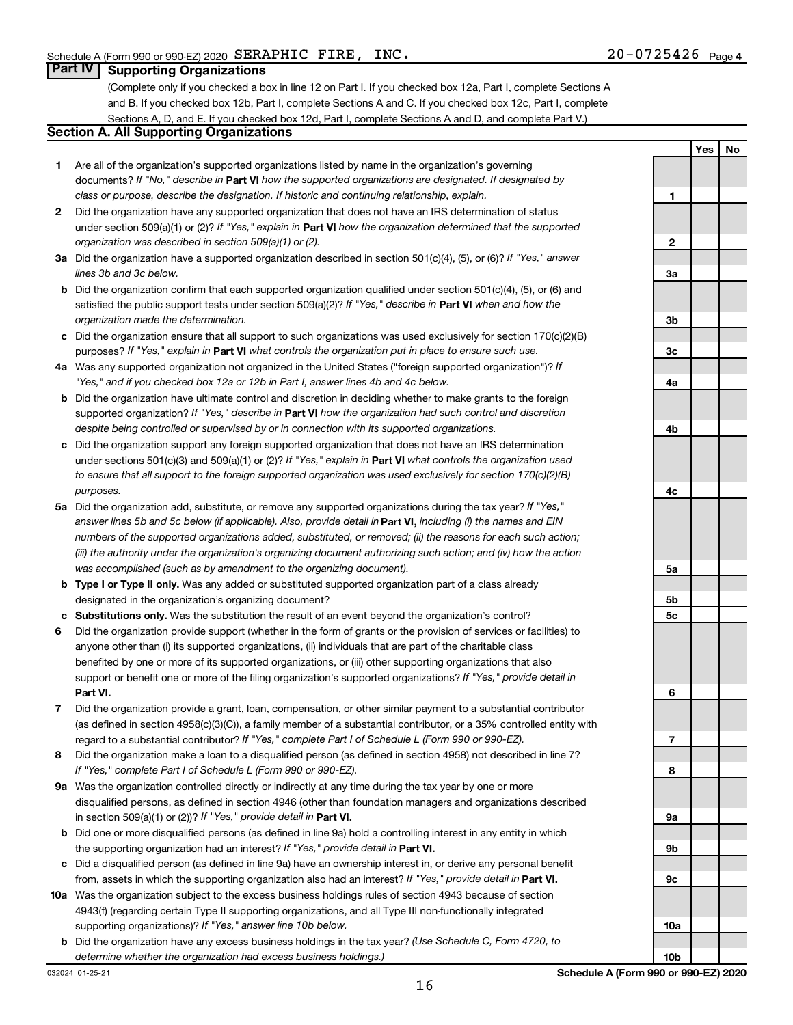**Yes No**

#### **Part IV Supporting Organizations**

(Complete only if you checked a box in line 12 on Part I. If you checked box 12a, Part I, complete Sections A and B. If you checked box 12b, Part I, complete Sections A and C. If you checked box 12c, Part I, complete Sections A, D, and E. If you checked box 12d, Part I, complete Sections A and D, and complete Part V.)

#### **Section A. All Supporting Organizations**

- **1** Are all of the organization's supported organizations listed by name in the organization's governing documents? If "No," describe in Part VI how the supported organizations are designated. If designated by *class or purpose, describe the designation. If historic and continuing relationship, explain.*
- **2** Did the organization have any supported organization that does not have an IRS determination of status under section 509(a)(1) or (2)? If "Yes," explain in Part **VI** how the organization determined that the supported *organization was described in section 509(a)(1) or (2).*
- **3a** Did the organization have a supported organization described in section 501(c)(4), (5), or (6)? If "Yes," answer *lines 3b and 3c below.*
- **b** Did the organization confirm that each supported organization qualified under section 501(c)(4), (5), or (6) and satisfied the public support tests under section 509(a)(2)? If "Yes," describe in Part VI when and how the *organization made the determination.*
- **c** Did the organization ensure that all support to such organizations was used exclusively for section 170(c)(2)(B) purposes? If "Yes," explain in Part VI what controls the organization put in place to ensure such use.
- **4 a** *If* Was any supported organization not organized in the United States ("foreign supported organization")? *"Yes," and if you checked box 12a or 12b in Part I, answer lines 4b and 4c below.*
- **b** Did the organization have ultimate control and discretion in deciding whether to make grants to the foreign supported organization? If "Yes," describe in Part VI how the organization had such control and discretion *despite being controlled or supervised by or in connection with its supported organizations.*
- **c** Did the organization support any foreign supported organization that does not have an IRS determination under sections 501(c)(3) and 509(a)(1) or (2)? If "Yes," explain in Part VI what controls the organization used *to ensure that all support to the foreign supported organization was used exclusively for section 170(c)(2)(B) purposes.*
- **5a** Did the organization add, substitute, or remove any supported organizations during the tax year? If "Yes," answer lines 5b and 5c below (if applicable). Also, provide detail in **Part VI,** including (i) the names and EIN *numbers of the supported organizations added, substituted, or removed; (ii) the reasons for each such action; (iii) the authority under the organization's organizing document authorizing such action; and (iv) how the action was accomplished (such as by amendment to the organizing document).*
- **b Type I or Type II only.** Was any added or substituted supported organization part of a class already designated in the organization's organizing document?
- **c Substitutions only.**  Was the substitution the result of an event beyond the organization's control?
- **6** Did the organization provide support (whether in the form of grants or the provision of services or facilities) to **Part VI.** support or benefit one or more of the filing organization's supported organizations? If "Yes," provide detail in anyone other than (i) its supported organizations, (ii) individuals that are part of the charitable class benefited by one or more of its supported organizations, or (iii) other supporting organizations that also
- **7** Did the organization provide a grant, loan, compensation, or other similar payment to a substantial contributor regard to a substantial contributor? If "Yes," complete Part I of Schedule L (Form 990 or 990-EZ). (as defined in section 4958(c)(3)(C)), a family member of a substantial contributor, or a 35% controlled entity with
- **8** Did the organization make a loan to a disqualified person (as defined in section 4958) not described in line 7? *If "Yes," complete Part I of Schedule L (Form 990 or 990-EZ).*
- **9 a** Was the organization controlled directly or indirectly at any time during the tax year by one or more in section 509(a)(1) or (2))? If "Yes," provide detail in **Part VI.** disqualified persons, as defined in section 4946 (other than foundation managers and organizations described
- **b** Did one or more disqualified persons (as defined in line 9a) hold a controlling interest in any entity in which the supporting organization had an interest? If "Yes," provide detail in Part VI.
- **c** Did a disqualified person (as defined in line 9a) have an ownership interest in, or derive any personal benefit from, assets in which the supporting organization also had an interest? If "Yes," provide detail in Part VI.
- **10 a** Was the organization subject to the excess business holdings rules of section 4943 because of section supporting organizations)? If "Yes," answer line 10b below. 4943(f) (regarding certain Type II supporting organizations, and all Type III non-functionally integrated
	- **b** Did the organization have any excess business holdings in the tax year? (Use Schedule C, Form 4720, to *determine whether the organization had excess business holdings.)*

**1 2 3a 3b 3c 4a 4b 4c 5a 5b 5c 6 7 8 9a 9b 9c 10a**

032024 01-25-21

**10b**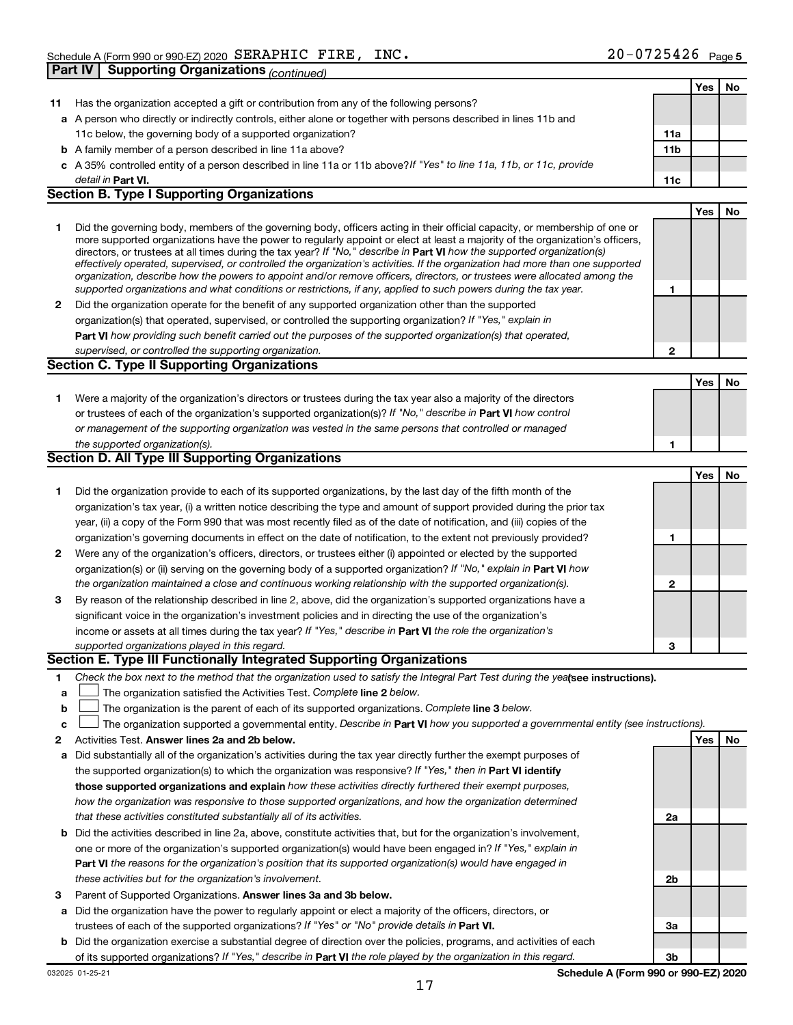|    |                                                                                                                                   |              | Yes | No |
|----|-----------------------------------------------------------------------------------------------------------------------------------|--------------|-----|----|
| 11 | Has the organization accepted a gift or contribution from any of the following persons?                                           |              |     |    |
|    | a A person who directly or indirectly controls, either alone or together with persons described in lines 11b and                  |              |     |    |
|    | 11c below, the governing body of a supported organization?                                                                        | 11a          |     |    |
|    | <b>b</b> A family member of a person described in line 11a above?                                                                 | 11b          |     |    |
|    | c A 35% controlled entity of a person described in line 11a or 11b above? If "Yes" to line 11a, 11b, or 11c, provide              |              |     |    |
|    | detail in Part VI.                                                                                                                | 11c          |     |    |
|    | <b>Section B. Type I Supporting Organizations</b>                                                                                 |              |     |    |
|    |                                                                                                                                   |              | Yes | No |
| 1  | Did the governing body, members of the governing body, officers acting in their official capacity, or membership of one or        |              |     |    |
|    | more supported organizations have the power to regularly appoint or elect at least a majority of the organization's officers,     |              |     |    |
|    | directors, or trustees at all times during the tax year? If "No," describe in Part VI how the supported organization(s)           |              |     |    |
|    | effectively operated, supervised, or controlled the organization's activities. If the organization had more than one supported    |              |     |    |
|    | organization, describe how the powers to appoint and/or remove officers, directors, or trustees were allocated among the          |              |     |    |
|    | supported organizations and what conditions or restrictions, if any, applied to such powers during the tax year.                  | 1            |     |    |
| 2  | Did the organization operate for the benefit of any supported organization other than the supported                               |              |     |    |
|    | organization(s) that operated, supervised, or controlled the supporting organization? If "Yes," explain in                        |              |     |    |
|    | Part VI how providing such benefit carried out the purposes of the supported organization(s) that operated,                       |              |     |    |
|    | supervised, or controlled the supporting organization.                                                                            | $\mathbf{2}$ |     |    |
|    | <b>Section C. Type II Supporting Organizations</b>                                                                                |              |     |    |
|    |                                                                                                                                   |              | Yes | No |
| 1. | Were a majority of the organization's directors or trustees during the tax year also a majority of the directors                  |              |     |    |
|    | or trustees of each of the organization's supported organization(s)? If "No," describe in Part VI how control                     |              |     |    |
|    | or management of the supporting organization was vested in the same persons that controlled or managed                            |              |     |    |
|    | the supported organization(s).                                                                                                    | 1            |     |    |
|    | Section D. All Type III Supporting Organizations                                                                                  |              |     |    |
|    |                                                                                                                                   |              | Yes | No |
| 1  | Did the organization provide to each of its supported organizations, by the last day of the fifth month of the                    |              |     |    |
|    | organization's tax year, (i) a written notice describing the type and amount of support provided during the prior tax             |              |     |    |
|    | year, (ii) a copy of the Form 990 that was most recently filed as of the date of notification, and (iii) copies of the            |              |     |    |
|    | organization's governing documents in effect on the date of notification, to the extent not previously provided?                  | 1            |     |    |
| 2  | Were any of the organization's officers, directors, or trustees either (i) appointed or elected by the supported                  |              |     |    |
|    | organization(s) or (ii) serving on the governing body of a supported organization? If "No," explain in Part VI how                |              |     |    |
|    | the organization maintained a close and continuous working relationship with the supported organization(s).                       | 2            |     |    |
| 3  | By reason of the relationship described in line 2, above, did the organization's supported organizations have a                   |              |     |    |
|    | significant voice in the organization's investment policies and in directing the use of the organization's                        |              |     |    |
|    | income or assets at all times during the tax year? If "Yes," describe in Part VI the role the organization's                      |              |     |    |
|    | supported organizations played in this regard.                                                                                    | 3            |     |    |
|    | Section E. Type III Functionally Integrated Supporting Organizations                                                              |              |     |    |
| 1. | Check the box next to the method that the organization used to satisfy the Integral Part Test during the yealsee instructions).   |              |     |    |
| а  | The organization satisfied the Activities Test. Complete line 2 below.                                                            |              |     |    |
| b  | The organization is the parent of each of its supported organizations. Complete line 3 below.                                     |              |     |    |
| c  | The organization supported a governmental entity. Describe in Part VI how you supported a governmental entity (see instructions). |              |     |    |
| 2  | Activities Test. Answer lines 2a and 2b below.                                                                                    |              | Yes | No |
| а  | Did substantially all of the organization's activities during the tax year directly further the exempt purposes of                |              |     |    |
|    | the supported organization(s) to which the organization was responsive? If "Yes," then in Part VI identify                        |              |     |    |
|    | those supported organizations and explain how these activities directly furthered their exempt purposes,                          |              |     |    |
|    | how the organization was responsive to those supported organizations, and how the organization determined                         |              |     |    |
|    | that these activities constituted substantially all of its activities.                                                            | 2a           |     |    |
| b  | Did the activities described in line 2a, above, constitute activities that, but for the organization's involvement,               |              |     |    |
|    | one or more of the organization's supported organization(s) would have been engaged in? If "Yes," explain in                      |              |     |    |
|    | Part VI the reasons for the organization's position that its supported organization(s) would have engaged in                      |              |     |    |
|    | these activities but for the organization's involvement.                                                                          | 2b           |     |    |
|    |                                                                                                                                   |              |     |    |
| 3  | Parent of Supported Organizations. Answer lines 3a and 3b below.                                                                  |              |     |    |
| а  | Did the organization have the power to regularly appoint or elect a majority of the officers, directors, or                       |              |     |    |
|    | trustees of each of the supported organizations? If "Yes" or "No" provide details in Part VI.                                     | За           |     |    |
| b  | Did the organization exercise a substantial degree of direction over the policies, programs, and activities of each               |              |     |    |
|    | of its supported organizations? If "Yes," describe in Part VI the role played by the organization in this regard.                 | 3b           |     |    |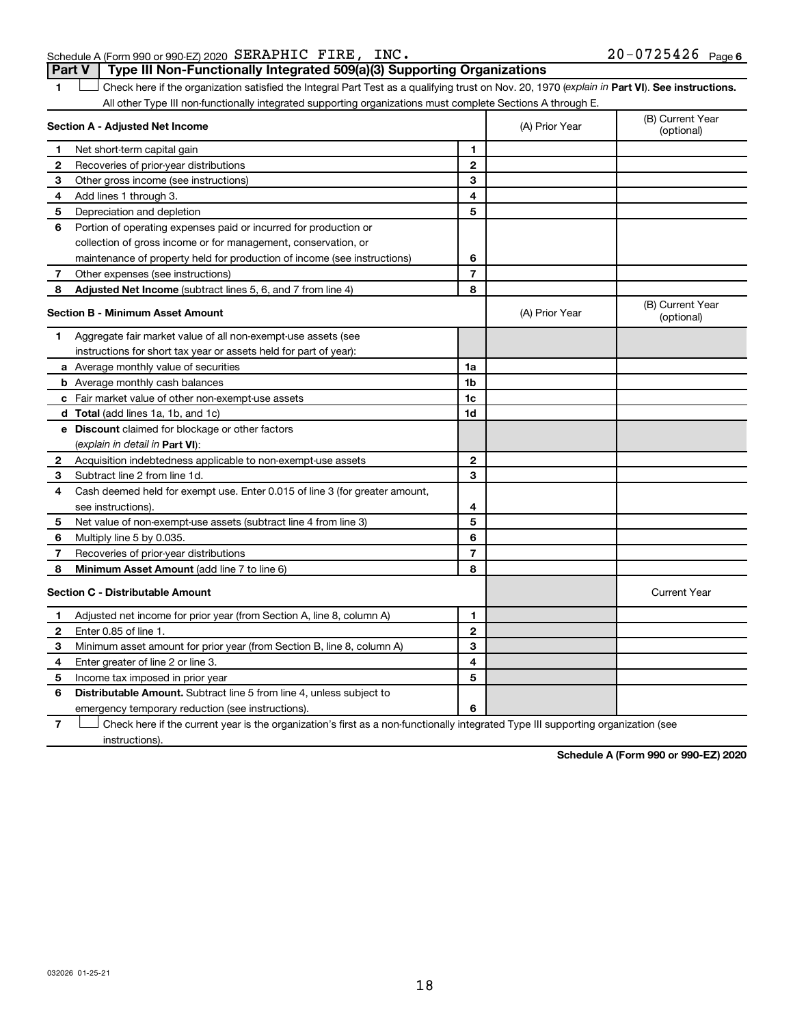#### Schedule A (Form 990 or 990-EZ) 2020  $\texttt{SERAPHIC}$   $\texttt{FIRE}$ ,  $\texttt{INC}$  .  $20-0725426$   $\texttt{Page}$ **Part V Type III Non-Functionally Integrated 509(a)(3) Supporting Organizations**

1 **Letter See instructions.** Check here if the organization satisfied the Integral Part Test as a qualifying trust on Nov. 20, 1970 (*explain in* Part **VI**). See instructions. All other Type III non-functionally integrated supporting organizations must complete Sections A through E.

|    | Section A - Adjusted Net Income                                             |                | (A) Prior Year | (B) Current Year<br>(optional) |
|----|-----------------------------------------------------------------------------|----------------|----------------|--------------------------------|
| 1. | Net short-term capital gain                                                 | 1              |                |                                |
| 2  | Recoveries of prior-year distributions                                      | $\overline{2}$ |                |                                |
| 3  | Other gross income (see instructions)                                       | 3              |                |                                |
| 4  | Add lines 1 through 3.                                                      | 4              |                |                                |
| 5  | Depreciation and depletion                                                  | 5              |                |                                |
| 6  | Portion of operating expenses paid or incurred for production or            |                |                |                                |
|    | collection of gross income or for management, conservation, or              |                |                |                                |
|    | maintenance of property held for production of income (see instructions)    | 6              |                |                                |
| 7  | Other expenses (see instructions)                                           | $\overline{7}$ |                |                                |
| 8  | <b>Adjusted Net Income</b> (subtract lines 5, 6, and 7 from line 4)         | 8              |                |                                |
|    | <b>Section B - Minimum Asset Amount</b>                                     |                | (A) Prior Year | (B) Current Year<br>(optional) |
| 1  | Aggregate fair market value of all non-exempt-use assets (see               |                |                |                                |
|    | instructions for short tax year or assets held for part of year):           |                |                |                                |
|    | a Average monthly value of securities                                       | 1a             |                |                                |
|    | <b>b</b> Average monthly cash balances                                      | 1 <sub>b</sub> |                |                                |
|    | c Fair market value of other non-exempt-use assets                          | 1c             |                |                                |
|    | <b>d</b> Total (add lines 1a, 1b, and 1c)                                   | 1d             |                |                                |
|    | e Discount claimed for blockage or other factors                            |                |                |                                |
|    | (explain in detail in Part VI):                                             |                |                |                                |
| 2  | Acquisition indebtedness applicable to non-exempt-use assets                | $\mathbf{2}$   |                |                                |
| З  | Subtract line 2 from line 1d.                                               | 3              |                |                                |
| 4  | Cash deemed held for exempt use. Enter 0.015 of line 3 (for greater amount, |                |                |                                |
|    | see instructions).                                                          | 4              |                |                                |
| 5  | Net value of non-exempt-use assets (subtract line 4 from line 3)            | 5              |                |                                |
| 6  | Multiply line 5 by 0.035.                                                   | 6              |                |                                |
| 7  | Recoveries of prior-year distributions                                      | $\overline{7}$ |                |                                |
| 8  | Minimum Asset Amount (add line 7 to line 6)                                 | 8              |                |                                |
|    | <b>Section C - Distributable Amount</b>                                     |                |                | <b>Current Year</b>            |
| 1  | Adjusted net income for prior year (from Section A, line 8, column A)       | 1              |                |                                |
| 2  | Enter 0.85 of line 1.                                                       | $\overline{2}$ |                |                                |
| 3  | Minimum asset amount for prior year (from Section B, line 8, column A)      | 3              |                |                                |
| 4  | Enter greater of line 2 or line 3.                                          | 4              |                |                                |
| 5  | Income tax imposed in prior year                                            | 5              |                |                                |
| 6  | Distributable Amount. Subtract line 5 from line 4, unless subject to        |                |                |                                |
|    | emergency temporary reduction (see instructions).                           | 6              |                |                                |
|    |                                                                             |                |                |                                |

**7** Check here if the current year is the organization's first as a non-functionally integrated Type III supporting organization (see † instructions).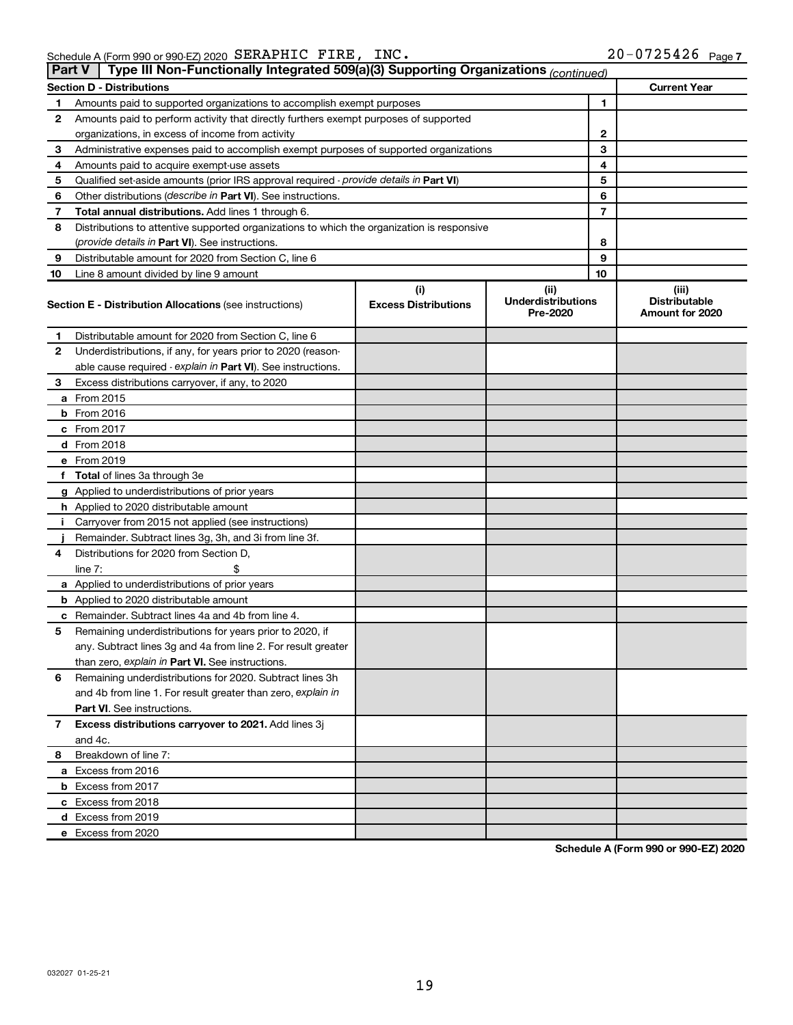| Part V | Type III Non-Functionally Integrated 509(a)(3) Supporting Organizations (continued)        |                                    |                                               |                                                  |
|--------|--------------------------------------------------------------------------------------------|------------------------------------|-----------------------------------------------|--------------------------------------------------|
|        | <b>Section D - Distributions</b>                                                           |                                    |                                               | <b>Current Year</b>                              |
| 1      | Amounts paid to supported organizations to accomplish exempt purposes                      |                                    | 1                                             |                                                  |
| 2      | Amounts paid to perform activity that directly furthers exempt purposes of supported       |                                    |                                               |                                                  |
|        | organizations, in excess of income from activity                                           |                                    | 2                                             |                                                  |
| 3      | Administrative expenses paid to accomplish exempt purposes of supported organizations      |                                    | 3                                             |                                                  |
| 4      | Amounts paid to acquire exempt-use assets                                                  |                                    | 4                                             |                                                  |
| 5      | Qualified set-aside amounts (prior IRS approval required - provide details in Part VI)     |                                    | 5                                             |                                                  |
| 6      | Other distributions ( <i>describe in Part VI</i> ). See instructions.                      |                                    | 6                                             |                                                  |
| 7      | Total annual distributions. Add lines 1 through 6.                                         |                                    | 7                                             |                                                  |
| 8      | Distributions to attentive supported organizations to which the organization is responsive |                                    |                                               |                                                  |
|        | ( <i>provide details in Part VI</i> ). See instructions.                                   |                                    | 8                                             |                                                  |
| 9      | Distributable amount for 2020 from Section C, line 6                                       |                                    | 9                                             |                                                  |
| 10     | Line 8 amount divided by line 9 amount                                                     |                                    | 10                                            |                                                  |
|        | <b>Section E - Distribution Allocations (see instructions)</b>                             | (i)<br><b>Excess Distributions</b> | (ii)<br><b>Underdistributions</b><br>Pre-2020 | (iii)<br><b>Distributable</b><br>Amount for 2020 |
| 1      | Distributable amount for 2020 from Section C, line 6                                       |                                    |                                               |                                                  |
| 2      | Underdistributions, if any, for years prior to 2020 (reason-                               |                                    |                                               |                                                  |
|        | able cause required - explain in Part VI). See instructions.                               |                                    |                                               |                                                  |
| 3      | Excess distributions carryover, if any, to 2020                                            |                                    |                                               |                                                  |
|        | a From 2015                                                                                |                                    |                                               |                                                  |
|        | $b$ From 2016                                                                              |                                    |                                               |                                                  |
|        | c From 2017                                                                                |                                    |                                               |                                                  |
|        | <b>d</b> From 2018                                                                         |                                    |                                               |                                                  |
|        | e From 2019                                                                                |                                    |                                               |                                                  |
|        | f Total of lines 3a through 3e                                                             |                                    |                                               |                                                  |
|        | g Applied to underdistributions of prior years                                             |                                    |                                               |                                                  |
|        | h Applied to 2020 distributable amount                                                     |                                    |                                               |                                                  |
| Ť.     | Carryover from 2015 not applied (see instructions)                                         |                                    |                                               |                                                  |
|        | Remainder. Subtract lines 3g, 3h, and 3i from line 3f.                                     |                                    |                                               |                                                  |
| 4      | Distributions for 2020 from Section D,                                                     |                                    |                                               |                                                  |
|        | line $7:$                                                                                  |                                    |                                               |                                                  |
|        | a Applied to underdistributions of prior years                                             |                                    |                                               |                                                  |
|        | <b>b</b> Applied to 2020 distributable amount                                              |                                    |                                               |                                                  |
|        | c Remainder. Subtract lines 4a and 4b from line 4.                                         |                                    |                                               |                                                  |
| 5      | Remaining underdistributions for years prior to 2020, if                                   |                                    |                                               |                                                  |
|        | any. Subtract lines 3g and 4a from line 2. For result greater                              |                                    |                                               |                                                  |
|        | than zero, explain in Part VI. See instructions.                                           |                                    |                                               |                                                  |
| 6      | Remaining underdistributions for 2020. Subtract lines 3h                                   |                                    |                                               |                                                  |
|        | and 4b from line 1. For result greater than zero, explain in                               |                                    |                                               |                                                  |
|        | <b>Part VI.</b> See instructions.                                                          |                                    |                                               |                                                  |
| 7      | Excess distributions carryover to 2021. Add lines 3j                                       |                                    |                                               |                                                  |
|        | and 4c.                                                                                    |                                    |                                               |                                                  |
| 8      | Breakdown of line 7:                                                                       |                                    |                                               |                                                  |
|        | a Excess from 2016                                                                         |                                    |                                               |                                                  |
|        | <b>b</b> Excess from 2017                                                                  |                                    |                                               |                                                  |
|        | c Excess from 2018                                                                         |                                    |                                               |                                                  |
|        | d Excess from 2019                                                                         |                                    |                                               |                                                  |
|        | e Excess from 2020                                                                         |                                    |                                               |                                                  |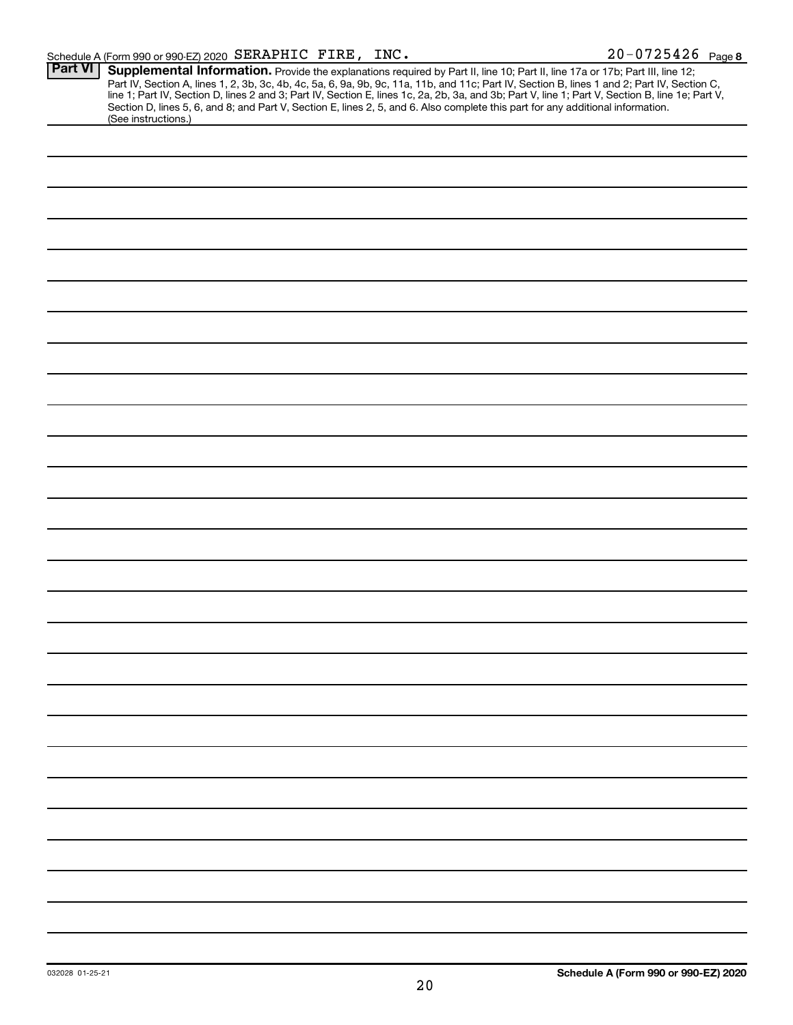| <b>Part VI</b> | Supplemental Information. Provide the explanations required by Part II, line 10; Part II, line 17a or 17b; Part III, line 12;                    |
|----------------|--------------------------------------------------------------------------------------------------------------------------------------------------|
|                | Part IV, Section A, lines 1, 2, 3b, 3c, 4b, 4c, 5a, 6, 9a, 9b, 9c, 11a, 11b, and 11c; Part IV, Section B, lines 1 and 2; Part IV, Section C,     |
|                | line 1; Part IV, Section D, lines 2 and 3; Part IV, Section E, lines 1c, 2a, 2b, 3a, and 3b; Part V, line 1; Part V, Section B, line 1e; Part V, |
|                | Section D, lines 5, 6, and 8; and Part V, Section E, lines 2, 5, and 6. Also complete this part for any additional information.                  |
|                | (See instructions.)                                                                                                                              |
|                |                                                                                                                                                  |
|                |                                                                                                                                                  |
|                |                                                                                                                                                  |
|                |                                                                                                                                                  |
|                |                                                                                                                                                  |
|                |                                                                                                                                                  |
|                |                                                                                                                                                  |
|                |                                                                                                                                                  |
|                |                                                                                                                                                  |
|                |                                                                                                                                                  |
|                |                                                                                                                                                  |
|                |                                                                                                                                                  |
|                |                                                                                                                                                  |
|                |                                                                                                                                                  |
|                |                                                                                                                                                  |
|                |                                                                                                                                                  |
|                |                                                                                                                                                  |
|                |                                                                                                                                                  |
|                |                                                                                                                                                  |
|                |                                                                                                                                                  |
|                |                                                                                                                                                  |
|                |                                                                                                                                                  |
|                |                                                                                                                                                  |
|                |                                                                                                                                                  |
|                |                                                                                                                                                  |
|                |                                                                                                                                                  |
|                |                                                                                                                                                  |
|                |                                                                                                                                                  |
|                |                                                                                                                                                  |
|                |                                                                                                                                                  |
|                |                                                                                                                                                  |
|                |                                                                                                                                                  |
|                |                                                                                                                                                  |
|                |                                                                                                                                                  |
|                |                                                                                                                                                  |
|                |                                                                                                                                                  |
|                |                                                                                                                                                  |
|                |                                                                                                                                                  |
|                |                                                                                                                                                  |
|                |                                                                                                                                                  |
|                |                                                                                                                                                  |
|                |                                                                                                                                                  |
|                |                                                                                                                                                  |
|                |                                                                                                                                                  |
|                |                                                                                                                                                  |
|                |                                                                                                                                                  |
|                |                                                                                                                                                  |
|                |                                                                                                                                                  |
|                |                                                                                                                                                  |
|                |                                                                                                                                                  |
|                |                                                                                                                                                  |
|                |                                                                                                                                                  |
|                |                                                                                                                                                  |
|                |                                                                                                                                                  |
|                |                                                                                                                                                  |
|                |                                                                                                                                                  |
|                |                                                                                                                                                  |
|                |                                                                                                                                                  |
|                |                                                                                                                                                  |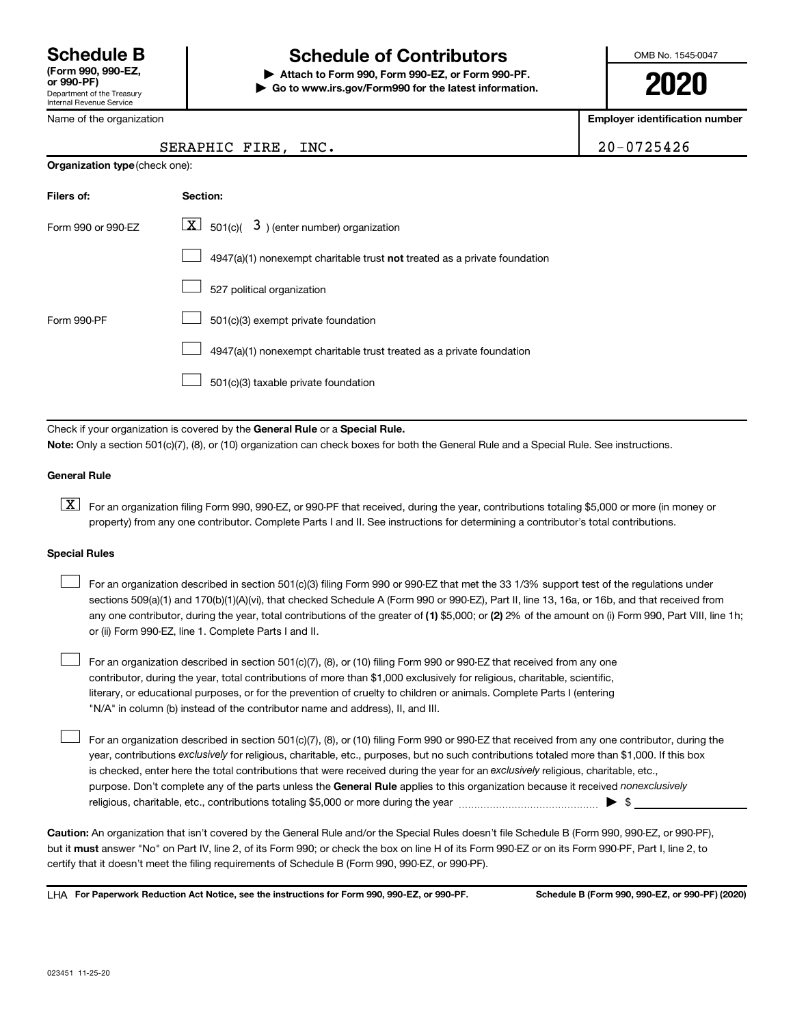Department of the Treasury Internal Revenue Service

# **Schedule B Schedule of Contributors**

**or 990-PF) | Attach to Form 990, Form 990-EZ, or Form 990-PF. | Go to www.irs.gov/Form990 for the latest information.** OMB No. 1545-0047

**2020**

**Employer identification number**

Name of the organization

**Organization type** (check one):

#### SERAPHIC FIRE, INC. 20-0725426

| Filers of:         | Section:                                                                           |
|--------------------|------------------------------------------------------------------------------------|
| Form 990 or 990-FZ | $\lfloor x \rfloor$ 501(c)( 3) (enter number) organization                         |
|                    | $4947(a)(1)$ nonexempt charitable trust <b>not</b> treated as a private foundation |
|                    | 527 political organization                                                         |
| Form 990-PF        | 501(c)(3) exempt private foundation                                                |
|                    | 4947(a)(1) nonexempt charitable trust treated as a private foundation              |
|                    | 501(c)(3) taxable private foundation                                               |

Check if your organization is covered by the General Rule or a Special Rule.

**Note:**  Only a section 501(c)(7), (8), or (10) organization can check boxes for both the General Rule and a Special Rule. See instructions.

#### **General Rule**

**K** For an organization filing Form 990, 990-EZ, or 990-PF that received, during the year, contributions totaling \$5,000 or more (in money or property) from any one contributor. Complete Parts I and II. See instructions for determining a contributor's total contributions.

#### **Special Rules**

 $\Box$ 

any one contributor, during the year, total contributions of the greater of (1) \$5,000; or (2) 2% of the amount on (i) Form 990, Part VIII, line 1h; For an organization described in section 501(c)(3) filing Form 990 or 990-EZ that met the 33 1/3% support test of the regulations under sections 509(a)(1) and 170(b)(1)(A)(vi), that checked Schedule A (Form 990 or 990-EZ), Part II, line 13, 16a, or 16b, and that received from or (ii) Form 990-EZ, line 1. Complete Parts I and II.  $\Box$ 

For an organization described in section 501(c)(7), (8), or (10) filing Form 990 or 990-EZ that received from any one contributor, during the year, total contributions of more than \$1,000 exclusively for religious, charitable, scientific, literary, or educational purposes, or for the prevention of cruelty to children or animals. Complete Parts I (entering "N/A" in column (b) instead of the contributor name and address), II, and III.  $\Box$ 

purpose. Don't complete any of the parts unless the General Rule applies to this organization because it received nonexclusively year, contributions exclusively for religious, charitable, etc., purposes, but no such contributions totaled more than \$1,000. If this box is checked, enter here the total contributions that were received during the year for an exclusively religious, charitable, etc., For an organization described in section 501(c)(7), (8), or (10) filing Form 990 or 990-EZ that received from any one contributor, during the religious, charitable, etc., contributions totaling \$5,000 or more during the year  $~\ldots\ldots\ldots\ldots\ldots\ldots\ldots\ldots\blacktriangleright~$ \$

**Caution:**  An organization that isn't covered by the General Rule and/or the Special Rules doesn't file Schedule B (Form 990, 990-EZ, or 990-PF),  **must** but it answer "No" on Part IV, line 2, of its Form 990; or check the box on line H of its Form 990-EZ or on its Form 990-PF, Part I, line 2, to certify that it doesn't meet the filing requirements of Schedule B (Form 990, 990-EZ, or 990-PF).

**For Paperwork Reduction Act Notice, see the instructions for Form 990, 990-EZ, or 990-PF. Schedule B (Form 990, 990-EZ, or 990-PF) (2020)** LHA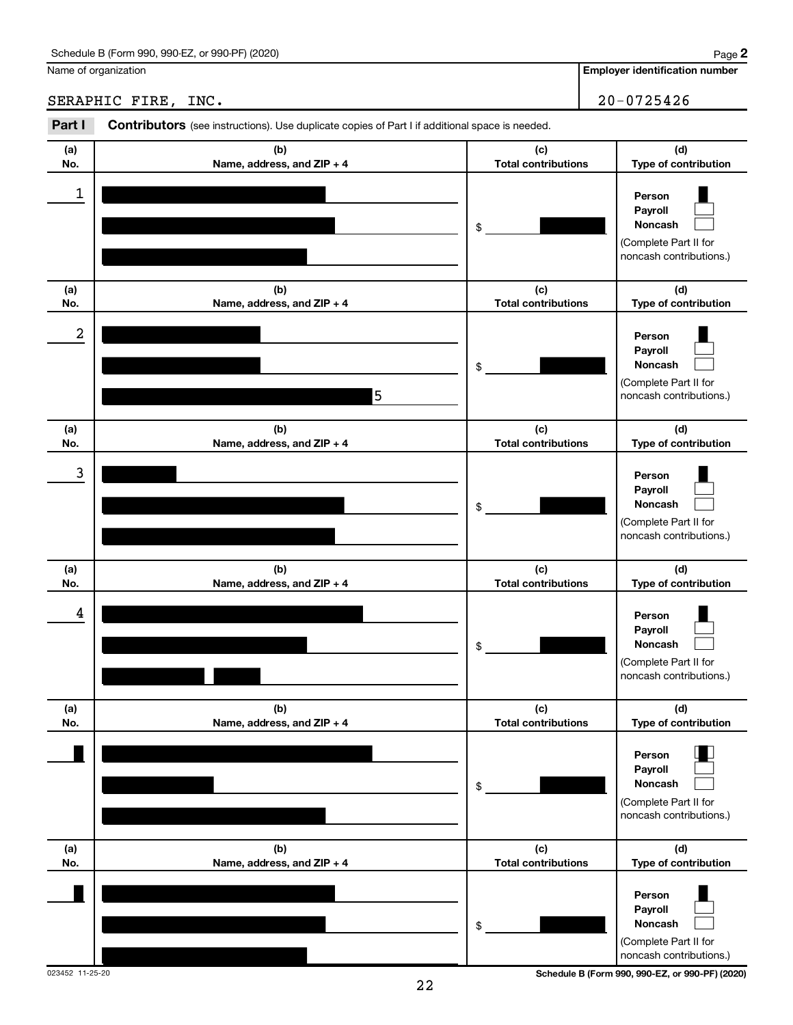SERAPHIC FIRE, INC. 20-0725426

**Employer identification number**

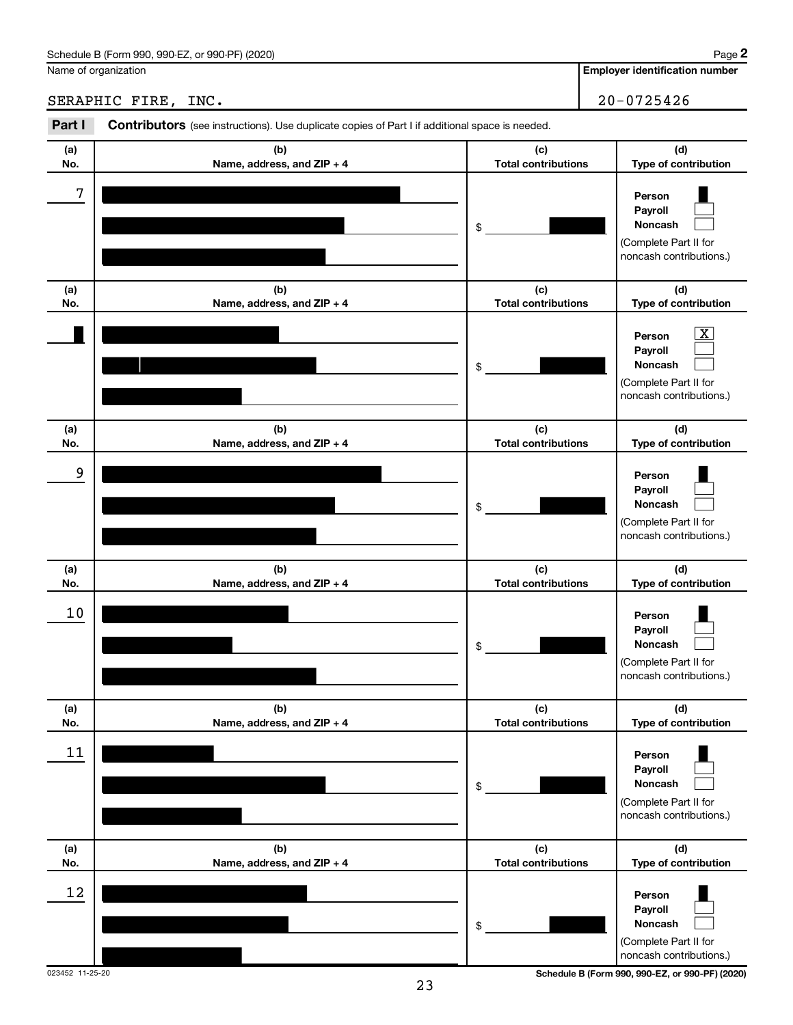**Employer identification number**

SERAPHIC FIRE, INC. 20-0725426

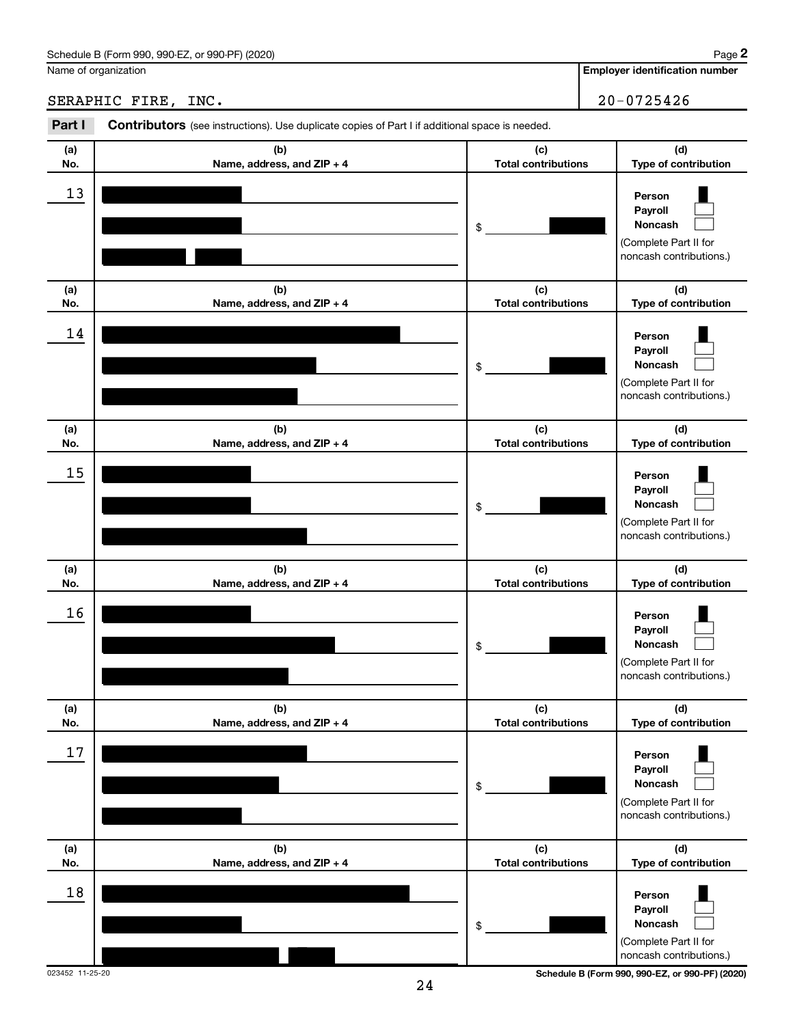**Employer identification number**

SERAPHIC FIRE, INC. 20-0725426

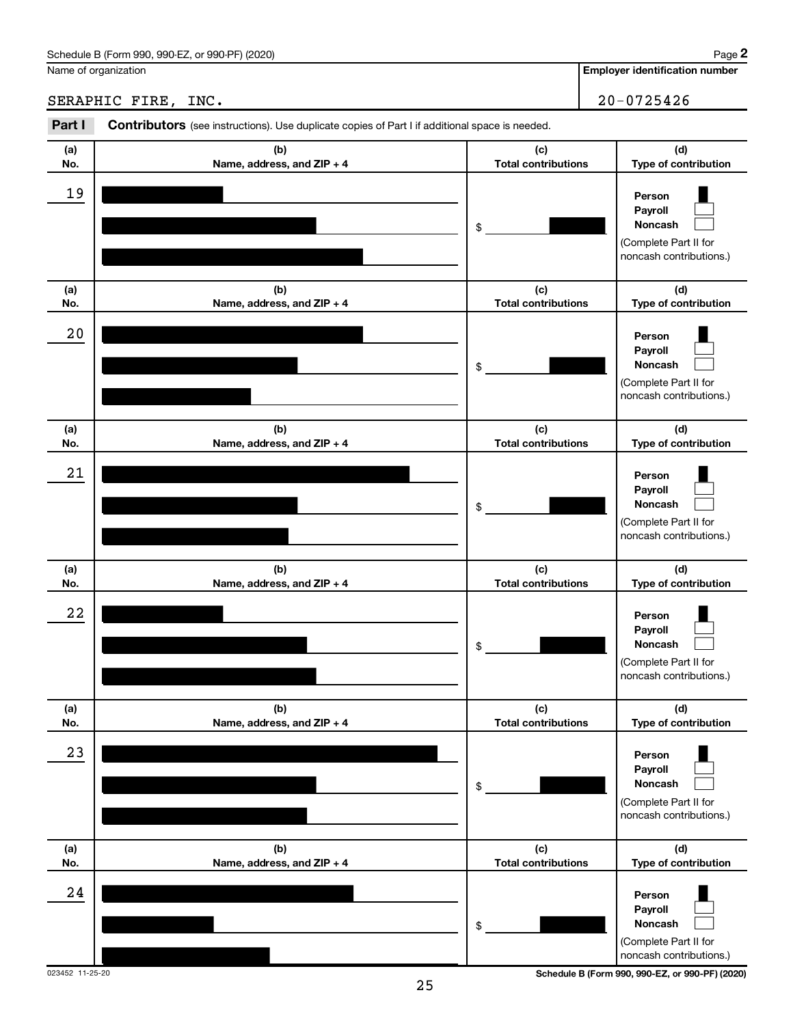#### Schedule B (Form 990, 990-EZ, or 990-PF) (2020)

Name of organization

#### SERAPHIC FIRE, INC. 20-0725426

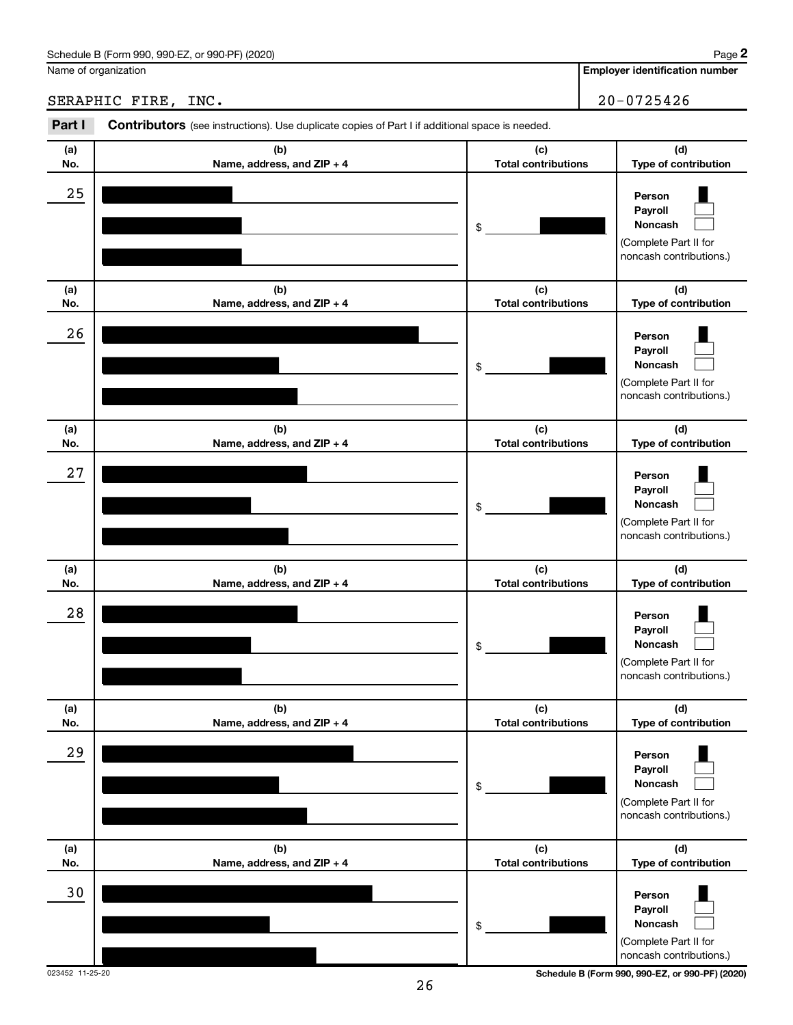**Employer identification number**

SERAPHIC FIRE, INC. 20-0725426

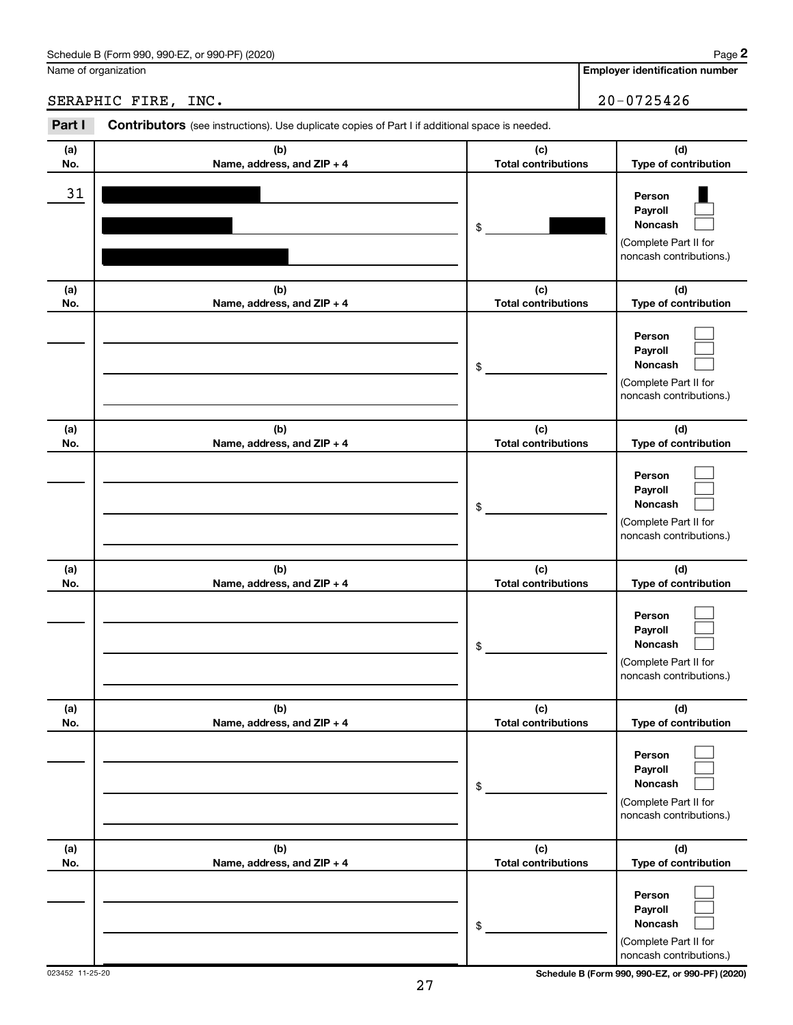#### Schedule B (Form 990, 990-EZ, or 990-PF) (2020)

Name of organization

#### SERAPHIC FIRE, INC. 20-0725426

**(a) No. (b) Name, address, and ZIP + 4 (c) Total contributions (d) Type of contribution Person Payroll Noncash (a) No. (b) Name, address, and ZIP + 4 (c) Total contributions (d) Type of contribution Person Payroll Noncash (a) No. (b) Name, address, and ZIP + 4 (c) Total contributions (d) Type of contribution Person Payroll Noncash (a) No. (b) Name, address, and ZIP + 4 (c) Total contributions (d) Type of contribution Person Payroll Noncash (a) No. (b) Name, address, and ZIP + 4 (c) Total contributions (d) Type of contribution Person Payroll Noncash (a) No. (b) Name, address, and ZIP + 4 (c) Total contributions (d) Type of contribution Person Payroll Noncash** Part I Contributors (see instructions). Use duplicate copies of Part I if additional space is needed. \$ (Complete Part II for noncash contributions.) \$ (Complete Part II for noncash contributions.) \$ (Complete Part II for noncash contributions.) \$ (Complete Part II for noncash contributions.) \$ (Complete Part II for noncash contributions.) \$ (Complete Part II for noncash contributions.)  $\Box$  $\Box$  $\Box$  $\Box$  $\Box$  $\Box$  $\Box$  $\Box$  $\Box$  $\Box$  $\Box$  $\Box$  $\Box$  $\Box$  $\Box$  $\Box$  $\Box$ 31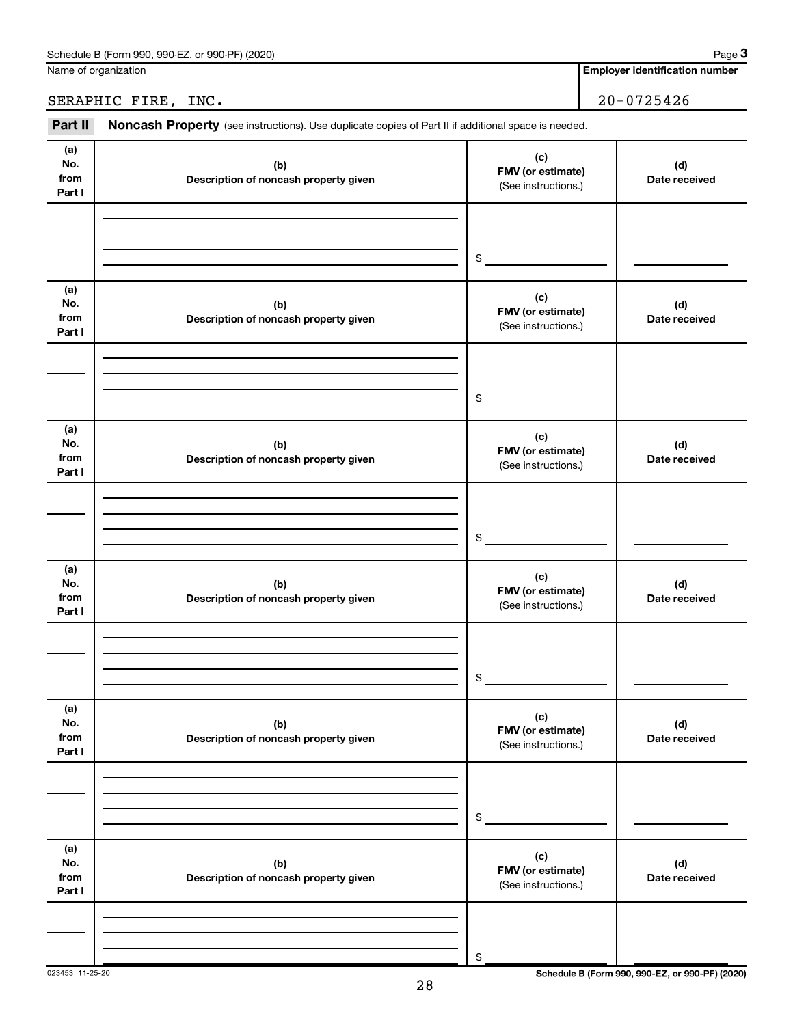| Schedule B (Form 990,<br>or 990-PF) (2020)<br>990-EZ<br>Paɑe |  |
|--------------------------------------------------------------|--|
|--------------------------------------------------------------|--|

Name of organization

**Employer identification number**

### SERAPHIC FIRE, INC. 20-0725426

Part II Noncash Property (see instructions). Use duplicate copies of Part II if additional space is needed.

| (a)<br>No.<br>from<br>Part I | (b)<br>Description of noncash property given | (c)<br>FMV (or estimate)<br>(See instructions.) | (d)<br>Date received |
|------------------------------|----------------------------------------------|-------------------------------------------------|----------------------|
|                              |                                              | \$                                              |                      |
| (a)<br>No.<br>from<br>Part I | (b)<br>Description of noncash property given | (c)<br>FMV (or estimate)<br>(See instructions.) | (d)<br>Date received |
|                              |                                              | \$                                              |                      |
| (a)<br>No.<br>from<br>Part I | (b)<br>Description of noncash property given | (c)<br>FMV (or estimate)<br>(See instructions.) | (d)<br>Date received |
|                              |                                              | \$                                              |                      |
| (a)<br>No.<br>from<br>Part I | (b)<br>Description of noncash property given | (c)<br>FMV (or estimate)<br>(See instructions.) | (d)<br>Date received |
|                              |                                              | \$                                              |                      |
| (a)<br>No.<br>from<br>Part I | (b)<br>Description of noncash property given | (c)<br>FMV (or estimate)<br>(See instructions.) | (d)<br>Date received |
|                              |                                              | $\, \, \raisebox{12pt}{$\scriptstyle \$}$       |                      |
| (a)<br>No.<br>from<br>Part I | (b)<br>Description of noncash property given | (c)<br>FMV (or estimate)<br>(See instructions.) | (d)<br>Date received |
|                              |                                              | \$                                              |                      |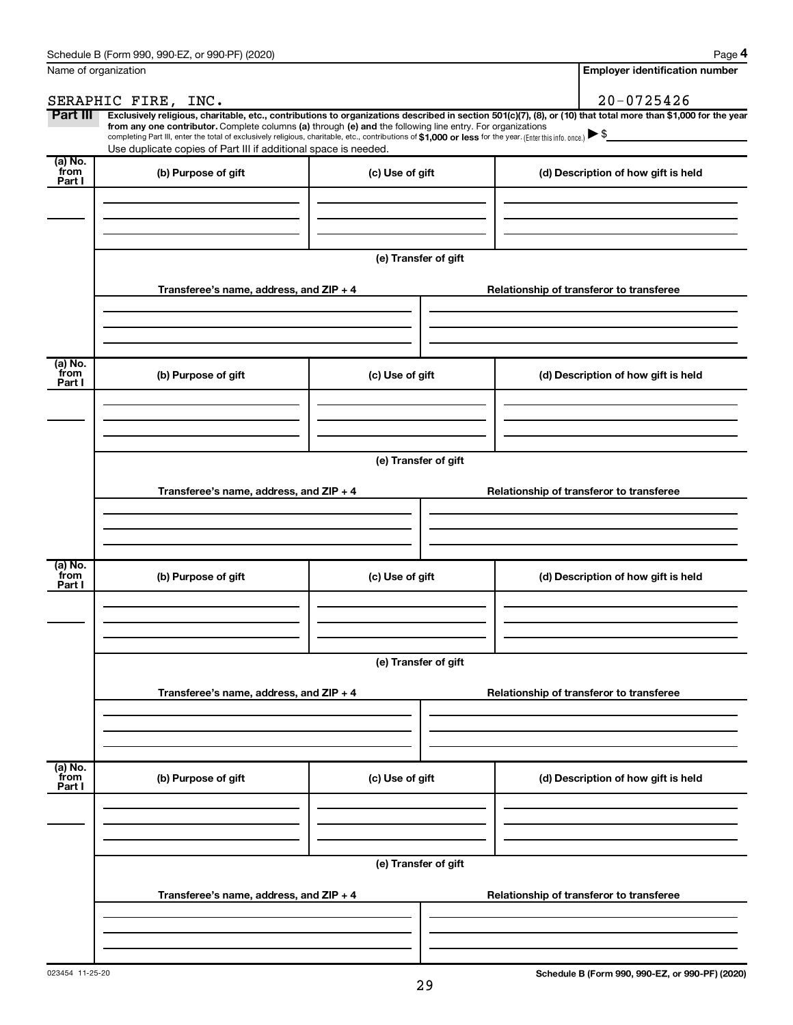| Name of organization        |                                                                                                                                                                                                                                                                                                                                                                                                                                                                                                                                      |                      |  | <b>Employer identification number</b>    |
|-----------------------------|--------------------------------------------------------------------------------------------------------------------------------------------------------------------------------------------------------------------------------------------------------------------------------------------------------------------------------------------------------------------------------------------------------------------------------------------------------------------------------------------------------------------------------------|----------------------|--|------------------------------------------|
|                             | SERAPHIC FIRE, INC.                                                                                                                                                                                                                                                                                                                                                                                                                                                                                                                  |                      |  | $20 - 0725426$                           |
| Part III                    | Exclusively religious, charitable, etc., contributions to organizations described in section 501(c)(7), (8), or (10) that total more than \$1,000 for the year<br>from any one contributor. Complete columns (a) through (e) and the following line entry. For organizations<br>completing Part III, enter the total of exclusively religious, charitable, etc., contributions of \$1,000 or less for the year. (Enter this info. once.) $\blacktriangleright$ \$<br>Use duplicate copies of Part III if additional space is needed. |                      |  |                                          |
| (a) No.<br>from             |                                                                                                                                                                                                                                                                                                                                                                                                                                                                                                                                      |                      |  |                                          |
| Part I                      | (b) Purpose of gift                                                                                                                                                                                                                                                                                                                                                                                                                                                                                                                  | (c) Use of gift      |  | (d) Description of how gift is held      |
|                             |                                                                                                                                                                                                                                                                                                                                                                                                                                                                                                                                      | (e) Transfer of gift |  |                                          |
|                             | Transferee's name, address, and ZIP + 4                                                                                                                                                                                                                                                                                                                                                                                                                                                                                              |                      |  | Relationship of transferor to transferee |
| $(a)$ No.<br>from<br>Part I | (b) Purpose of gift                                                                                                                                                                                                                                                                                                                                                                                                                                                                                                                  | (c) Use of gift      |  | (d) Description of how gift is held      |
|                             |                                                                                                                                                                                                                                                                                                                                                                                                                                                                                                                                      |                      |  |                                          |
|                             | Transferee's name, address, and ZIP + 4                                                                                                                                                                                                                                                                                                                                                                                                                                                                                              | (e) Transfer of gift |  | Relationship of transferor to transferee |
|                             |                                                                                                                                                                                                                                                                                                                                                                                                                                                                                                                                      |                      |  |                                          |
| (a) No.<br>from<br>Part I   | (b) Purpose of gift                                                                                                                                                                                                                                                                                                                                                                                                                                                                                                                  | (c) Use of gift      |  | (d) Description of how gift is held      |
|                             |                                                                                                                                                                                                                                                                                                                                                                                                                                                                                                                                      |                      |  |                                          |
|                             | Transferee's name, address, and ZIP + 4                                                                                                                                                                                                                                                                                                                                                                                                                                                                                              | (e) Transfer of gift |  | Relationship of transferor to transferee |
|                             |                                                                                                                                                                                                                                                                                                                                                                                                                                                                                                                                      |                      |  |                                          |
| (a) No.<br>from<br>Part I   | (b) Purpose of gift                                                                                                                                                                                                                                                                                                                                                                                                                                                                                                                  | (c) Use of gift      |  | (d) Description of how gift is held      |
|                             |                                                                                                                                                                                                                                                                                                                                                                                                                                                                                                                                      |                      |  |                                          |
|                             | (e) Transfer of gift<br>Transferee's name, address, and ZIP + 4                                                                                                                                                                                                                                                                                                                                                                                                                                                                      |                      |  | Relationship of transferor to transferee |
|                             |                                                                                                                                                                                                                                                                                                                                                                                                                                                                                                                                      |                      |  |                                          |
|                             |                                                                                                                                                                                                                                                                                                                                                                                                                                                                                                                                      |                      |  |                                          |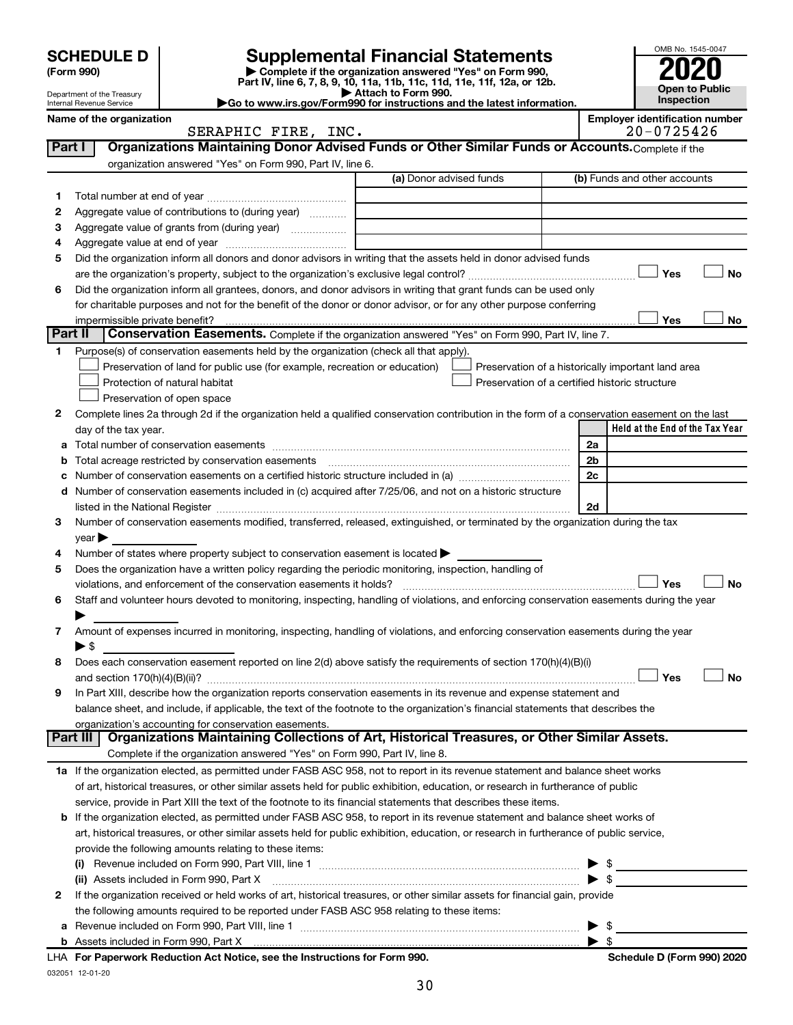|    | <b>SCHEDULE D</b>              |                                                                                                                                                                               | <b>Supplemental Financial Statements</b>                                                                                                       | OMB No. 1545-0047                                       |
|----|--------------------------------|-------------------------------------------------------------------------------------------------------------------------------------------------------------------------------|------------------------------------------------------------------------------------------------------------------------------------------------|---------------------------------------------------------|
|    | (Form 990)                     |                                                                                                                                                                               | Complete if the organization answered "Yes" on Form 990,                                                                                       |                                                         |
|    | Department of the Treasury     |                                                                                                                                                                               | Part IV, line 6, 7, 8, 9, 10, 11a, 11b, 11c, 11d, 11e, 11f, 12a, or 12b.<br>Attach to Form 990.                                                | <b>Open to Public</b>                                   |
|    | Internal Revenue Service       |                                                                                                                                                                               | Go to www.irs.gov/Form990 for instructions and the latest information.                                                                         | Inspection                                              |
|    | Name of the organization       | SERAPHIC FIRE, INC.                                                                                                                                                           |                                                                                                                                                | <b>Employer identification number</b><br>$20 - 0725426$ |
|    | Part I                         |                                                                                                                                                                               | Organizations Maintaining Donor Advised Funds or Other Similar Funds or Accounts. Complete if the                                              |                                                         |
|    |                                | organization answered "Yes" on Form 990, Part IV, line 6.                                                                                                                     |                                                                                                                                                |                                                         |
|    |                                |                                                                                                                                                                               | (a) Donor advised funds                                                                                                                        | (b) Funds and other accounts                            |
| 1  |                                |                                                                                                                                                                               |                                                                                                                                                |                                                         |
| 2  |                                | Aggregate value of contributions to (during year)                                                                                                                             |                                                                                                                                                |                                                         |
| З  |                                | Aggregate value of grants from (during year)                                                                                                                                  |                                                                                                                                                |                                                         |
| 4  |                                |                                                                                                                                                                               | Did the organization inform all donors and donor advisors in writing that the assets held in donor advised funds                               |                                                         |
| 5  |                                |                                                                                                                                                                               |                                                                                                                                                | Yes<br>No                                               |
| 6  |                                |                                                                                                                                                                               | Did the organization inform all grantees, donors, and donor advisors in writing that grant funds can be used only                              |                                                         |
|    |                                |                                                                                                                                                                               | for charitable purposes and not for the benefit of the donor or donor advisor, or for any other purpose conferring                             |                                                         |
|    | impermissible private benefit? |                                                                                                                                                                               |                                                                                                                                                | Yes<br>No                                               |
|    | Part II                        |                                                                                                                                                                               | Conservation Easements. Complete if the organization answered "Yes" on Form 990, Part IV, line 7.                                              |                                                         |
| 1. |                                | Purpose(s) of conservation easements held by the organization (check all that apply).                                                                                         |                                                                                                                                                |                                                         |
|    |                                | Preservation of land for public use (for example, recreation or education)                                                                                                    |                                                                                                                                                | Preservation of a historically important land area      |
|    |                                | Protection of natural habitat                                                                                                                                                 | Preservation of a certified historic structure                                                                                                 |                                                         |
|    |                                | Preservation of open space                                                                                                                                                    |                                                                                                                                                |                                                         |
| 2  | day of the tax year.           |                                                                                                                                                                               | Complete lines 2a through 2d if the organization held a qualified conservation contribution in the form of a conservation easement on the last | Held at the End of the Tax Year                         |
| а  |                                |                                                                                                                                                                               |                                                                                                                                                | 2a                                                      |
| b  |                                | Total acreage restricted by conservation easements                                                                                                                            |                                                                                                                                                | 2 <sub>b</sub>                                          |
| с  |                                |                                                                                                                                                                               | Number of conservation easements on a certified historic structure included in (a) manufacture included in (a)                                 | 2c                                                      |
| d  |                                |                                                                                                                                                                               | Number of conservation easements included in (c) acquired after 7/25/06, and not on a historic structure                                       |                                                         |
|    |                                |                                                                                                                                                                               |                                                                                                                                                | 2d                                                      |
| 3  |                                |                                                                                                                                                                               | Number of conservation easements modified, transferred, released, extinguished, or terminated by the organization during the tax               |                                                         |
|    | vear                           |                                                                                                                                                                               |                                                                                                                                                |                                                         |
| 4  |                                | Number of states where property subject to conservation easement is located >                                                                                                 |                                                                                                                                                |                                                         |
| 5  |                                | Does the organization have a written policy regarding the periodic monitoring, inspection, handling of<br>violations, and enforcement of the conservation easements it holds? |                                                                                                                                                | <b>No</b><br>Yes                                        |
| 6  |                                |                                                                                                                                                                               | Staff and volunteer hours devoted to monitoring, inspecting, handling of violations, and enforcing conservation easements during the year      |                                                         |
|    |                                |                                                                                                                                                                               |                                                                                                                                                |                                                         |
| 7  |                                |                                                                                                                                                                               | Amount of expenses incurred in monitoring, inspecting, handling of violations, and enforcing conservation easements during the year            |                                                         |
|    | ▶ \$                           |                                                                                                                                                                               |                                                                                                                                                |                                                         |
| 8  |                                |                                                                                                                                                                               | Does each conservation easement reported on line 2(d) above satisfy the requirements of section 170(h)(4)(B)(i)                                |                                                         |
|    |                                |                                                                                                                                                                               |                                                                                                                                                | Yes<br><b>No</b>                                        |
| 9  |                                |                                                                                                                                                                               | In Part XIII, describe how the organization reports conservation easements in its revenue and expense statement and                            |                                                         |
|    |                                |                                                                                                                                                                               | balance sheet, and include, if applicable, the text of the footnote to the organization's financial statements that describes the              |                                                         |
|    | Part III                       | organization's accounting for conservation easements.                                                                                                                         | Organizations Maintaining Collections of Art, Historical Treasures, or Other Similar Assets.                                                   |                                                         |
|    |                                | Complete if the organization answered "Yes" on Form 990, Part IV, line 8.                                                                                                     |                                                                                                                                                |                                                         |
|    |                                |                                                                                                                                                                               | 1a If the organization elected, as permitted under FASB ASC 958, not to report in its revenue statement and balance sheet works                |                                                         |
|    |                                |                                                                                                                                                                               | of art, historical treasures, or other similar assets held for public exhibition, education, or research in furtherance of public              |                                                         |
|    |                                |                                                                                                                                                                               | service, provide in Part XIII the text of the footnote to its financial statements that describes these items.                                 |                                                         |
|    |                                |                                                                                                                                                                               | <b>b</b> If the organization elected, as permitted under FASB ASC 958, to report in its revenue statement and balance sheet works of           |                                                         |
|    |                                |                                                                                                                                                                               | art, historical treasures, or other similar assets held for public exhibition, education, or research in furtherance of public service,        |                                                         |
|    |                                | provide the following amounts relating to these items:                                                                                                                        |                                                                                                                                                |                                                         |
|    | (i)                            |                                                                                                                                                                               |                                                                                                                                                |                                                         |
|    |                                |                                                                                                                                                                               | (ii) Assets included in Form 990, Part X <b>manual construction control and all construction</b> construction construction                     |                                                         |
| 2  |                                |                                                                                                                                                                               | If the organization received or held works of art, historical treasures, or other similar assets for financial gain, provide                   |                                                         |
|    |                                | the following amounts required to be reported under FASB ASC 958 relating to these items:                                                                                     |                                                                                                                                                |                                                         |
| а  |                                |                                                                                                                                                                               |                                                                                                                                                |                                                         |
|    |                                |                                                                                                                                                                               |                                                                                                                                                |                                                         |

032051 12-01-20 **For Paperwork Reduction Act Notice, see the Instructions for Form 990. Schedule D (Form 990) 2020** LHA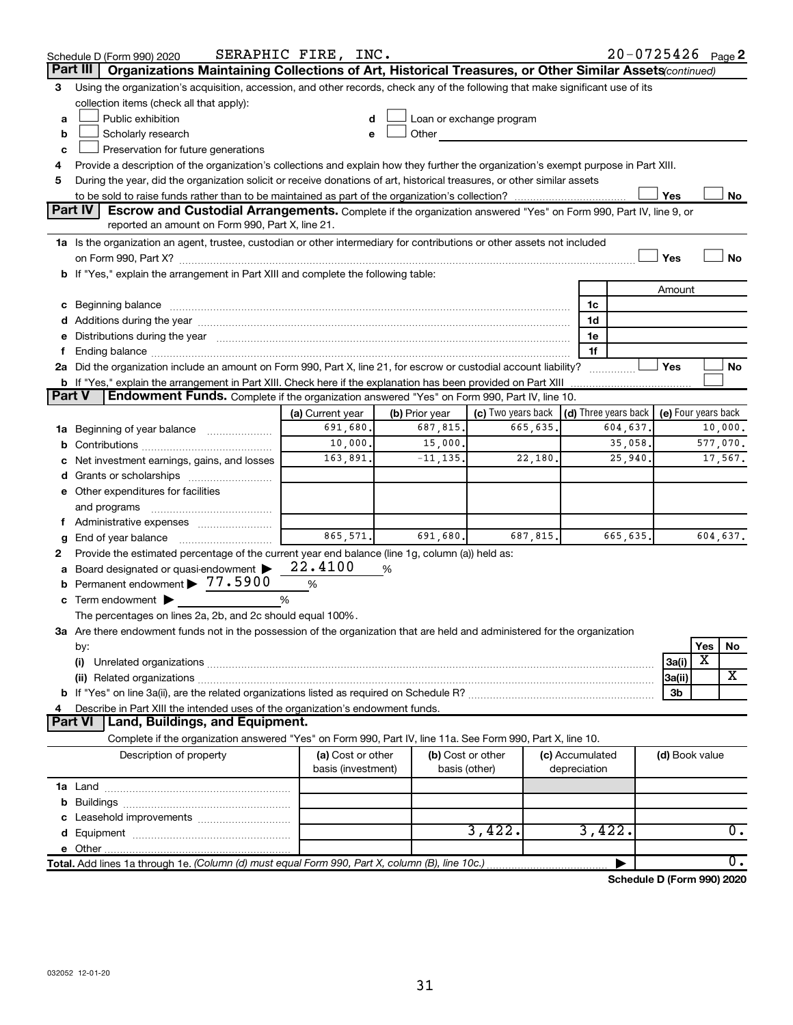|    | Schedule D (Form 990) 2020                                                                                                                                                                                                     | SERAPHIC FIRE, INC. |                |                                                                                                                                                                                                                                |                 | 20-0725426 Page 2 |                     |          |                  |
|----|--------------------------------------------------------------------------------------------------------------------------------------------------------------------------------------------------------------------------------|---------------------|----------------|--------------------------------------------------------------------------------------------------------------------------------------------------------------------------------------------------------------------------------|-----------------|-------------------|---------------------|----------|------------------|
|    | Organizations Maintaining Collections of Art, Historical Treasures, or Other Similar Assets (continued)<br>Part III                                                                                                            |                     |                |                                                                                                                                                                                                                                |                 |                   |                     |          |                  |
| 3  | Using the organization's acquisition, accession, and other records, check any of the following that make significant use of its                                                                                                |                     |                |                                                                                                                                                                                                                                |                 |                   |                     |          |                  |
|    | collection items (check all that apply):                                                                                                                                                                                       |                     |                |                                                                                                                                                                                                                                |                 |                   |                     |          |                  |
| a  | Public exhibition                                                                                                                                                                                                              |                     |                | Loan or exchange program                                                                                                                                                                                                       |                 |                   |                     |          |                  |
| b  | Scholarly research                                                                                                                                                                                                             |                     |                | Other and the control of the control of the control of the control of the control of the control of the control of the control of the control of the control of the control of the control of the control of the control of th |                 |                   |                     |          |                  |
| c  | Preservation for future generations                                                                                                                                                                                            |                     |                |                                                                                                                                                                                                                                |                 |                   |                     |          |                  |
| 4  | Provide a description of the organization's collections and explain how they further the organization's exempt purpose in Part XIII.                                                                                           |                     |                |                                                                                                                                                                                                                                |                 |                   |                     |          |                  |
| 5  | During the year, did the organization solicit or receive donations of art, historical treasures, or other similar assets                                                                                                       |                     |                |                                                                                                                                                                                                                                |                 |                   |                     |          |                  |
|    |                                                                                                                                                                                                                                |                     |                |                                                                                                                                                                                                                                |                 |                   | Yes                 |          | No               |
|    | Part IV<br><b>Escrow and Custodial Arrangements.</b> Complete if the organization answered "Yes" on Form 990, Part IV, line 9, or<br>reported an amount on Form 990, Part X, line 21.                                          |                     |                |                                                                                                                                                                                                                                |                 |                   |                     |          |                  |
|    |                                                                                                                                                                                                                                |                     |                |                                                                                                                                                                                                                                |                 |                   |                     |          |                  |
|    | 1a Is the organization an agent, trustee, custodian or other intermediary for contributions or other assets not included                                                                                                       |                     |                |                                                                                                                                                                                                                                |                 |                   | Yes                 |          | <b>No</b>        |
|    |                                                                                                                                                                                                                                |                     |                |                                                                                                                                                                                                                                |                 |                   |                     |          |                  |
|    | b If "Yes," explain the arrangement in Part XIII and complete the following table:                                                                                                                                             |                     |                |                                                                                                                                                                                                                                |                 |                   | Amount              |          |                  |
|    |                                                                                                                                                                                                                                |                     |                |                                                                                                                                                                                                                                | 1c              |                   |                     |          |                  |
|    | c Beginning balance measurements and the contract of the contract of the contract of the contract of the contract of the contract of the contract of the contract of the contract of the contract of the contract of the contr |                     |                |                                                                                                                                                                                                                                | 1d              |                   |                     |          |                  |
|    | e Distributions during the year manufactured and continuum control of the year manufactured and the year manufactured and the year manufactured and the year manufactured and the year manufactured and the year manufactured  |                     |                |                                                                                                                                                                                                                                | 1е              |                   |                     |          |                  |
| Ť. |                                                                                                                                                                                                                                |                     |                |                                                                                                                                                                                                                                | 1f              |                   |                     |          |                  |
|    | 2a Did the organization include an amount on Form 990, Part X, line 21, for escrow or custodial account liability?                                                                                                             |                     |                |                                                                                                                                                                                                                                | .               |                   | Yes                 |          | No               |
|    |                                                                                                                                                                                                                                |                     |                |                                                                                                                                                                                                                                |                 |                   |                     |          |                  |
|    | Part V<br>Endowment Funds. Complete if the organization answered "Yes" on Form 990, Part IV, line 10.                                                                                                                          |                     |                |                                                                                                                                                                                                                                |                 |                   |                     |          |                  |
|    |                                                                                                                                                                                                                                | (a) Current year    | (b) Prior year | (c) Two years back $\vert$ (d) Three years back $\vert$                                                                                                                                                                        |                 |                   | (e) Four years back |          |                  |
|    | 1a Beginning of year balance                                                                                                                                                                                                   | 691,680.            | 687,815.       | 665,635.                                                                                                                                                                                                                       |                 | 604,637.          |                     |          | 10,000.          |
| b  |                                                                                                                                                                                                                                | 10,000.             | 15,000.        |                                                                                                                                                                                                                                |                 | 35,058.           |                     | 577,070. |                  |
|    | Net investment earnings, gains, and losses                                                                                                                                                                                     | 163,891.            | $-11, 135.$    | 22,180.                                                                                                                                                                                                                        |                 | 25,940.           |                     |          | 17,567.          |
|    |                                                                                                                                                                                                                                |                     |                |                                                                                                                                                                                                                                |                 |                   |                     |          |                  |
|    | e Other expenditures for facilities                                                                                                                                                                                            |                     |                |                                                                                                                                                                                                                                |                 |                   |                     |          |                  |
|    | and programs                                                                                                                                                                                                                   |                     |                |                                                                                                                                                                                                                                |                 |                   |                     |          |                  |
|    |                                                                                                                                                                                                                                |                     |                |                                                                                                                                                                                                                                |                 |                   |                     |          |                  |
| g  |                                                                                                                                                                                                                                | 865,571.            | 691,680.       | 687,815.                                                                                                                                                                                                                       |                 | 665,635.          |                     | 604,637. |                  |
| 2  | Provide the estimated percentage of the current year end balance (line 1g, column (a)) held as:                                                                                                                                |                     |                |                                                                                                                                                                                                                                |                 |                   |                     |          |                  |
|    | a Board designated or quasi-endowment >                                                                                                                                                                                        | 22.4100             | %              |                                                                                                                                                                                                                                |                 |                   |                     |          |                  |
| b  | Permanent endowment > 77.5900                                                                                                                                                                                                  | %                   |                |                                                                                                                                                                                                                                |                 |                   |                     |          |                  |
|    | $\mathbf c$ Term endowment $\blacktriangleright$                                                                                                                                                                               | %                   |                |                                                                                                                                                                                                                                |                 |                   |                     |          |                  |
|    | The percentages on lines 2a, 2b, and 2c should equal 100%.                                                                                                                                                                     |                     |                |                                                                                                                                                                                                                                |                 |                   |                     |          |                  |
|    | 3a Are there endowment funds not in the possession of the organization that are held and administered for the organization                                                                                                     |                     |                |                                                                                                                                                                                                                                |                 |                   |                     |          |                  |
|    | by:                                                                                                                                                                                                                            |                     |                |                                                                                                                                                                                                                                |                 |                   |                     | Yes<br>X | No               |
|    | (i)                                                                                                                                                                                                                            |                     |                |                                                                                                                                                                                                                                |                 |                   | 3a(i)               |          | X                |
|    |                                                                                                                                                                                                                                |                     |                |                                                                                                                                                                                                                                |                 |                   | 3a(ii)<br>3b        |          |                  |
| 4  | Describe in Part XIII the intended uses of the organization's endowment funds.                                                                                                                                                 |                     |                |                                                                                                                                                                                                                                |                 |                   |                     |          |                  |
|    | Land, Buildings, and Equipment.<br><b>Part VI</b>                                                                                                                                                                              |                     |                |                                                                                                                                                                                                                                |                 |                   |                     |          |                  |
|    | Complete if the organization answered "Yes" on Form 990, Part IV, line 11a. See Form 990, Part X, line 10.                                                                                                                     |                     |                |                                                                                                                                                                                                                                |                 |                   |                     |          |                  |
|    | Description of property                                                                                                                                                                                                        | (a) Cost or other   |                | (b) Cost or other                                                                                                                                                                                                              | (c) Accumulated |                   | (d) Book value      |          |                  |
|    |                                                                                                                                                                                                                                | basis (investment)  | basis (other)  |                                                                                                                                                                                                                                | depreciation    |                   |                     |          |                  |
|    |                                                                                                                                                                                                                                |                     |                |                                                                                                                                                                                                                                |                 |                   |                     |          |                  |
|    |                                                                                                                                                                                                                                |                     |                |                                                                                                                                                                                                                                |                 |                   |                     |          |                  |
|    |                                                                                                                                                                                                                                |                     |                |                                                                                                                                                                                                                                |                 |                   |                     |          |                  |
|    |                                                                                                                                                                                                                                |                     |                | 3,422.                                                                                                                                                                                                                         | 3,422.          |                   |                     |          | 0.               |
|    |                                                                                                                                                                                                                                |                     |                |                                                                                                                                                                                                                                |                 |                   |                     |          |                  |
|    | Total. Add lines 1a through 1e. (Column (d) must equal Form 990, Part X, column (B), line 10c.)                                                                                                                                |                     |                |                                                                                                                                                                                                                                |                 |                   |                     |          | $\overline{0}$ . |

**Schedule D (Form 990) 2020**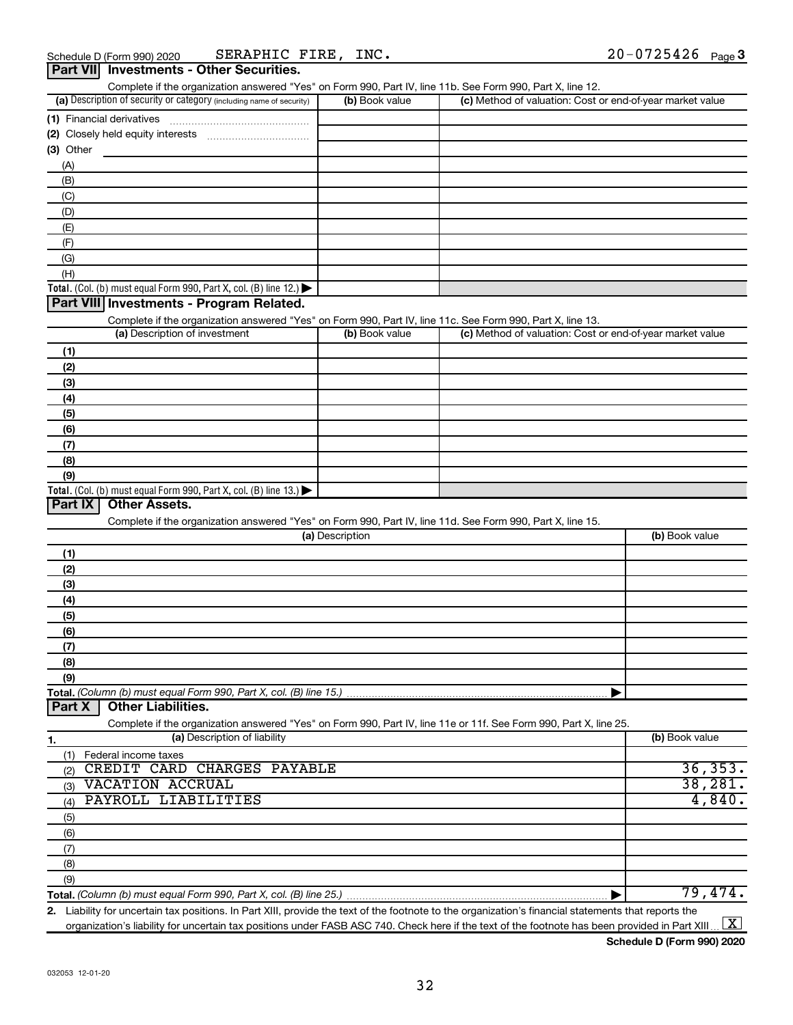| (c) Method of valuation: Cost or end-of-year market value |
|-----------------------------------------------------------|
|                                                           |
|                                                           |
|                                                           |
|                                                           |
|                                                           |
|                                                           |
|                                                           |
|                                                           |
|                                                           |
|                                                           |
|                                                           |
|                                                           |
|                                                           |
|                                                           |
|                                                           |
|                                                           |
| (c) Method of valuation: Cost or end-of-year market value |
|                                                           |
|                                                           |
|                                                           |
|                                                           |
|                                                           |
|                                                           |
|                                                           |
|                                                           |
|                                                           |
|                                                           |
|                                                           |
|                                                           |
|                                                           |
| (b) Book value                                            |
|                                                           |
|                                                           |
|                                                           |
|                                                           |
|                                                           |
|                                                           |
|                                                           |
|                                                           |
|                                                           |
|                                                           |
|                                                           |
|                                                           |
| (b) Book value                                            |
|                                                           |
|                                                           |
| 36, 353.                                                  |
| 38, 281.                                                  |
| 4,840.                                                    |
|                                                           |
|                                                           |
|                                                           |
|                                                           |
|                                                           |
| 79,474.                                                   |
|                                                           |

**2.** Liability for uncertain tax positions. In Part XIII, provide the text of the footnote to the organization's financial statements that reports the organization's liability for uncertain tax positions under FASB ASC 740. Check here if the text of the footnote has been provided in Part XIII ...  $\fbox{\bf X}$ 

**Schedule D (Form 990) 2020**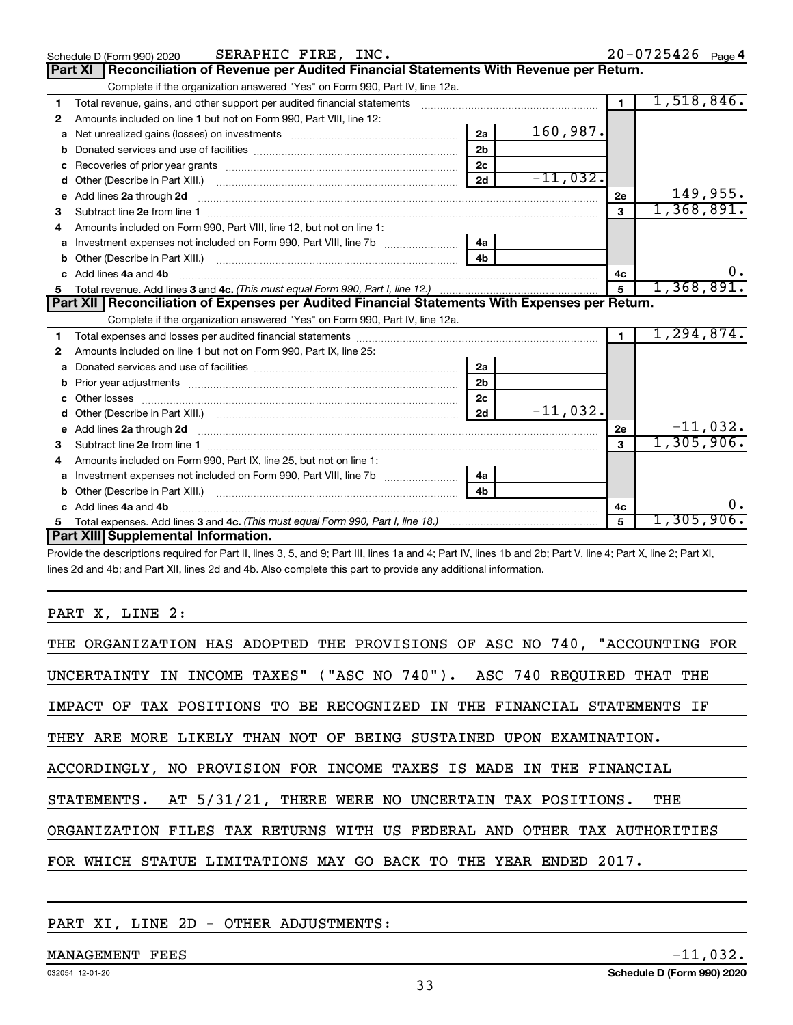|    | SERAPHIC FIRE, INC.<br>Schedule D (Form 990) 2020                                                                                                                                                                                    |                |             |                | 20-0725426 Page 4 |
|----|--------------------------------------------------------------------------------------------------------------------------------------------------------------------------------------------------------------------------------------|----------------|-------------|----------------|-------------------|
|    | Reconciliation of Revenue per Audited Financial Statements With Revenue per Return.<br> Part XI                                                                                                                                      |                |             |                |                   |
|    | Complete if the organization answered "Yes" on Form 990, Part IV, line 12a.                                                                                                                                                          |                |             |                |                   |
| 1  |                                                                                                                                                                                                                                      |                |             | $\overline{1}$ | 1,518,846.        |
| 2  | Amounts included on line 1 but not on Form 990, Part VIII, line 12:                                                                                                                                                                  |                |             |                |                   |
| a  |                                                                                                                                                                                                                                      | 2a             | 160,987.    |                |                   |
| b  |                                                                                                                                                                                                                                      | 2 <sub>b</sub> |             |                |                   |
| с  |                                                                                                                                                                                                                                      | 2c             |             |                |                   |
| d  |                                                                                                                                                                                                                                      | 2d             | $-11,032$ . |                |                   |
| е  | Add lines 2a through 2d <b>continuum continuum contract and continuum contract and continuum contract and continuum contract and continuum contract and continuum contract and continuum contract and continuum contract and con</b> |                |             | 2e             | 149,955.          |
| з  |                                                                                                                                                                                                                                      |                |             | 3              | 1,368,891.        |
|    | Amounts included on Form 990, Part VIII, line 12, but not on line 1:                                                                                                                                                                 |                |             |                |                   |
| a  |                                                                                                                                                                                                                                      | 4a             |             |                |                   |
| b  |                                                                                                                                                                                                                                      | 4b             |             |                |                   |
|    | Add lines 4a and 4b                                                                                                                                                                                                                  |                |             | 4c             | υ.                |
| 5. |                                                                                                                                                                                                                                      |                |             | 5              | 1,368,891.        |
|    |                                                                                                                                                                                                                                      |                |             |                |                   |
|    | Part XII   Reconciliation of Expenses per Audited Financial Statements With Expenses per Return.                                                                                                                                     |                |             |                |                   |
|    | Complete if the organization answered "Yes" on Form 990, Part IV, line 12a.                                                                                                                                                          |                |             |                |                   |
| 1  |                                                                                                                                                                                                                                      |                |             | $\blacksquare$ | 1, 294, 874.      |
| 2  | Amounts included on line 1 but not on Form 990, Part IX, line 25:                                                                                                                                                                    |                |             |                |                   |
| a  |                                                                                                                                                                                                                                      | 2a             |             |                |                   |
| b  |                                                                                                                                                                                                                                      | 2 <sub>b</sub> |             |                |                   |
| с  | Other losses <b>with a contract the contract of the contract of the contract of the contract of the contract of the contract of the contract of the contract of the contract of the contract of the contract of the contract of </b> | 2 <sub>c</sub> |             |                |                   |
|    |                                                                                                                                                                                                                                      | 2d             | $-11,032.$  |                |                   |
| e  | Add lines 2a through 2d <b>[10]</b> [10] <b>Adding the Second Lines</b> 2a through 2d <b>[10] html</b>                                                                                                                               |                |             | 2e             | $-11,032.$        |
| 3  |                                                                                                                                                                                                                                      |                |             | $\mathbf{a}$   | 1,305,906.        |
| 4  | Amounts included on Form 990, Part IX, line 25, but not on line 1:                                                                                                                                                                   |                |             |                |                   |
| a  | Investment expenses not included on Form 990, Part VIII, line 7b [100] [100] [100] [100] [100] [100] [100] [10                                                                                                                       | 4a             |             |                |                   |
|    |                                                                                                                                                                                                                                      | 4b             |             |                |                   |
|    | Add lines 4a and 4b                                                                                                                                                                                                                  |                |             | 4c             |                   |
| 5  | Part XIII Supplemental Information.                                                                                                                                                                                                  |                |             | 5              | 1,305,906.        |

Provide the descriptions required for Part II, lines 3, 5, and 9; Part III, lines 1a and 4; Part IV, lines 1b and 2b; Part V, line 4; Part X, line 2; Part XI, lines 2d and 4b; and Part XII, lines 2d and 4b. Also complete this part to provide any additional information.

#### PART X, LINE 2:

| THE ORGANIZATION HAS ADOPTED THE PROVISIONS OF ASC NO 740, "ACCOUNTING FOR |
|----------------------------------------------------------------------------|
| UNCERTAINTY IN INCOME TAXES" ("ASC NO 740"). ASC 740 REQUIRED THAT THE     |
| IMPACT OF TAX POSITIONS TO BE RECOGNIZED IN THE FINANCIAL STATEMENTS IF    |
| THEY ARE MORE LIKELY THAN NOT OF BEING SUSTAINED UPON EXAMINATION.         |
| ACCORDINGLY, NO PROVISION FOR INCOME TAXES IS MADE IN THE FINANCIAL        |
| STATEMENTS. AT 5/31/21, THERE WERE NO UNCERTAIN TAX POSITIONS. THE         |
| ORGANIZATION FILES TAX RETURNS WITH US FEDERAL AND OTHER TAX AUTHORITIES   |
| FOR WHICH STATUE LIMITATIONS MAY GO BACK TO THE YEAR ENDED 2017.           |

#### PART XI, LINE 2D - OTHER ADJUSTMENTS: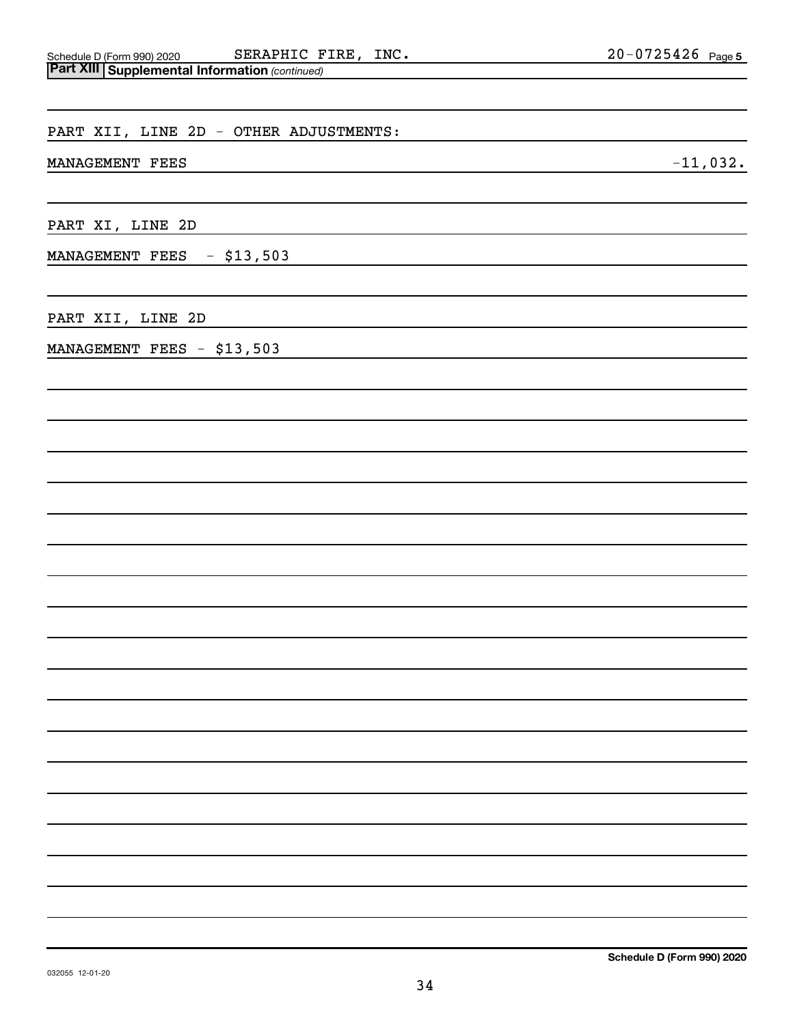| Schedule D (Form 990) 2020                              | SERAPHIC FIRE, | INC. | $20 - 0725426$ Page 5 |  |
|---------------------------------------------------------|----------------|------|-----------------------|--|
| <b>Part XIII   Supplemental Information (continued)</b> |                |      |                       |  |

| experienced information (commaca)                                                                                       |            |
|-------------------------------------------------------------------------------------------------------------------------|------------|
| PART XII, LINE 2D - OTHER ADJUSTMENTS:                                                                                  |            |
| MANAGEMENT FEES<br>the control of the control of the control of the control of the control of the control of            | $-11,032.$ |
| PART XI, LINE 2D<br>the control of the control of the control of the control of the control of the control of           |            |
| MANAGEMENT FEES - \$13,503<br>the control of the control of the control of the control of the control of the control of |            |
| PART XII, LINE 2D                                                                                                       |            |
| MANAGEMENT FEES - \$13,503                                                                                              |            |
|                                                                                                                         |            |
|                                                                                                                         |            |
|                                                                                                                         |            |
|                                                                                                                         |            |
|                                                                                                                         |            |
|                                                                                                                         |            |
|                                                                                                                         |            |
|                                                                                                                         |            |
|                                                                                                                         |            |
|                                                                                                                         |            |
|                                                                                                                         |            |
|                                                                                                                         |            |
|                                                                                                                         |            |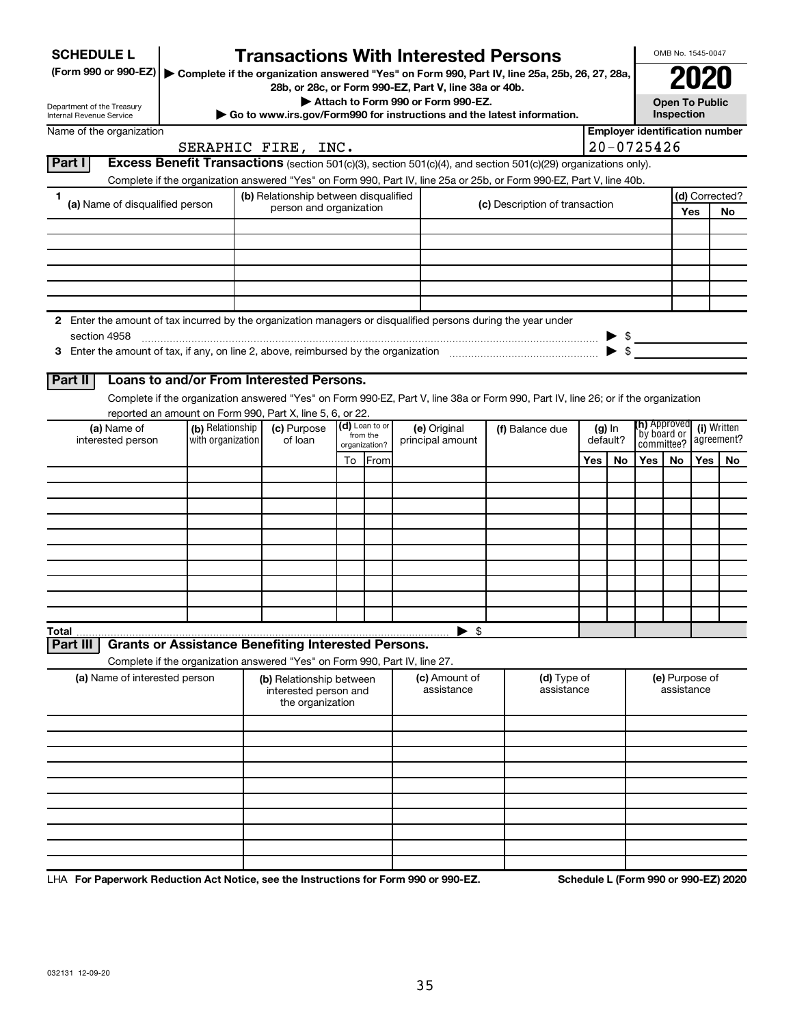| <b>SCHEDULE L</b>                                                                                                             |                                                                               |                                                                                               | <b>Transactions With Interested Persons</b>                           |                           |                |            |                                |                                       |                                                                                                                                                                                                                                        |                                     |           |                     | OMB No. 1545-0047                        |     |                |
|-------------------------------------------------------------------------------------------------------------------------------|-------------------------------------------------------------------------------|-----------------------------------------------------------------------------------------------|-----------------------------------------------------------------------|---------------------------|----------------|------------|--------------------------------|---------------------------------------|----------------------------------------------------------------------------------------------------------------------------------------------------------------------------------------------------------------------------------------|-------------------------------------|-----------|---------------------|------------------------------------------|-----|----------------|
| (Form 990 or 990-EZ)                                                                                                          |                                                                               | Complete if the organization answered "Yes" on Form 990, Part IV, line 25a, 25b, 26, 27, 28a, |                                                                       |                           |                |            |                                |                                       |                                                                                                                                                                                                                                        | <b>Open To Public</b><br>Inspection |           |                     |                                          |     |                |
|                                                                                                                               |                                                                               | 28b, or 28c, or Form 990-EZ, Part V, line 38a or 40b.<br>Attach to Form 990 or Form 990-EZ.   |                                                                       |                           |                |            |                                |                                       |                                                                                                                                                                                                                                        |                                     |           |                     |                                          |     |                |
| Department of the Treasury<br>Internal Revenue Service                                                                        |                                                                               | Go to www.irs.gov/Form990 for instructions and the latest information.                        |                                                                       |                           |                |            |                                |                                       |                                                                                                                                                                                                                                        |                                     |           |                     |                                          |     |                |
| Name of the organization                                                                                                      |                                                                               |                                                                                               |                                                                       |                           |                |            |                                | <b>Employer identification number</b> |                                                                                                                                                                                                                                        |                                     |           |                     |                                          |     |                |
|                                                                                                                               |                                                                               |                                                                                               | SERAPHIC FIRE, INC.                                                   |                           |                |            |                                |                                       |                                                                                                                                                                                                                                        |                                     |           | $20 - 0725426$      |                                          |     |                |
| Part I                                                                                                                        |                                                                               |                                                                                               |                                                                       |                           |                |            |                                |                                       | Excess Benefit Transactions (section 501(c)(3), section 501(c)(4), and section 501(c)(29) organizations only).<br>Complete if the organization answered "Yes" on Form 990, Part IV, line 25a or 25b, or Form 990-EZ, Part V, line 40b. |                                     |           |                     |                                          |     |                |
| 1.                                                                                                                            |                                                                               |                                                                                               | (b) Relationship between disqualified                                 |                           |                |            |                                |                                       |                                                                                                                                                                                                                                        |                                     |           |                     |                                          |     | (d) Corrected? |
| (a) Name of disqualified person                                                                                               |                                                                               | person and organization                                                                       |                                                                       |                           |                |            | (c) Description of transaction |                                       |                                                                                                                                                                                                                                        |                                     |           |                     |                                          | Yes | No             |
|                                                                                                                               |                                                                               |                                                                                               |                                                                       |                           |                |            |                                |                                       |                                                                                                                                                                                                                                        |                                     |           |                     |                                          |     |                |
|                                                                                                                               |                                                                               |                                                                                               |                                                                       |                           |                |            |                                |                                       |                                                                                                                                                                                                                                        |                                     |           |                     |                                          |     |                |
|                                                                                                                               |                                                                               |                                                                                               |                                                                       |                           |                |            |                                |                                       |                                                                                                                                                                                                                                        |                                     |           |                     |                                          |     |                |
|                                                                                                                               |                                                                               |                                                                                               |                                                                       |                           |                |            |                                |                                       |                                                                                                                                                                                                                                        |                                     |           |                     |                                          |     |                |
|                                                                                                                               |                                                                               |                                                                                               |                                                                       |                           |                |            |                                |                                       |                                                                                                                                                                                                                                        |                                     |           |                     |                                          |     |                |
| 2 Enter the amount of tax incurred by the organization managers or disqualified persons during the year under<br>section 4958 |                                                                               |                                                                                               |                                                                       |                           |                |            |                                |                                       |                                                                                                                                                                                                                                        |                                     |           |                     |                                          |     |                |
|                                                                                                                               |                                                                               |                                                                                               |                                                                       |                           |                |            |                                |                                       |                                                                                                                                                                                                                                        |                                     |           |                     |                                          |     |                |
|                                                                                                                               |                                                                               |                                                                                               |                                                                       |                           |                |            |                                |                                       |                                                                                                                                                                                                                                        |                                     |           |                     |                                          |     |                |
| Part II                                                                                                                       | Loans to and/or From Interested Persons.                                      |                                                                                               |                                                                       |                           |                |            |                                |                                       |                                                                                                                                                                                                                                        |                                     |           |                     |                                          |     |                |
|                                                                                                                               |                                                                               |                                                                                               |                                                                       |                           |                |            |                                |                                       | Complete if the organization answered "Yes" on Form 990-EZ, Part V, line 38a or Form 990, Part IV, line 26; or if the organization                                                                                                     |                                     |           |                     |                                          |     |                |
| (a) Name of                                                                                                                   | reported an amount on Form 990, Part X, line 5, 6, or 22.<br>(b) Relationship |                                                                                               | (c) Purpose                                                           |                           | (d) Loan to or |            | (e) Original                   |                                       | (f) Balance due                                                                                                                                                                                                                        |                                     | $(g)$ In  | <b>(h)</b> Approved |                                          |     | (i) Written    |
| interested person                                                                                                             | with organization                                                             | of loan                                                                                       |                                                                       | from the<br>organization? |                |            | principal amount               |                                       |                                                                                                                                                                                                                                        | default?                            |           |                     | `by board or<br>agreement?<br>committee? |     |                |
|                                                                                                                               |                                                                               |                                                                                               |                                                                       | To                        | <b>IFrom</b>   |            |                                |                                       |                                                                                                                                                                                                                                        | Yes                                 | <b>No</b> | Yes I               | No                                       | Yes | No.            |
|                                                                                                                               |                                                                               |                                                                                               |                                                                       |                           |                |            |                                |                                       |                                                                                                                                                                                                                                        |                                     |           |                     |                                          |     |                |
|                                                                                                                               |                                                                               |                                                                                               |                                                                       |                           |                |            |                                |                                       |                                                                                                                                                                                                                                        |                                     |           |                     |                                          |     |                |
|                                                                                                                               |                                                                               |                                                                                               |                                                                       |                           |                |            |                                |                                       |                                                                                                                                                                                                                                        |                                     |           |                     |                                          |     |                |
|                                                                                                                               |                                                                               |                                                                                               |                                                                       |                           |                |            |                                |                                       |                                                                                                                                                                                                                                        |                                     |           |                     |                                          |     |                |
|                                                                                                                               |                                                                               |                                                                                               |                                                                       |                           |                |            |                                |                                       |                                                                                                                                                                                                                                        |                                     |           |                     |                                          |     |                |
|                                                                                                                               |                                                                               |                                                                                               |                                                                       |                           |                |            |                                |                                       |                                                                                                                                                                                                                                        |                                     |           |                     |                                          |     |                |
|                                                                                                                               |                                                                               |                                                                                               |                                                                       |                           |                |            |                                |                                       |                                                                                                                                                                                                                                        |                                     |           |                     |                                          |     |                |
|                                                                                                                               |                                                                               |                                                                                               |                                                                       |                           |                |            |                                |                                       |                                                                                                                                                                                                                                        |                                     |           |                     |                                          |     |                |
| Total                                                                                                                         |                                                                               |                                                                                               |                                                                       |                           |                |            | $\blacktriangleright$ s        |                                       |                                                                                                                                                                                                                                        |                                     |           |                     |                                          |     |                |
| Part III                                                                                                                      | <b>Grants or Assistance Benefiting Interested Persons.</b>                    |                                                                                               |                                                                       |                           |                |            |                                |                                       |                                                                                                                                                                                                                                        |                                     |           |                     |                                          |     |                |
|                                                                                                                               | Complete if the organization answered "Yes" on Form 990, Part IV, line 27.    |                                                                                               |                                                                       |                           |                |            | (c) Amount of                  |                                       | (d) Type of                                                                                                                                                                                                                            |                                     |           |                     |                                          |     |                |
| (a) Name of interested person                                                                                                 |                                                                               |                                                                                               | (b) Relationship between<br>interested person and<br>the organization |                           |                | assistance |                                | assistance                            |                                                                                                                                                                                                                                        |                                     |           |                     | (e) Purpose of<br>assistance             |     |                |
|                                                                                                                               |                                                                               |                                                                                               |                                                                       |                           |                |            |                                |                                       |                                                                                                                                                                                                                                        |                                     |           |                     |                                          |     |                |
|                                                                                                                               |                                                                               |                                                                                               |                                                                       |                           |                |            |                                |                                       |                                                                                                                                                                                                                                        |                                     |           |                     |                                          |     |                |
|                                                                                                                               |                                                                               |                                                                                               |                                                                       |                           |                |            |                                |                                       |                                                                                                                                                                                                                                        |                                     |           |                     |                                          |     |                |
|                                                                                                                               |                                                                               |                                                                                               |                                                                       |                           |                |            |                                |                                       |                                                                                                                                                                                                                                        |                                     |           |                     |                                          |     |                |
|                                                                                                                               |                                                                               |                                                                                               |                                                                       |                           |                |            |                                |                                       |                                                                                                                                                                                                                                        |                                     |           |                     |                                          |     |                |
|                                                                                                                               |                                                                               |                                                                                               |                                                                       |                           |                |            |                                |                                       |                                                                                                                                                                                                                                        |                                     |           |                     |                                          |     |                |
|                                                                                                                               |                                                                               |                                                                                               |                                                                       |                           |                |            |                                |                                       |                                                                                                                                                                                                                                        |                                     |           |                     |                                          |     |                |
|                                                                                                                               |                                                                               |                                                                                               |                                                                       |                           |                |            |                                |                                       |                                                                                                                                                                                                                                        |                                     |           |                     |                                          |     |                |
|                                                                                                                               |                                                                               |                                                                                               |                                                                       |                           |                |            |                                |                                       |                                                                                                                                                                                                                                        |                                     |           |                     |                                          |     |                |

LHA For Paperwork Reduction Act Notice, see the Instructions for Form 990 or 990-EZ. Schedule L (Form 990 or 990-EZ) 2020 ו-D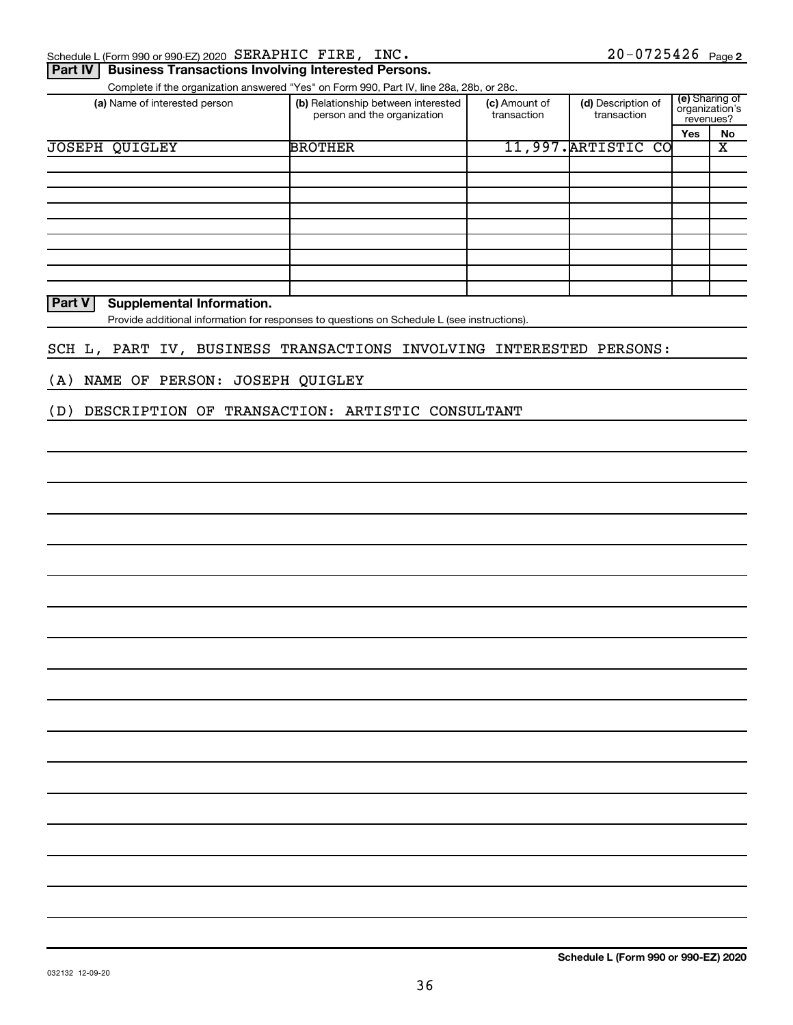| $20 - 0725426$ Page 2<br>INC.<br>Schedule L (Form 990 or 990-EZ) 2020 SERAPHIC FIRE, |
|--------------------------------------------------------------------------------------|
|--------------------------------------------------------------------------------------|

#### **Part IV | Business Transactions Involving Interested Persons.**

Complete if the organization answered "Yes" on Form 990, Part IV, line 28a, 28b, or 28c.

| (a) Name of interested person | (b) Relationship between interested<br>person and the organization | (c) Amount of<br>transaction | (d) Description of<br>transaction | revenues?  | (e) Sharing of<br>organization's |
|-------------------------------|--------------------------------------------------------------------|------------------------------|-----------------------------------|------------|----------------------------------|
|                               |                                                                    |                              |                                   | <b>Yes</b> | No                               |
| <b>JOSEPH QUIGLEY</b>         | <b>BROTHER</b>                                                     |                              | 11,997. ARTISTIC CO               |            | х                                |
|                               |                                                                    |                              |                                   |            |                                  |
|                               |                                                                    |                              |                                   |            |                                  |
|                               |                                                                    |                              |                                   |            |                                  |
|                               |                                                                    |                              |                                   |            |                                  |
|                               |                                                                    |                              |                                   |            |                                  |
|                               |                                                                    |                              |                                   |            |                                  |
|                               |                                                                    |                              |                                   |            |                                  |
|                               |                                                                    |                              |                                   |            |                                  |
|                               |                                                                    |                              |                                   |            |                                  |

**Part V Supplemental Information.**

Provide additional information for responses to questions on Schedule L (see instructions).

#### SCH L, PART IV, BUSINESS TRANSACTIONS INVOLVING INTERESTED PERSONS:

(A) NAME OF PERSON: JOSEPH QUIGLEY

(D) DESCRIPTION OF TRANSACTION: ARTISTIC CONSULTANT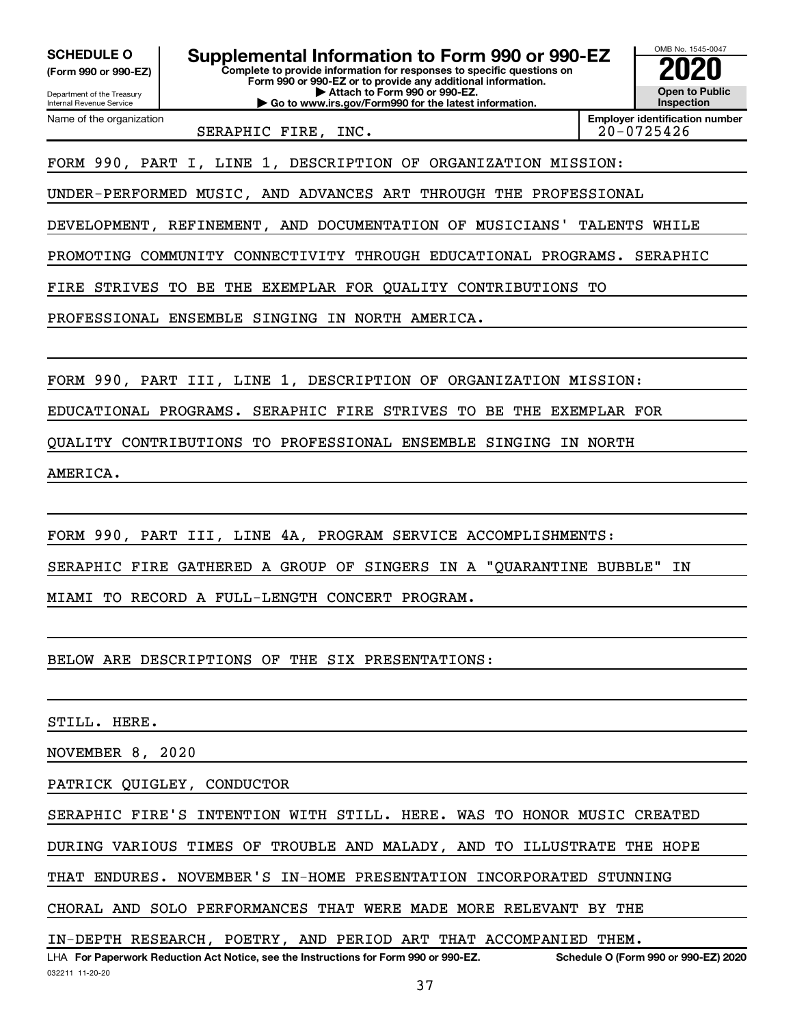**(Form 990 or 990-EZ)**

**SCHEDULE O Supplemental Information to Form 990 or 990-EZ 2020**<br>(Form 990 or 990-EZ) Complete to provide information for responses to specific questions on

Department of the Treasury Internal Revenue Service

Name of the organization

**Complete to provide information for responses to specific questions on Form 990 or 990-EZ or to provide any additional information. | Attach to Form 990 or 990-EZ. | Go to www.irs.gov/Form990 for the latest information.**



SERAPHIC FIRE, INC. 20-0725426

**Employer identification number**

FORM 990, PART I, LINE 1, DESCRIPTION OF ORGANIZATION MISSION:

UNDER-PERFORMED MUSIC, AND ADVANCES ART THROUGH THE PROFESSIONAL

DEVELOPMENT, REFINEMENT, AND DOCUMENTATION OF MUSICIANS' TALENTS WHILE

PROMOTING COMMUNITY CONNECTIVITY THROUGH EDUCATIONAL PROGRAMS. SERAPHIC

FIRE STRIVES TO BE THE EXEMPLAR FOR QUALITY CONTRIBUTIONS TO

PROFESSIONAL ENSEMBLE SINGING IN NORTH AMERICA.

FORM 990, PART III, LINE 1, DESCRIPTION OF ORGANIZATION MISSION:

EDUCATIONAL PROGRAMS. SERAPHIC FIRE STRIVES TO BE THE EXEMPLAR FOR

QUALITY CONTRIBUTIONS TO PROFESSIONAL ENSEMBLE SINGING IN NORTH

AMERICA.

FORM 990, PART III, LINE 4A, PROGRAM SERVICE ACCOMPLISHMENTS:

SERAPHIC FIRE GATHERED A GROUP OF SINGERS IN A "QUARANTINE BUBBLE" IN

MIAMI TO RECORD A FULL-LENGTH CONCERT PROGRAM.

BELOW ARE DESCRIPTIONS OF THE SIX PRESENTATIONS:

STILL. HERE.

NOVEMBER 8, 2020

PATRICK QUIGLEY, CONDUCTOR

SERAPHIC FIRE'S INTENTION WITH STILL. HERE. WAS TO HONOR MUSIC CREATED

DURING VARIOUS TIMES OF TROUBLE AND MALADY, AND TO ILLUSTRATE THE HOPE

THAT ENDURES. NOVEMBER'S IN-HOME PRESENTATION INCORPORATED STUNNING

CHORAL AND SOLO PERFORMANCES THAT WERE MADE MORE RELEVANT BY THE

IN-DEPTH RESEARCH, POETRY, AND PERIOD ART THAT ACCOMPANIED THEM.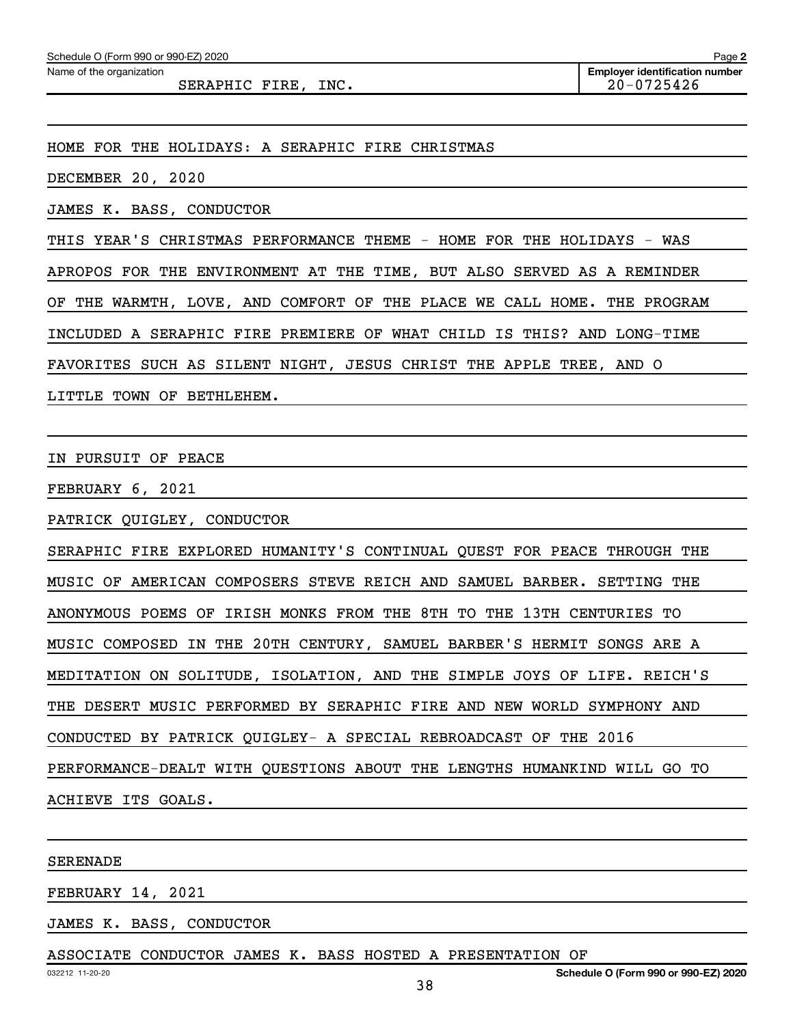SERAPHIC FIRE, INC. 20-0725426

HOME FOR THE HOLIDAYS: A SERAPHIC FIRE CHRISTMAS

DECEMBER 20, 2020

JAMES K. BASS, CONDUCTOR

THIS YEAR'S CHRISTMAS PERFORMANCE THEME - HOME FOR THE HOLIDAYS - WAS

APROPOS FOR THE ENVIRONMENT AT THE TIME, BUT ALSO SERVED AS A REMINDER

OF THE WARMTH, LOVE, AND COMFORT OF THE PLACE WE CALL HOME. THE PROGRAM

INCLUDED A SERAPHIC FIRE PREMIERE OF WHAT CHILD IS THIS? AND LONG-TIME

FAVORITES SUCH AS SILENT NIGHT, JESUS CHRIST THE APPLE TREE, AND O

LITTLE TOWN OF BETHLEHEM.

IN PURSUIT OF PEACE

FEBRUARY 6, 2021

PATRICK QUIGLEY, CONDUCTOR

SERAPHIC FIRE EXPLORED HUMANITY'S CONTINUAL QUEST FOR PEACE THROUGH THE MUSIC OF AMERICAN COMPOSERS STEVE REICH AND SAMUEL BARBER. SETTING THE ANONYMOUS POEMS OF IRISH MONKS FROM THE 8TH TO THE 13TH CENTURIES TO MUSIC COMPOSED IN THE 20TH CENTURY, SAMUEL BARBER'S HERMIT SONGS ARE A MEDITATION ON SOLITUDE, ISOLATION, AND THE SIMPLE JOYS OF LIFE. REICH'S THE DESERT MUSIC PERFORMED BY SERAPHIC FIRE AND NEW WORLD SYMPHONY AND CONDUCTED BY PATRICK QUIGLEY- A SPECIAL REBROADCAST OF THE 2016 PERFORMANCE-DEALT WITH QUESTIONS ABOUT THE LENGTHS HUMANKIND WILL GO TO ACHIEVE ITS GOALS.

SERENADE

FEBRUARY 14, 2021

JAMES K. BASS, CONDUCTOR

ASSOCIATE CONDUCTOR JAMES K. BASS HOSTED A PRESENTATION OF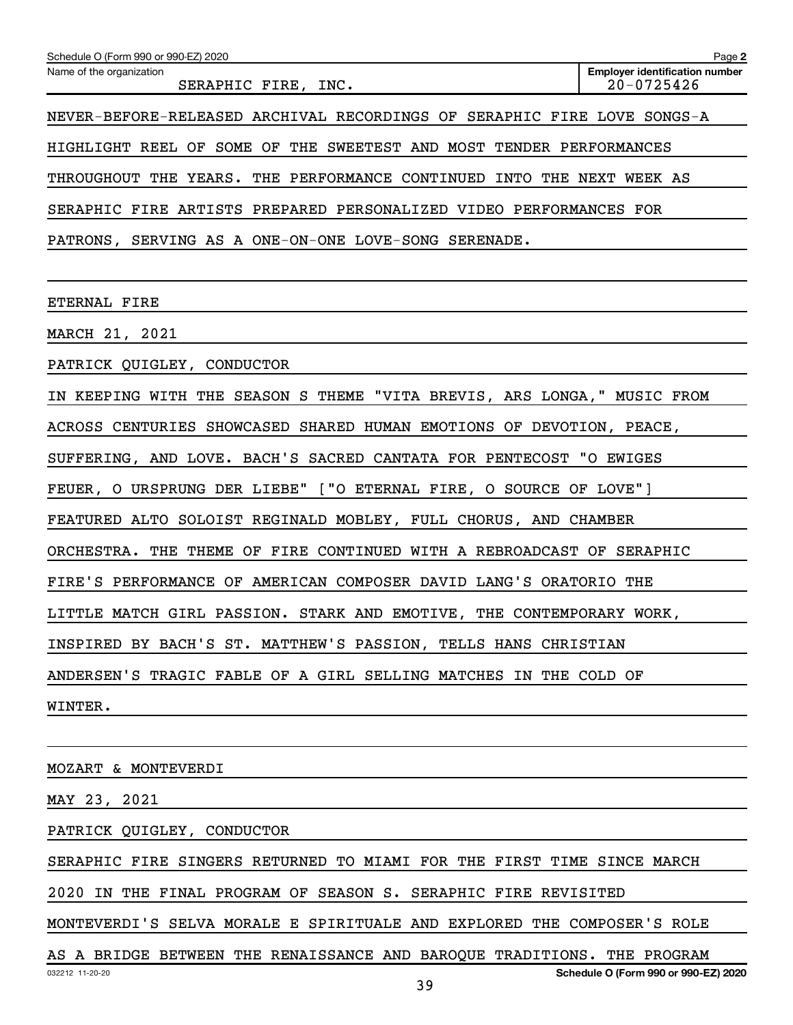| Schedule O (Form 990 or 990-EZ) 2020                                    | Page 2                                                  |  |  |  |  |  |  |
|-------------------------------------------------------------------------|---------------------------------------------------------|--|--|--|--|--|--|
| Name of the organization<br>SERAPHIC FIRE, INC.                         | <b>Employer identification number</b><br>$20 - 0725426$ |  |  |  |  |  |  |
| NEVER-BEFORE-RELEASED ARCHIVAL RECORDINGS OF SERAPHIC FIRE LOVE SONGS-A |                                                         |  |  |  |  |  |  |
| HIGHLIGHT REEL OF SOME OF THE SWEETEST AND MOST TENDER PERFORMANCES     |                                                         |  |  |  |  |  |  |
| THROUGHOUT THE YEARS. THE PERFORMANCE CONTINUED INTO THE NEXT WEEK AS   |                                                         |  |  |  |  |  |  |
| SERAPHIC FIRE ARTISTS PREPARED PERSONALIZED VIDEO PERFORMANCES FOR      |                                                         |  |  |  |  |  |  |
| PATRONS, SERVING AS A ONE-ON-ONE LOVE-SONG SERENADE.                    |                                                         |  |  |  |  |  |  |
|                                                                         |                                                         |  |  |  |  |  |  |
| ETERNAL FIRE                                                            |                                                         |  |  |  |  |  |  |
| MARCH 21, 2021                                                          |                                                         |  |  |  |  |  |  |
| PATRICK QUIGLEY, CONDUCTOR                                              |                                                         |  |  |  |  |  |  |
| IN KEEPING WITH THE SEASON S THEME "VITA BREVIS, ARS LONGA," MUSIC FROM |                                                         |  |  |  |  |  |  |
| ACROSS CENTURIES SHOWCASED SHARED HUMAN EMOTIONS OF DEVOTION, PEACE,    |                                                         |  |  |  |  |  |  |
| SUFFERING, AND LOVE. BACH'S SACRED CANTATA FOR PENTECOST "O EWIGES      |                                                         |  |  |  |  |  |  |
| FEUER, O URSPRUNG DER LIEBE" ["O ETERNAL FIRE, O SOURCE OF LOVE"]       |                                                         |  |  |  |  |  |  |
| FEATURED ALTO SOLOIST REGINALD MOBLEY, FULL CHORUS, AND CHAMBER         |                                                         |  |  |  |  |  |  |
| ORCHESTRA. THE THEME OF FIRE CONTINUED WITH A REBROADCAST OF SERAPHIC   |                                                         |  |  |  |  |  |  |
| FIRE'S PERFORMANCE OF AMERICAN COMPOSER DAVID LANG'S ORATORIO THE       |                                                         |  |  |  |  |  |  |
| LITTLE MATCH GIRL PASSION. STARK AND EMOTIVE,<br>THE CONTEMPORARY WORK  |                                                         |  |  |  |  |  |  |
| INSPIRED BY BACH'S ST. MATTHEW'S PASSION, TELLS HANS CHRISTIAN          |                                                         |  |  |  |  |  |  |
| ANDERSEN'S TRAGIC FABLE OF A GIRL SELLING MATCHES IN THE COLD OF        |                                                         |  |  |  |  |  |  |
| WINTER.                                                                 |                                                         |  |  |  |  |  |  |
|                                                                         |                                                         |  |  |  |  |  |  |
|                                                                         |                                                         |  |  |  |  |  |  |

MOZART & MONTEVERDI

MAY 23, 2021

PATRICK QUIGLEY, CONDUCTOR

SERAPHIC FIRE SINGERS RETURNED TO MIAMI FOR THE FIRST TIME SINCE MARCH

2020 IN THE FINAL PROGRAM OF SEASON S. SERAPHIC FIRE REVISITED

MONTEVERDI'S SELVA MORALE E SPIRITUALE AND EXPLORED THE COMPOSER'S ROLE

032212 11-20-20 **Schedule O (Form 990 or 990-EZ) 2020** AS A BRIDGE BETWEEN THE RENAISSANCE AND BAROQUE TRADITIONS. THE PROGRAM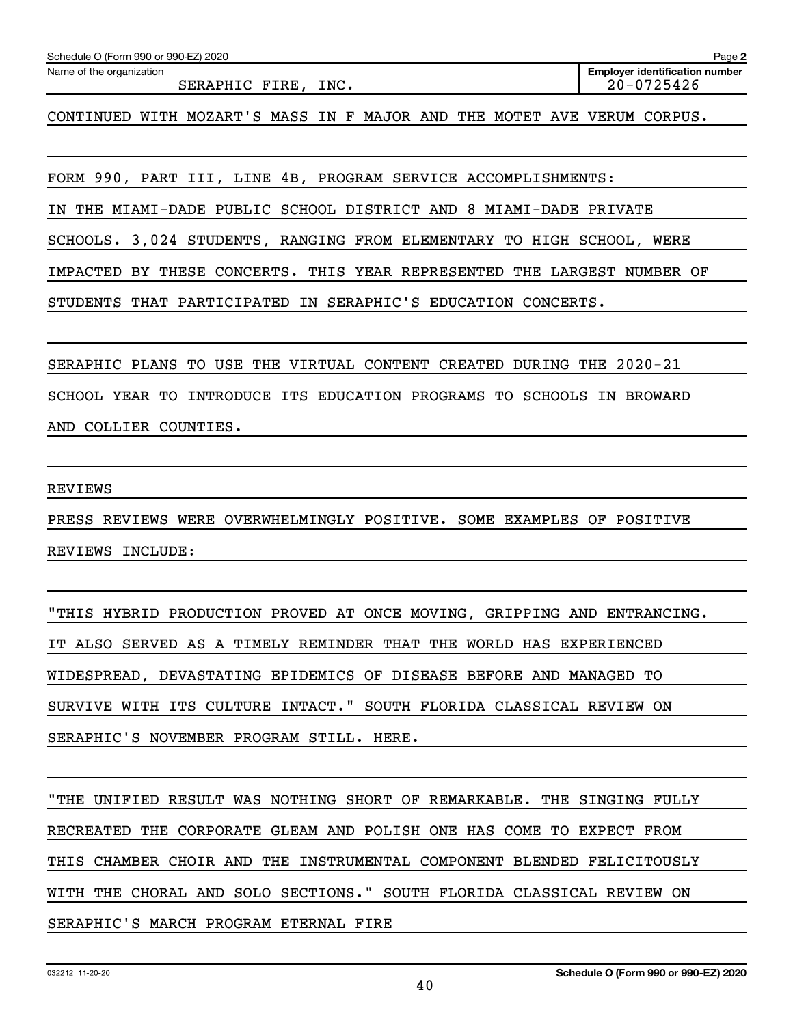| Schedule O (Form 990 or 990-EZ) 2020                                    | Page 2                                                  |
|-------------------------------------------------------------------------|---------------------------------------------------------|
| Name of the organization<br>SERAPHIC FIRE, INC.                         | <b>Employer identification number</b><br>$20 - 0725426$ |
| CONTINUED WITH MOZART'S MASS IN F MAJOR AND THE MOTET AVE VERUM CORPUS. |                                                         |
|                                                                         |                                                         |
| FORM 990, PART III, LINE 4B, PROGRAM SERVICE ACCOMPLISHMENTS:           |                                                         |
| IN THE MIAMI-DADE PUBLIC SCHOOL DISTRICT AND 8 MIAMI-DADE PRIVATE       |                                                         |
| SCHOOLS. 3,024 STUDENTS, RANGING FROM ELEMENTARY TO HIGH SCHOOL, WERE   |                                                         |
| IMPACTED BY THESE CONCERTS. THIS YEAR REPRESENTED THE LARGEST NUMBER OF |                                                         |
| STUDENTS THAT PARTICIPATED IN SERAPHIC'S EDUCATION CONCERTS.            |                                                         |
|                                                                         |                                                         |
| SERAPHIC PLANS TO USE THE VIRTUAL CONTENT CREATED DURING THE 2020-21    |                                                         |
| SCHOOL YEAR TO INTRODUCE ITS EDUCATION PROGRAMS TO SCHOOLS IN BROWARD   |                                                         |
| AND COLLIER COUNTIES.                                                   |                                                         |
|                                                                         |                                                         |
| <b>REVIEWS</b>                                                          |                                                         |
| PRESS REVIEWS WERE OVERWHELMINGLY POSITIVE. SOME EXAMPLES OF POSITIVE   |                                                         |
| REVIEWS INCLUDE:                                                        |                                                         |
|                                                                         |                                                         |
| "THIS HYBRID PRODUCTION PROVED AT ONCE MOVING, GRIPPING AND ENTRANCING. |                                                         |

IT ALSO SERVED AS A TIMELY REMINDER THAT THE WORLD HAS EXPERIENCED WIDESPREAD, DEVASTATING EPIDEMICS OF DISEASE BEFORE AND MANAGED TO SURVIVE WITH ITS CULTURE INTACT." SOUTH FLORIDA CLASSICAL REVIEW ON SERAPHIC'S NOVEMBER PROGRAM STILL. HERE.

"THE UNIFIED RESULT WAS NOTHING SHORT OF REMARKABLE. THE SINGING FULLY RECREATED THE CORPORATE GLEAM AND POLISH ONE HAS COME TO EXPECT FROM THIS CHAMBER CHOIR AND THE INSTRUMENTAL COMPONENT BLENDED FELICITOUSLY WITH THE CHORAL AND SOLO SECTIONS." SOUTH FLORIDA CLASSICAL REVIEW ON SERAPHIC'S MARCH PROGRAM ETERNAL FIRE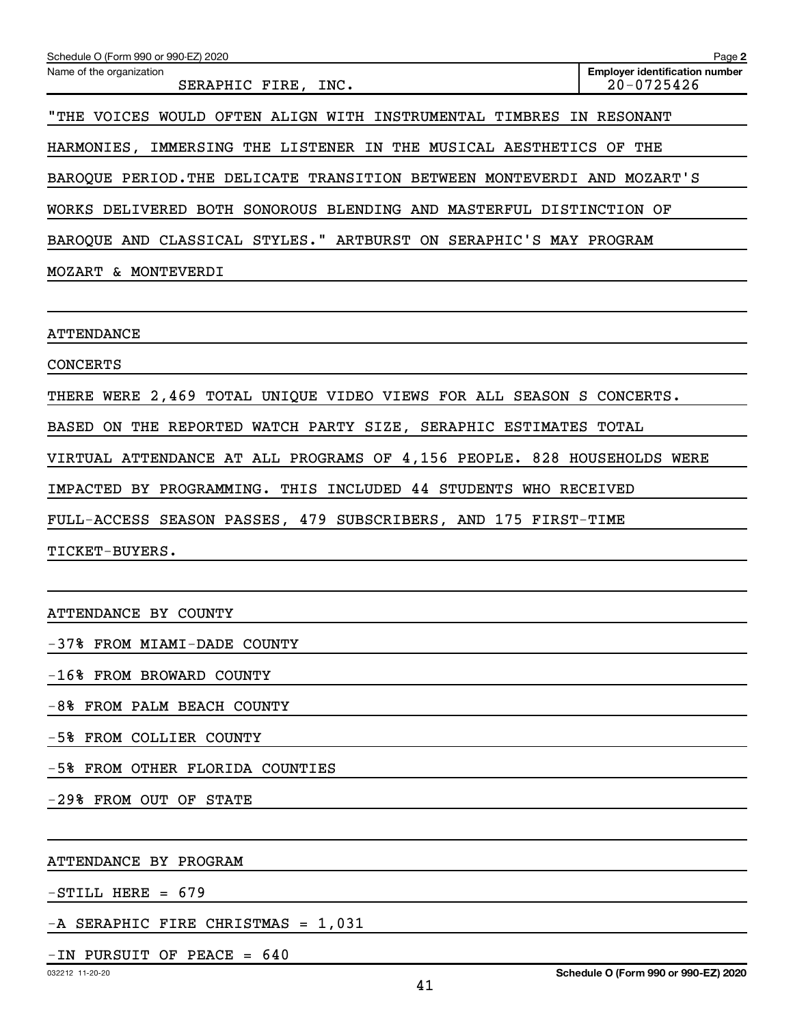| Schedule O (Form 990 or 990-EZ) 2020                                    | Page 2                                                  |
|-------------------------------------------------------------------------|---------------------------------------------------------|
| Name of the organization<br>SERAPHIC FIRE, INC.                         | <b>Employer identification number</b><br>$20 - 0725426$ |
| "THE VOICES WOULD OFTEN ALIGN WITH INSTRUMENTAL TIMBRES IN RESONANT     |                                                         |
| HARMONIES, IMMERSING THE LISTENER IN THE MUSICAL AESTHETICS OF THE      |                                                         |
| BAROQUE PERIOD. THE DELICATE TRANSITION BETWEEN MONTEVERDI AND MOZART'S |                                                         |
| WORKS DELIVERED BOTH SONOROUS BLENDING AND MASTERFUL DISTINCTION OF     |                                                         |
| BAROQUE AND CLASSICAL STYLES." ARTBURST ON SERAPHIC'S MAY PROGRAM       |                                                         |
| MOZART & MONTEVERDI                                                     |                                                         |
|                                                                         |                                                         |
| ATTENDANCE                                                              |                                                         |
| <b>CONCERTS</b>                                                         |                                                         |
| THERE WERE 2,469 TOTAL UNIQUE VIDEO VIEWS FOR ALL SEASON S CONCERTS.    |                                                         |
| BASED ON THE REPORTED WATCH PARTY SIZE, SERAPHIC ESTIMATES TOTAL        |                                                         |
| VIRTUAL ATTENDANCE AT ALL PROGRAMS OF 4,156 PEOPLE. 828 HOUSEHOLDS WERE |                                                         |
| IMPACTED BY PROGRAMMING. THIS INCLUDED 44 STUDENTS WHO RECEIVED         |                                                         |
| FULL-ACCESS SEASON PASSES, 479 SUBSCRIBERS, AND 175 FIRST-TIME          |                                                         |
| TICKET-BUYERS.                                                          |                                                         |
|                                                                         |                                                         |
| ATTENDANCE BY COUNTY                                                    |                                                         |
| -37% FROM MIAMI-DADE COUNTY                                             |                                                         |

-16% FROM BROWARD COUNTY

-8% FROM PALM BEACH COUNTY

-5% FROM COLLIER COUNTY

-5% FROM OTHER FLORIDA COUNTIES

-29% FROM OUT OF STATE

ATTENDANCE BY PROGRAM

 $-STILL$  HERE = 679

-A SERAPHIC FIRE CHRISTMAS = 1,031

#### $-IN$  PURSUIT OF PEACE = 640